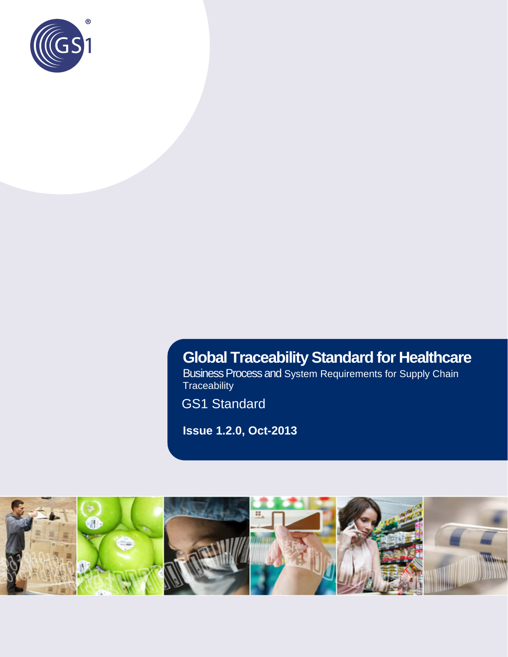

# **Global Traceability Standard for Healthcare**

Business Process and System Requirements for Supply Chain Traceability

GS1 Standard

**Issue 1.2.0, Oct-2013**

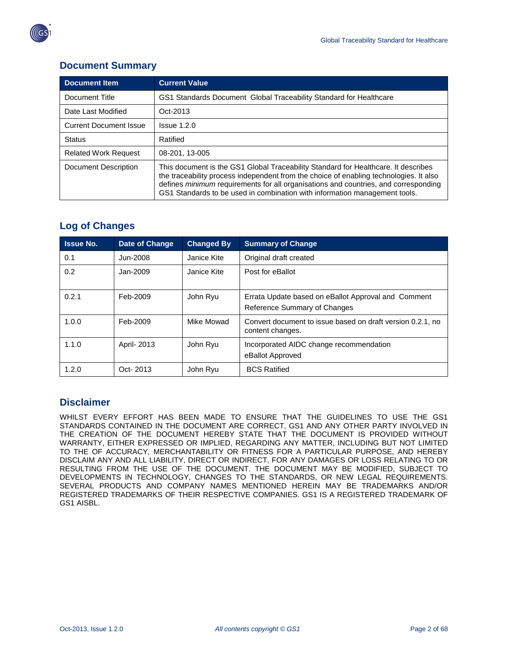

### **Document Summary**

| <b>Document Item</b>          | <b>Current Value</b>                                                                                                                                                                                                                                                                                                                              |
|-------------------------------|---------------------------------------------------------------------------------------------------------------------------------------------------------------------------------------------------------------------------------------------------------------------------------------------------------------------------------------------------|
| Document Title                | GS1 Standards Document Global Traceability Standard for Healthcare                                                                                                                                                                                                                                                                                |
| Date Last Modified            | Oct-2013                                                                                                                                                                                                                                                                                                                                          |
| <b>Current Document Issue</b> | Is sue 1.2.0                                                                                                                                                                                                                                                                                                                                      |
| <b>Status</b>                 | Ratified                                                                                                                                                                                                                                                                                                                                          |
| <b>Related Work Request</b>   | 08-201, 13-005                                                                                                                                                                                                                                                                                                                                    |
| Document Description          | This document is the GS1 Global Traceability Standard for Healthcare. It describes<br>the traceability process independent from the choice of enabling technologies. It also<br>defines minimum requirements for all organisations and countries, and corresponding<br>GS1 Standards to be used in combination with information management tools. |

### **Log of Changes**

| <b>Issue No.</b> | <b>Date of Change</b> | <b>Changed By</b> | <b>Summary of Change</b>                                                            |
|------------------|-----------------------|-------------------|-------------------------------------------------------------------------------------|
| 0.1              | Jun-2008              | Janice Kite       | Original draft created                                                              |
| 0.2              | Jan-2009              | Janice Kite       | Post for eBallot                                                                    |
| 0.2.1            | Feb-2009              | John Ryu          | Errata Update based on eBallot Approval and Comment<br>Reference Summary of Changes |
| 1.0.0            | Feb-2009              | Mike Mowad        | Convert document to issue based on draft version 0.2.1, no<br>content changes.      |
| 1.1.0            | April- 2013           | John Ryu          | Incorporated AIDC change recommendation<br>eBallot Approved                         |
| 1.2.0            | Oct-2013              | John Ryu          | <b>BCS Ratified</b>                                                                 |

### **Disclaimer**

WHILST EVERY EFFORT HAS BEEN MADE TO ENSURE THAT THE GUIDELINES TO USE THE GS1 STANDARDS CONTAINED IN THE DOCUMENT ARE CORRECT, GS1 AND ANY OTHER PARTY INVOLVED IN THE CREATION OF THE DOCUMENT HEREBY STATE THAT THE DOCUMENT IS PROVIDED WITHOUT WARRANTY, EITHER EXPRESSED OR IMPLIED, REGARDING ANY MATTER, INCLUDING BUT NOT LIMITED TO THE OF ACCURACY, MERCHANTABILITY OR FITNESS FOR A PARTICULAR PURPOSE, AND HEREBY DISCLAIM ANY AND ALL LIABILITY, DIRECT OR INDIRECT, FOR ANY DAMAGES OR LOSS RELATING TO OR RESULTING FROM THE USE OF THE DOCUMENT. THE DOCUMENT MAY BE MODIFIED, SUBJECT TO DEVELOPMENTS IN TECHNOLOGY, CHANGES TO THE STANDARDS, OR NEW LEGAL REQUIREMENTS. SEVERAL PRODUCTS AND COMPANY NAMES MENTIONED HEREIN MAY BE TRADEMARKS AND/OR REGISTERED TRADEMARKS OF THEIR RESPECTIVE COMPANIES. GS1 IS A REGISTERED TRADEMARK OF GS1 AISBL.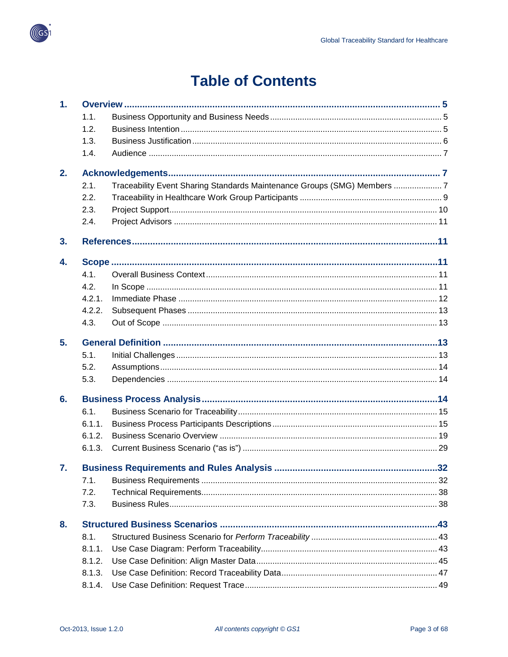

# **Table of Contents**

| 1. |        |                                                                         |     |
|----|--------|-------------------------------------------------------------------------|-----|
|    | 1.1.   |                                                                         |     |
|    | 1.2.   |                                                                         |     |
|    | 1.3.   |                                                                         |     |
|    | 1.4.   |                                                                         |     |
| 2. |        |                                                                         |     |
|    | 2.1.   | Traceability Event Sharing Standards Maintenance Groups (SMG) Members 7 |     |
|    | 2.2.   |                                                                         |     |
|    | 2.3.   |                                                                         |     |
|    | 2.4.   |                                                                         |     |
| 3. |        |                                                                         |     |
| 4. |        |                                                                         |     |
|    | 4.1.   |                                                                         |     |
|    | 4.2.   |                                                                         |     |
|    | 4.2.1  |                                                                         |     |
|    | 4.2.2. |                                                                         |     |
|    | 4.3.   |                                                                         |     |
| 5. |        |                                                                         |     |
|    | 5.1.   |                                                                         |     |
|    | 5.2.   |                                                                         |     |
|    | 5.3.   |                                                                         |     |
| 6. |        |                                                                         |     |
|    | 6.1.   |                                                                         |     |
|    | 6.1.1. |                                                                         |     |
|    | 6.1.2. |                                                                         |     |
|    | 6.1.3. |                                                                         |     |
| 7. |        | <b>Business Requirements and Rules Analysis</b>                         | .32 |
|    | 7.1.   |                                                                         |     |
|    | 7.2.   |                                                                         |     |
|    | 7.3.   |                                                                         |     |
| 8. |        |                                                                         |     |
|    | 8.1.   |                                                                         |     |
|    | 8.1.1. |                                                                         |     |
|    | 8.1.2. |                                                                         |     |
|    | 8.1.3. |                                                                         |     |
|    | 8.1.4. |                                                                         |     |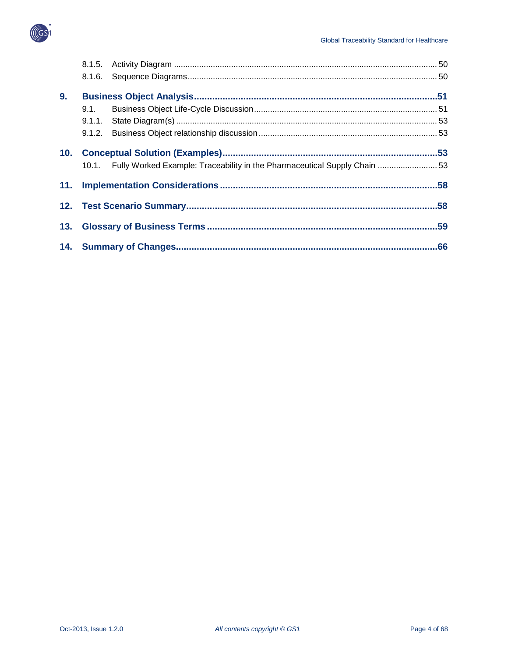

| 9 <sub>1</sub> |      |                                                                                 |  |
|----------------|------|---------------------------------------------------------------------------------|--|
|                | 9.1. |                                                                                 |  |
|                |      |                                                                                 |  |
|                |      |                                                                                 |  |
|                |      |                                                                                 |  |
|                |      | 10.1. Fully Worked Example: Traceability in the Pharmaceutical Supply Chain  53 |  |
|                |      |                                                                                 |  |
|                |      |                                                                                 |  |
| 13.            |      |                                                                                 |  |
|                |      |                                                                                 |  |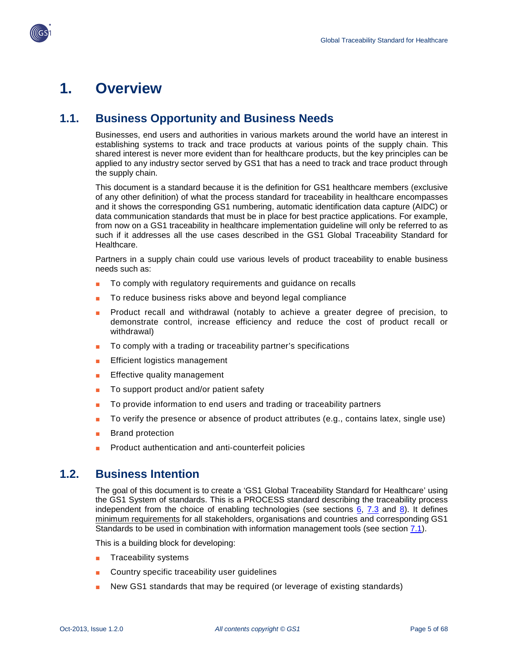

# <span id="page-4-0"></span>**1. Overview**

## <span id="page-4-1"></span>**1.1. Business Opportunity and Business Needs**

Businesses, end users and authorities in various markets around the world have an interest in establishing systems to track and trace products at various points of the supply chain. This shared interest is never more evident than for healthcare products, but the key principles can be applied to any industry sector served by GS1 that has a need to track and trace product through the supply chain.

This document is a standard because it is the definition for GS1 healthcare members (exclusive of any other definition) of what the process standard for traceability in healthcare encompasses and it shows the corresponding GS1 numbering, automatic identification data capture (AIDC) or data communication standards that must be in place for best practice applications. For example, from now on a GS1 traceability in healthcare implementation guideline will only be referred to as such if it addresses all the use cases described in the GS1 Global Traceability Standard for Healthcare.

Partners in a supply chain could use various levels of product traceability to enable business needs such as:

- To comply with regulatory requirements and guidance on recalls
- To reduce business risks above and beyond legal compliance
- Product recall and withdrawal (notably to achieve a greater degree of precision, to demonstrate control, increase efficiency and reduce the cost of product recall or withdrawal)
- To comply with a trading or traceability partner's specifications
- **Efficient logistics management**
- **Effective quality management**
- To support product and/or patient safety
- To provide information to end users and trading or traceability partners
- To verify the presence or absence of product attributes (e.g., contains latex, single use)
- **Brand protection**
- Product authentication and anti-counterfeit policies

## <span id="page-4-2"></span>**1.2. Business Intention**

The goal of this document is to create a 'GS1 Global Traceability Standard for Healthcare' using the GS1 System of standards. This is a PROCESS standard describing the traceability process independent from the choice of enabling technologies (see sections [6,](#page-13-2) [7.3](#page-37-1) and [8\)](#page-42-0). It defines minimum requirements for all stakeholders, organisations and countries and corresponding GS1 Standards to be used in combination with information management tools (see section [7.1\)](#page-31-1).

This is a building block for developing:

- Traceability systems
- Country specific traceability user guidelines
- New GS1 standards that may be required (or leverage of existing standards)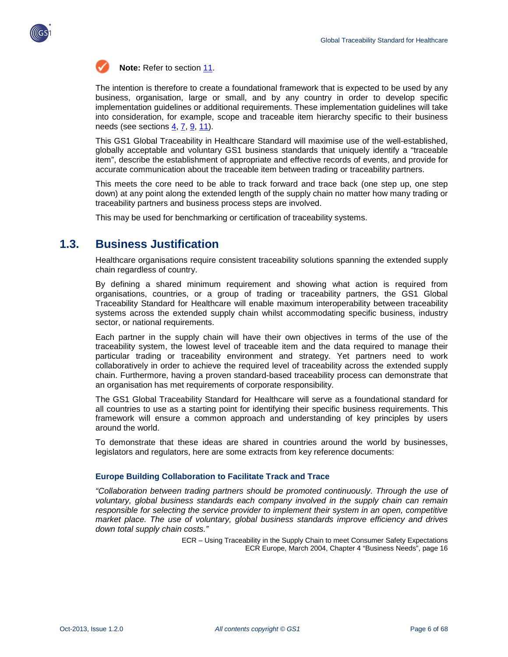



**Note:** Refer to section [11.](#page-57-0)

The intention is therefore to create a foundational framework that is expected to be used by any business, organisation, large or small, and by any country in order to develop specific implementation guidelines or additional requirements. These implementation guidelines will take into consideration, for example, scope and traceable item hierarchy specific to their business needs (see sections [4,](#page-10-2) [7,](#page-31-0) [9,](#page-50-0) [11\)](#page-57-0).

This GS1 Global Traceability in Healthcare Standard will maximise use of the well-established, globally acceptable and voluntary GS1 business standards that uniquely identify a "traceable item", describe the establishment of appropriate and effective records of events, and provide for accurate communication about the traceable item between trading or traceability partners.

This meets the core need to be able to track forward and trace back (one step up, one step down) at any point along the extended length of the supply chain no matter how many trading or traceability partners and business process steps are involved.

This may be used for benchmarking or certification of traceability systems.

## <span id="page-5-0"></span>**1.3. Business Justification**

Healthcare organisations require consistent traceability solutions spanning the extended supply chain regardless of country.

By defining a shared minimum requirement and showing what action is required from organisations, countries, or a group of trading or traceability partners, the GS1 Global Traceability Standard for Healthcare will enable maximum interoperability between traceability systems across the extended supply chain whilst accommodating specific business, industry sector, or national requirements.

Each partner in the supply chain will have their own objectives in terms of the use of the traceability system, the lowest level of traceable item and the data required to manage their particular trading or traceability environment and strategy. Yet partners need to work collaboratively in order to achieve the required level of traceability across the extended supply chain. Furthermore, having a proven standard-based traceability process can demonstrate that an organisation has met requirements of corporate responsibility.

The GS1 Global Traceability Standard for Healthcare will serve as a foundational standard for all countries to use as a starting point for identifying their specific business requirements. This framework will ensure a common approach and understanding of key principles by users around the world.

To demonstrate that these ideas are shared in countries around the world by businesses, legislators and regulators, here are some extracts from key reference documents:

#### **Europe Building Collaboration to Facilitate Track and Trace**

*"Collaboration between trading partners should be promoted continuously. Through the use of voluntary, global business standards each company involved in the supply chain can remain responsible for selecting the service provider to implement their system in an open, competitive market place. The use of voluntary, global business standards improve efficiency and drives down total supply chain costs."*

> ECR – Using Traceability in the Supply Chain to meet Consumer Safety Expectations ECR Europe, March 2004, Chapter 4 "Business Needs", page 16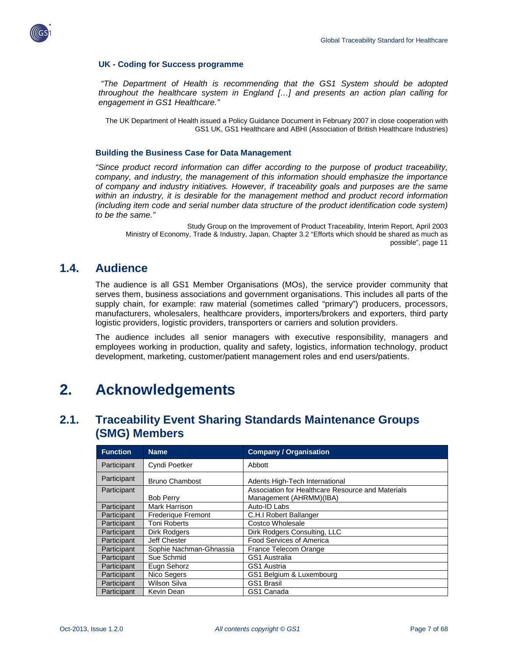

#### **UK - Coding for Success programme**

*"The Department of Health is recommending that the GS1 System should be adopted throughout the healthcare system in England […] and presents an action plan calling for engagement in GS1 Healthcare."*

The UK Department of Health issued a Policy Guidance Document in February 2007 in close cooperation with GS1 UK, GS1 Healthcare and ABHI (Association of British Healthcare Industries)

#### **Building the Business Case for Data Management**

*"Since product record information can differ according to the purpose of product traceability, company, and industry, the management of this information should emphasize the importance of company and industry initiatives. However, if traceability goals and purposes are the same within an industry, it is desirable for the management method and product record information (including item code and serial number data structure of the product identification code system) to be the same."*

Study Group on the Improvement of Product Traceability, Interim Report, April 2003 Ministry of Economy, Trade & Industry, Japan, Chapter 3.2 "Efforts which should be shared as much as possible", page 11

### <span id="page-6-0"></span>**1.4. Audience**

The audience is all GS1 Member Organisations (MOs), the service provider community that serves them, business associations and government organisations. This includes all parts of the supply chain, for example: raw material (sometimes called "primary") producers, processors, manufacturers, wholesalers, healthcare providers, importers/brokers and exporters, third party logistic providers, logistic providers, transporters or carriers and solution providers.

The audience includes all senior managers with executive responsibility, managers and employees working in production, quality and safety, logistics, information technology, product development, marketing, customer/patient management roles and end users/patients.

# <span id="page-6-1"></span>**2. Acknowledgements**

## <span id="page-6-2"></span>**2.1. Traceability Event Sharing Standards Maintenance Groups (SMG) Members**

| <b>Function</b> | <b>Name</b>             | <b>Company / Organisation</b>                                                |
|-----------------|-------------------------|------------------------------------------------------------------------------|
| Participant     | Cyndi Poetker           | Abbott                                                                       |
| Participant     | <b>Bruno Chambost</b>   | Adents High-Tech International                                               |
| Participant     | <b>Bob Perry</b>        | Association for Healthcare Resource and Materials<br>Management (AHRMM)(IBA) |
| Participant     | Mark Harrison           | Auto-ID Labs                                                                 |
| Participant     | Frederique Fremont      | C.H.I Robert Ballanger                                                       |
| Participant     | <b>Toni Roberts</b>     | Costco Wholesale                                                             |
| Participant     | <b>Dirk Rodgers</b>     | Dirk Rodgers Consulting, LLC                                                 |
| Participant     | Jeff Chester            | <b>Food Services of America</b>                                              |
| Participant     | Sophie Nachman-Ghnassia | France Telecom Orange                                                        |
| Participant     | Sue Schmid              | GS1 Australia                                                                |
| Participant     | Eugn Sehorz             | GS1 Austria                                                                  |
| Participant     | Nico Segers             | GS1 Belgium & Luxembourg                                                     |
| Participant     | <b>Wilson Silva</b>     | <b>GS1 Brasil</b>                                                            |
| Participant     | Kevin Dean              | GS1 Canada                                                                   |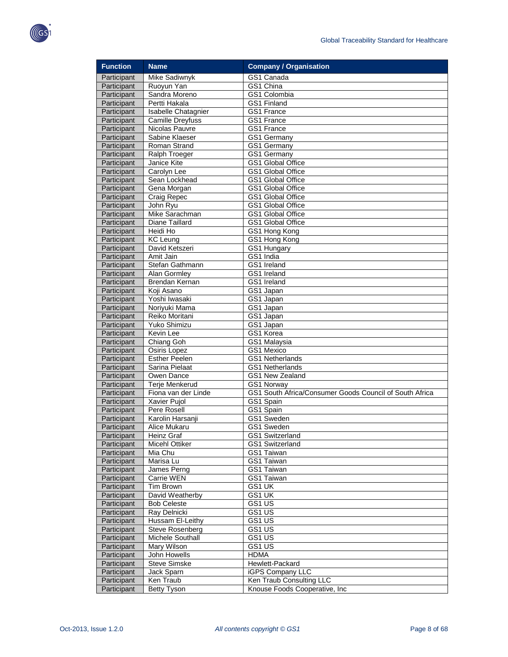

| <b>Function</b>            | <b>Name</b>                         | <b>Company / Organisation</b>                           |
|----------------------------|-------------------------------------|---------------------------------------------------------|
| Participant                | Mike Sadiwnyk                       | GS1 Canada                                              |
| Participant                | Ruoyun Yan                          | GS1 China                                               |
| Participant                | Sandra Moreno                       | GS1 Colombia                                            |
| Participant                | Pertti Hakala                       | <b>GS1 Finland</b>                                      |
| Participant                | Isabelle Chatagnier                 | <b>GS1 France</b>                                       |
| Participant                | <b>Camille Drevfuss</b>             | GS1 France                                              |
| Participant                | Nicolas Pauvre                      | GS1 France                                              |
| Participant                | Sabine Klaeser                      | GS1 Germany                                             |
| Participant                | Roman Strand                        | GS1 Germany                                             |
| Participant                | <b>Ralph Troeger</b>                | <b>GS1 Germany</b>                                      |
| Participant                | Janice Kite                         | GS1 Global Office                                       |
| Participant                | Carolyn Lee                         | <b>GS1 Global Office</b>                                |
| Participant                | Sean Lockhead                       | <b>GS1 Global Office</b>                                |
| Participant                | Gena Morgan                         | <b>GS1 Global Office</b>                                |
| Participant                | Craig Repec                         | <b>GS1 Global Office</b>                                |
| Participant                | John Ryu                            | GS1 Global Office                                       |
| Participant                | Mike Sarachman                      | <b>GS1 Global Office</b>                                |
| Participant                | Diane Taillard                      | GS1 Global Office                                       |
| Participant                | Heidi Ho                            | GS1 Hong Kong                                           |
| Participant                | <b>KC Leung</b>                     | GS1 Hong Kong                                           |
| Participant                | David Ketszeri                      | <b>GS1 Hungary</b>                                      |
| Participant                | Amit Jain                           | GS1 India                                               |
| Participant                | Stefan Gathmann                     | GS1 Ireland                                             |
| Participant<br>Participant | Alan Gormley<br>Brendan Kernan      | GS1 Ireland                                             |
|                            | Koji Asano                          | GS1 Ireland                                             |
| Participant                | Yoshi Iwasaki                       | GS1 Japan<br>GS1 Japan                                  |
| Participant<br>Participant | Noriyuki Mama                       | GS1 Japan                                               |
| Participant                | Reiko Moritani                      | GS1 Japan                                               |
| Participant                | Yuko Shimizu                        | GS1 Japan                                               |
| Participant                | Kevin Lee                           | GS1 Korea                                               |
| Participant                | Chiang Goh                          | GS1 Malaysia                                            |
| Participant                | Osiris Lopez                        | GS1 Mexico                                              |
| Participant                | <b>Esther Peelen</b>                | <b>GS1 Netherlands</b>                                  |
| Participant                | Sarina Pielaat                      | <b>GS1 Netherlands</b>                                  |
| Participant                | Owen Dance                          | GS1 New Zealand                                         |
| Participant                | Terje Menkerud                      | GS1 Norway                                              |
| Participant                | Fiona van der Linde                 | GS1 South Africa/Consumer Goods Council of South Africa |
| Participant                | Xavier Pujol                        | GS1 Spain                                               |
| Participant                | Pere Rosell                         | GS1 Spain                                               |
| Participant                | Karolin Harsanji                    | GS1 Sweden                                              |
| Participant                | Alice Mukaru                        | GS1 Sweden                                              |
| Participant                | Heinz Graf                          | GS1 Switzerland                                         |
| Participant                | Micehl Ottiker                      | GS1 Switzerland                                         |
| Participant                | Mia Chu                             | GS1 Taiwan                                              |
| Participant                | Marisa Lu                           | GS1 Taiwan                                              |
| Participant                | James Perng                         | GS1 Taiwan                                              |
| Participant                | Carrie WEN                          | <b>GS1 Taiwan</b>                                       |
| Participant                | Tim Brown                           | GS1 UK                                                  |
| Participant                | David Weatherby                     | GS1 UK                                                  |
| Participant                | <b>Bob Celeste</b>                  | GS1 US                                                  |
| Participant                | Ray Delnicki                        | GS1 US                                                  |
| Participant                | Hussam El-Leithy                    | GS1 US                                                  |
| Participant                | Steve Rosenberg                     | GS1 US                                                  |
| Participant                | <b>Michele Southall</b>             | GS1 US<br>GS1 US                                        |
| Participant                | Mary Wilson                         |                                                         |
| Participant<br>Participant | John Howells<br><b>Steve Simske</b> | <b>HDMA</b><br>Hewlett-Packard                          |
| Participant                | Jack Sparn                          | iGPS Company LLC                                        |
| Participant                | Ken Traub                           | Ken Traub Consulting LLC                                |
| Participant                | <b>Betty Tyson</b>                  | Knouse Foods Cooperative, Inc.                          |
|                            |                                     |                                                         |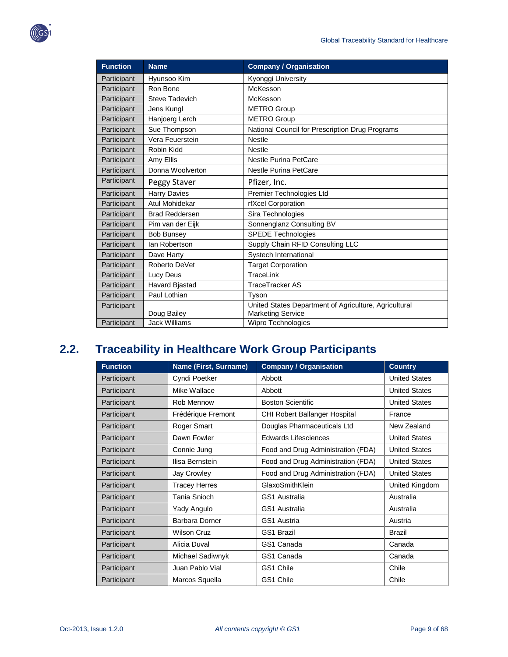

| <b>Function</b> | <b>Name</b>           | <b>Company / Organisation</b>                                                     |
|-----------------|-----------------------|-----------------------------------------------------------------------------------|
| Participant     | Hyunsoo Kim           | Kyonggi University                                                                |
| Participant     | Ron Bone              | McKesson                                                                          |
| Participant     | <b>Steve Tadevich</b> | McKesson                                                                          |
| Participant     | Jens Kungl            | <b>METRO Group</b>                                                                |
| Participant     | Hanjoerg Lerch        | <b>METRO Group</b>                                                                |
| Participant     | Sue Thompson          | National Council for Prescription Drug Programs                                   |
| Participant     | Vera Feuerstein       | <b>Nestle</b>                                                                     |
| Participant     | Robin Kidd            | <b>Nestle</b>                                                                     |
| Participant     | Amy Ellis             | <b>Nestle Purina PetCare</b>                                                      |
| Participant     | Donna Woolverton      | <b>Nestle Purina PetCare</b>                                                      |
| Participant     | Peggy Staver          | Pfizer, Inc.                                                                      |
| Participant     | <b>Harry Davies</b>   | Premier Technologies Ltd                                                          |
| Participant     | Atul Mohidekar        | rfXcel Corporation                                                                |
| Participant     | <b>Brad Reddersen</b> | Sira Technologies                                                                 |
| Participant     | Pim van der Eijk      | Sonnenglanz Consulting BV                                                         |
| Participant     | <b>Bob Bunsey</b>     | <b>SPEDE Technologies</b>                                                         |
| Participant     | lan Robertson         | Supply Chain RFID Consulting LLC                                                  |
| Participant     | Dave Harty            | Systech International                                                             |
| Participant     | Roberto DeVet         | <b>Target Corporation</b>                                                         |
| Participant     | Lucy Deus             | TraceLink                                                                         |
| Participant     | Havard Bjastad        | <b>TraceTracker AS</b>                                                            |
| Participant     | Paul Lothian          | Tyson                                                                             |
| Participant     | Doug Bailey           | United States Department of Agriculture, Agricultural<br><b>Marketing Service</b> |
| Participant     | <b>Jack Williams</b>  | Wipro Technologies                                                                |

# <span id="page-8-0"></span>**2.2. Traceability in Healthcare Work Group Participants**

| <b>Function</b> | Name (First, Surname) | <b>Company / Organisation</b>        | <b>Country</b>       |
|-----------------|-----------------------|--------------------------------------|----------------------|
| Participant     | Cyndi Poetker         | Abbott                               | <b>United States</b> |
| Participant     | Mike Wallace          | Abbott                               | <b>United States</b> |
| Participant     | Rob Mennow            | <b>Boston Scientific</b>             | <b>United States</b> |
| Participant     | Frédérique Fremont    | <b>CHI Robert Ballanger Hospital</b> | France               |
| Participant     | Roger Smart           | Douglas Pharmaceuticals Ltd          | New Zealand          |
| Participant     | Dawn Fowler           | <b>Edwards Lifesciences</b>          | <b>United States</b> |
| Participant     | Connie Jung           | Food and Drug Administration (FDA)   | <b>United States</b> |
| Participant     | Ilisa Bernstein       | Food and Drug Administration (FDA)   | <b>United States</b> |
| Participant     | <b>Jay Crowley</b>    | Food and Drug Administration (FDA)   | <b>United States</b> |
| Participant     | <b>Tracey Herres</b>  | GlaxoSmithKlein                      | United Kingdom       |
| Participant     | Tania Snioch          | GS1 Australia                        | Australia            |
| Participant     | Yady Angulo           | GS1 Australia                        | Australia            |
| Participant     | Barbara Dorner        | GS1 Austria                          | Austria              |
| Participant     | <b>Wilson Cruz</b>    | <b>GS1 Brazil</b>                    | Brazil               |
| Participant     | Alicia Duval          | GS1 Canada                           | Canada               |
| Participant     | Michael Sadiwnyk      | GS1 Canada                           | Canada               |
| Participant     | Juan Pablo Vial       | GS1 Chile                            | Chile                |
| Participant     | Marcos Squella        | GS1 Chile                            | Chile                |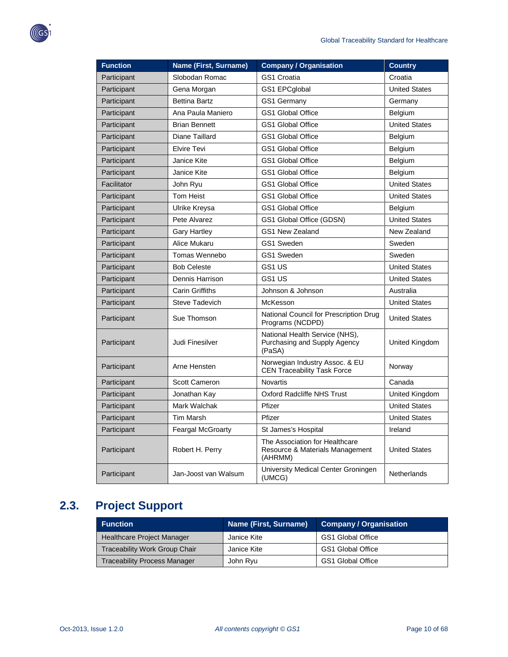

| <b>Function</b> | Name (First, Surname)  | <b>Company / Organisation</b>                                                | <b>Country</b>       |
|-----------------|------------------------|------------------------------------------------------------------------------|----------------------|
| Participant     | Slobodan Romac         | GS1 Croatia                                                                  | Croatia              |
| Participant     | Gena Morgan            | GS1 EPCglobal                                                                | <b>United States</b> |
| Participant     | <b>Bettina Bartz</b>   | <b>GS1 Germany</b>                                                           | Germany              |
| Participant     | Ana Paula Maniero      | <b>GS1 Global Office</b>                                                     | Belgium              |
| Participant     | <b>Brian Bennett</b>   | <b>GS1 Global Office</b>                                                     | <b>United States</b> |
| Participant     | <b>Diane Taillard</b>  | <b>GS1 Global Office</b>                                                     | Belgium              |
| Participant     | <b>Elvire Tevi</b>     | <b>GS1 Global Office</b>                                                     | Belgium              |
| Participant     | Janice Kite            | <b>GS1 Global Office</b>                                                     | Belgium              |
| Participant     | Janice Kite            | <b>GS1 Global Office</b>                                                     | Belgium              |
| Facilitator     | John Ryu               | <b>GS1 Global Office</b>                                                     | <b>United States</b> |
| Participant     | <b>Tom Heist</b>       | <b>GS1 Global Office</b>                                                     | <b>United States</b> |
| Participant     | Ulrike Kreysa          | <b>GS1 Global Office</b>                                                     | Belgium              |
| Participant     | Pete Alvarez           | GS1 Global Office (GDSN)                                                     | <b>United States</b> |
| Participant     | <b>Gary Hartley</b>    | <b>GS1 New Zealand</b>                                                       | New Zealand          |
| Participant     | Alice Mukaru           | GS1 Sweden                                                                   | Sweden               |
| Participant     | Tomas Wennebo          | GS1 Sweden                                                                   | Sweden               |
| Participant     | <b>Bob Celeste</b>     | GS1 US                                                                       | <b>United States</b> |
| Participant     | Dennis Harrison        | GS1 US                                                                       | <b>United States</b> |
| Participant     | <b>Carin Griffiths</b> | Johnson & Johnson                                                            | Australia            |
| Participant     | Steve Tadevich         | McKesson                                                                     | <b>United States</b> |
| Participant     | Sue Thomson            | National Council for Prescription Drug<br>Programs (NCDPD)                   | <b>United States</b> |
| Participant     | Judi Finesilver        | National Health Service (NHS),<br>Purchasing and Supply Agency<br>(PaSA)     | United Kingdom       |
| Participant     | Arne Hensten           | Norwegian Industry Assoc. & EU<br><b>CEN Traceability Task Force</b>         | Norway               |
| Participant     | <b>Scott Cameron</b>   | <b>Novartis</b>                                                              | Canada               |
| Participant     | Jonathan Kay           | Oxford Radcliffe NHS Trust                                                   | United Kingdom       |
| Participant     | Mark Walchak           | Pfizer                                                                       | <b>United States</b> |
| Participant     | <b>Tim Marsh</b>       | Pfizer                                                                       | <b>United States</b> |
| Participant     | Feargal McGroarty      | St James's Hospital                                                          | Ireland              |
| Participant     | Robert H. Perry        | The Association for Healthcare<br>Resource & Materials Management<br>(AHRMM) | <b>United States</b> |
| Participant     | Jan-Joost van Walsum   | University Medical Center Groningen<br>(UMCG)                                | Netherlands          |

# <span id="page-9-0"></span>**2.3. Project Support**

| <b>Function</b>                      | Name (First, Surname) | <b>Company / Organisation</b> |
|--------------------------------------|-----------------------|-------------------------------|
| <b>Healthcare Project Manager</b>    | Janice Kite           | <b>GS1 Global Office</b>      |
| <b>Traceability Work Group Chair</b> | Janice Kite           | <b>GS1 Global Office</b>      |
| <b>Traceability Process Manager</b>  | John Ryu              | <b>GS1 Global Office</b>      |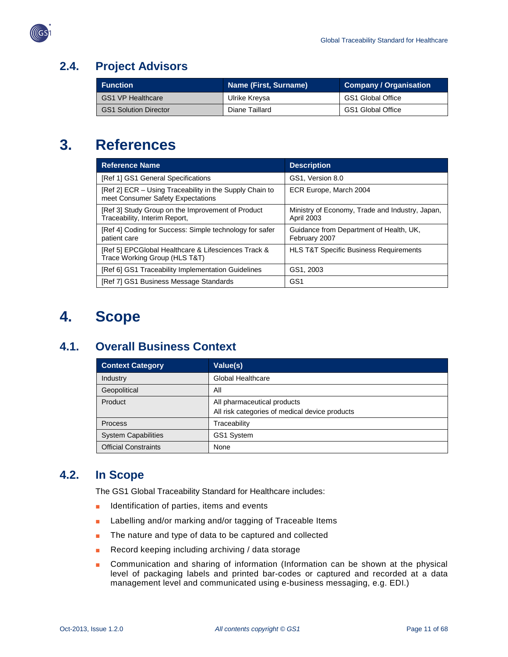

# <span id="page-10-0"></span>**2.4. Project Advisors**

| <b>Function</b>              | Name (First, Surname) | <b>Company / Organisation</b> |
|------------------------------|-----------------------|-------------------------------|
| <b>GS1 VP Healthcare</b>     | Ulrike Kreysa         | GS1 Global Office             |
| <b>GS1 Solution Director</b> | Diane Taillard        | GS1 Global Office             |

# <span id="page-10-1"></span>**3. References**

| <b>Reference Name</b>                                                                        | <b>Description</b>                                                   |
|----------------------------------------------------------------------------------------------|----------------------------------------------------------------------|
| [Ref 1] GS1 General Specifications                                                           | GS1, Version 8.0                                                     |
| [Ref 2] ECR – Using Traceability in the Supply Chain to<br>meet Consumer Safety Expectations | ECR Europe, March 2004                                               |
| [Ref 3] Study Group on the Improvement of Product<br>Traceability, Interim Report,           | Ministry of Economy, Trade and Industry, Japan,<br><b>April 2003</b> |
| [Ref 4] Coding for Success: Simple technology for safer<br>patient care                      | Guidance from Department of Health, UK,<br>February 2007             |
| [Ref 5] EPCGlobal Healthcare & Lifesciences Track &<br>Trace Working Group (HLS T&T)         | <b>HLS T&amp;T Specific Business Requirements</b>                    |
| [Ref 6] GS1 Traceability Implementation Guidelines                                           | GS1, 2003                                                            |
| [Ref 7] GS1 Business Message Standards                                                       | GS <sub>1</sub>                                                      |

# <span id="page-10-2"></span>**4. Scope**

## <span id="page-10-3"></span>**4.1. Overall Business Context**

| <b>Context Category</b>     | Value(s)                                       |  |  |
|-----------------------------|------------------------------------------------|--|--|
| Industry                    | Global Healthcare                              |  |  |
| Geopolitical                | All                                            |  |  |
| Product                     | All pharmaceutical products                    |  |  |
|                             | All risk categories of medical device products |  |  |
| <b>Process</b>              | Traceability                                   |  |  |
| <b>System Capabilities</b>  | GS1 System                                     |  |  |
| <b>Official Constraints</b> | None                                           |  |  |

## <span id="page-10-4"></span>**4.2. In Scope**

The GS1 Global Traceability Standard for Healthcare includes:

- Identification of parties, items and events
- Labelling and/or marking and/or tagging of Traceable Items
- The nature and type of data to be captured and collected
- Record keeping including archiving / data storage
- Communication and sharing of information (Information can be shown at the physical level of packaging labels and printed bar-codes or captured and recorded at a data management level and communicated using e-business messaging, e.g. EDI.)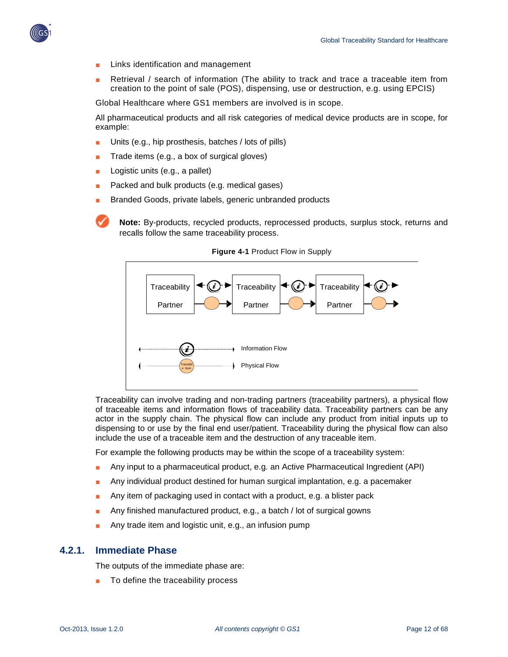

- Links identification and management
- Retrieval / search of information (The ability to track and trace a traceable item from creation to the point of sale (POS), dispensing, use or destruction, e.g. using EPCIS)

Global Healthcare where GS1 members are involved is in scope.

All pharmaceutical products and all risk categories of medical device products are in scope, for example:

- Units (e.g., hip prosthesis, batches / lots of pills)
- Trade items (e.g., a box of surgical gloves)
- Logistic units (e.g., a pallet)
- Packed and bulk products (e.g. medical gases)
- Branded Goods, private labels, generic unbranded products

**Note:** By-products, recycled products, reprocessed products, surplus stock, returns and recalls follow the same traceability process.



**Figure 4-1** Product Flow in Supply

Traceability can involve trading and non-trading partners (traceability partners), a physical flow of traceable items and information flows of traceability data. Traceability partners can be any actor in the supply chain. The physical flow can include any product from initial inputs up to dispensing to or use by the final end user/patient. Traceability during the physical flow can also include the use of a traceable item and the destruction of any traceable item.

For example the following products may be within the scope of a traceability system:

- Any input to a pharmaceutical product, e.g. an Active Pharmaceutical Ingredient (API)
- Any individual product destined for human surgical implantation, e.g. a pacemaker
- Any item of packaging used in contact with a product, e.g. a blister pack
- Any finished manufactured product, e.g., a batch / lot of surgical gowns
- Any trade item and logistic unit, e.g., an infusion pump

### <span id="page-11-0"></span>**4.2.1. Immediate Phase**

The outputs of the immediate phase are:

To define the traceability process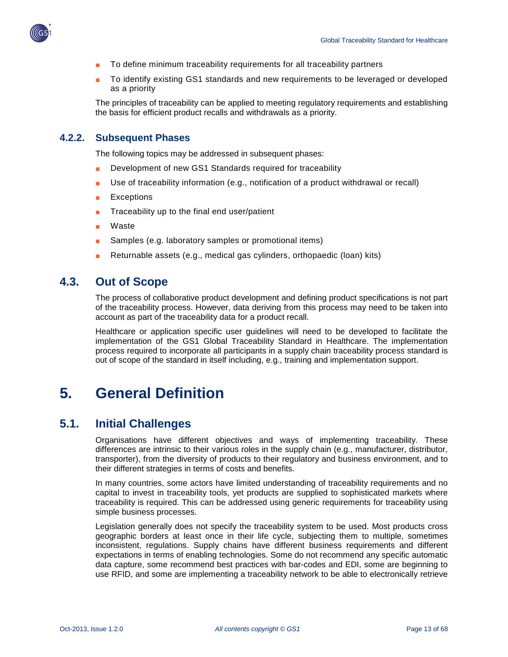

- To define minimum traceability requirements for all traceability partners
- To identify existing GS1 standards and new requirements to be leveraged or developed as a priority

The principles of traceability can be applied to meeting regulatory requirements and establishing the basis for efficient product recalls and withdrawals as a priority.

### <span id="page-12-0"></span>**4.2.2. Subsequent Phases**

The following topics may be addressed in subsequent phases:

- Development of new GS1 Standards required for traceability
- Use of traceability information (e.g., notification of a product withdrawal or recall)
- **Exceptions**
- Traceability up to the final end user/patient
- Waste
- Samples (e.g. laboratory samples or promotional items)
- Returnable assets (e.g., medical gas cylinders, orthopaedic (loan) kits)

### <span id="page-12-1"></span>**4.3. Out of Scope**

The process of collaborative product development and defining product specifications is not part of the traceability process. However, data deriving from this process may need to be taken into account as part of the traceability data for a product recall.

Healthcare or application specific user guidelines will need to be developed to facilitate the implementation of the GS1 Global Traceability Standard in Healthcare. The implementation process required to incorporate all participants in a supply chain traceability process standard is out of scope of the standard in itself including, e.g., training and implementation support.

# <span id="page-12-2"></span>**5. General Definition**

## <span id="page-12-3"></span>**5.1. Initial Challenges**

Organisations have different objectives and ways of implementing traceability. These differences are intrinsic to their various roles in the supply chain (e.g., manufacturer, distributor, transporter), from the diversity of products to their regulatory and business environment, and to their different strategies in terms of costs and benefits.

In many countries, some actors have limited understanding of traceability requirements and no capital to invest in traceability tools, yet products are supplied to sophisticated markets where traceability is required. This can be addressed using generic requirements for traceability using simple business processes.

Legislation generally does not specify the traceability system to be used. Most products cross geographic borders at least once in their life cycle, subjecting them to multiple, sometimes inconsistent, regulations. Supply chains have different business requirements and different expectations in terms of enabling technologies. Some do not recommend any specific automatic data capture, some recommend best practices with bar-codes and EDI, some are beginning to use RFID, and some are implementing a traceability network to be able to electronically retrieve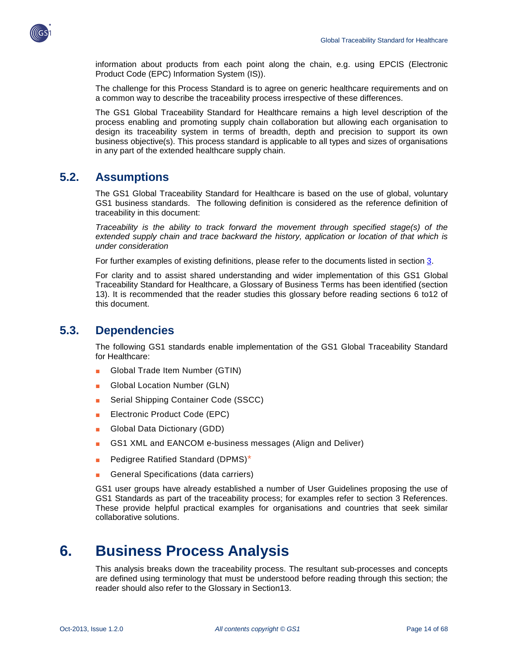

information about products from each point along the chain, e.g. using EPCIS (Electronic Product Code (EPC) Information System (IS)).

The challenge for this Process Standard is to agree on generic healthcare requirements and on a common way to describe the traceability process irrespective of these differences.

The GS1 Global Traceability Standard for Healthcare remains a high level description of the process enabling and promoting supply chain collaboration but allowing each organisation to design its traceability system in terms of breadth, depth and precision to support its own business objective(s). This process standard is applicable to all types and sizes of organisations in any part of the extended healthcare supply chain.

## <span id="page-13-0"></span>**5.2. Assumptions**

The GS1 Global Traceability Standard for Healthcare is based on the use of global, voluntary GS1 business standards. The following definition is considered as the reference definition of traceability in this document:

*Traceability is the ability to track forward the movement through specified stage(s) of the extended supply chain and trace backward the history, application or location of that which is under consideration*

For further examples of existing definitions, please refer to the documents listed in section [3.](#page-10-1)

For clarity and to assist shared understanding and wider implementation of this GS1 Global Traceability Standard for Healthcare, a Glossary of Business Terms has been identified (section 13). It is recommended that the reader studies this glossary before reading sections 6 to12 of this document.

### <span id="page-13-1"></span>**5.3. Dependencies**

The following GS1 standards enable implementation of the GS1 Global Traceability Standard for Healthcare:

- Global Trade Item Number (GTIN)
- Global Location Number (GLN)
- Serial Shipping Container Code (SSCC)
- Electronic Product Code (EPC)
- Global Data Dictionary (GDD)
- GS1 XML and EANCOM e-business messages (Align and Deliver)
- Pedigree Ratified Standard (DPMS)\*
- General Specifications (data carriers)

GS1 user groups have already established a number of User Guidelines proposing the use of GS1 Standards as part of the traceability process; for examples refer to section 3 References. These provide helpful practical examples for organisations and countries that seek similar collaborative solutions.

# <span id="page-13-2"></span>**6. Business Process Analysis**

This analysis breaks down the traceability process. The resultant sub-processes and concepts are defined using terminology that must be understood before reading through this section; the reader should also refer to the Glossary in Section13.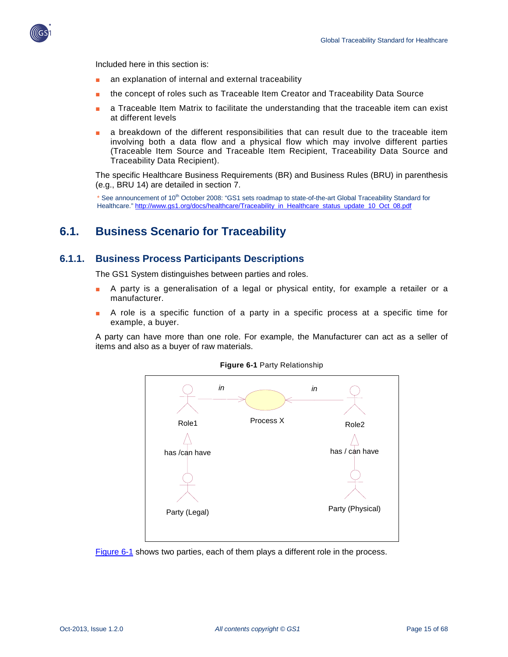

Included here in this section is:

- an explanation of internal and external traceability
- the concept of roles such as Traceable Item Creator and Traceability Data Source
- a Traceable Item Matrix to facilitate the understanding that the traceable item can exist at different levels
- a breakdown of the different responsibilities that can result due to the traceable item involving both a data flow and a physical flow which may involve different parties (Traceable Item Source and Traceable Item Recipient, Traceability Data Source and Traceability Data Recipient).

The specific Healthcare Business Requirements (BR) and Business Rules (BRU) in parenthesis (e.g., BRU 14) are detailed in section 7.

\* See announcement of 10<sup>th</sup> October 2008: "GS1 sets roadmap to state-of-the-art Global Traceability Standard for Healthcare." [http://www.gs1.org/docs/healthcare/Traceability\\_in\\_Healthcare\\_status\\_update\\_10\\_Oct\\_08.pdf](http://www.gs1.org/docs/healthcare/Traceability_in_Healthcare_status_update_10_Oct_08.pdf)

## <span id="page-14-0"></span>**6.1. Business Scenario for Traceability**

### <span id="page-14-1"></span>**6.1.1. Business Process Participants Descriptions**

The GS1 System distinguishes between parties and roles.

- A party is a generalisation of a legal or physical entity, for example a retailer or a manufacturer.
- A role is a specific function of a party in a specific process at a specific time for example, a buyer.

<span id="page-14-2"></span>A party can have more than one role. For example, the Manufacturer can act as a seller of items and also as a buyer of raw materials.



**Figure 6-1** Party Relationship

[Figure 6-1](#page-14-2) shows two parties, each of them plays a different role in the process.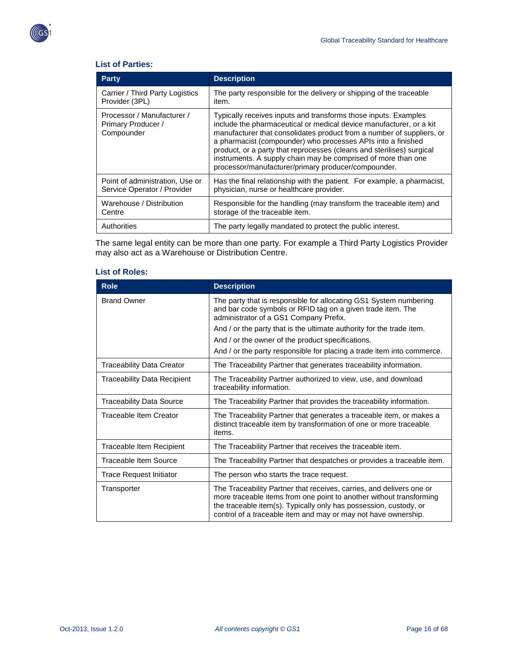

#### **List of Parties:**

| <b>Party</b>                                                   | <b>Description</b>                                                                                                                                                                                                                                                                                                                                                                                                                                                               |
|----------------------------------------------------------------|----------------------------------------------------------------------------------------------------------------------------------------------------------------------------------------------------------------------------------------------------------------------------------------------------------------------------------------------------------------------------------------------------------------------------------------------------------------------------------|
| Carrier / Third Party Logistics                                | The party responsible for the delivery or shipping of the traceable                                                                                                                                                                                                                                                                                                                                                                                                              |
| Provider (3PL)                                                 | item.                                                                                                                                                                                                                                                                                                                                                                                                                                                                            |
| Processor / Manufacturer /<br>Primary Producer /<br>Compounder | Typically receives inputs and transforms those inputs. Examples<br>include the pharmaceutical or medical device manufacturer, or a kit<br>manufacturer that consolidates product from a number of suppliers, or<br>a pharmacist (compounder) who processes APIs into a finished<br>product, or a party that reprocesses (cleans and sterilises) surgical<br>instruments. A supply chain may be comprised of more than one<br>processor/manufacturer/primary producer/compounder. |
| Point of administration, Use or                                | Has the final relationship with the patient. For example, a pharmacist,                                                                                                                                                                                                                                                                                                                                                                                                          |
| Service Operator / Provider                                    | physician, nurse or healthcare provider.                                                                                                                                                                                                                                                                                                                                                                                                                                         |
| Warehouse / Distribution                                       | Responsible for the handling (may transform the traceable item) and                                                                                                                                                                                                                                                                                                                                                                                                              |
| Centre                                                         | storage of the traceable item.                                                                                                                                                                                                                                                                                                                                                                                                                                                   |
| Authorities                                                    | The party legally mandated to protect the public interest.                                                                                                                                                                                                                                                                                                                                                                                                                       |

The same legal entity can be more than one party. For example a Third Party Logistics Provider may also act as a Warehouse or Distribution Centre.

#### **List of Roles:**

| <b>Role</b>                      | <b>Description</b>                                                                                                                                                                                                                                                                                       |  |  |  |  |
|----------------------------------|----------------------------------------------------------------------------------------------------------------------------------------------------------------------------------------------------------------------------------------------------------------------------------------------------------|--|--|--|--|
| <b>Brand Owner</b>               | The party that is responsible for allocating GS1 System numbering<br>and bar code symbols or RFID tag on a given trade item. The<br>administrator of a GS1 Company Prefix.<br>And / or the party that is the ultimate authority for the trade item.<br>And / or the owner of the product specifications. |  |  |  |  |
|                                  | And / or the party responsible for placing a trade item into commerce.                                                                                                                                                                                                                                   |  |  |  |  |
| <b>Traceability Data Creator</b> | The Traceability Partner that generates traceability information.                                                                                                                                                                                                                                        |  |  |  |  |
| Traceability Data Recipient      | The Traceability Partner authorized to view, use, and download<br>traceability information.                                                                                                                                                                                                              |  |  |  |  |
| <b>Traceability Data Source</b>  | The Traceability Partner that provides the traceability information.                                                                                                                                                                                                                                     |  |  |  |  |
| Traceable Item Creator           | The Traceability Partner that generates a traceable item, or makes a<br>distinct traceable item by transformation of one or more traceable<br>items.                                                                                                                                                     |  |  |  |  |
| Traceable Item Recipient         | The Traceability Partner that receives the traceable item.                                                                                                                                                                                                                                               |  |  |  |  |
| Traceable Item Source            | The Traceability Partner that despatches or provides a traceable item.                                                                                                                                                                                                                                   |  |  |  |  |
| <b>Trace Request Initiator</b>   | The person who starts the trace request.                                                                                                                                                                                                                                                                 |  |  |  |  |
| Transporter                      | The Traceability Partner that receives, carries, and delivers one or<br>more traceable items from one point to another without transforming<br>the traceable item(s). Typically only has possession, custody, or<br>control of a traceable item and may or may not have ownership.                       |  |  |  |  |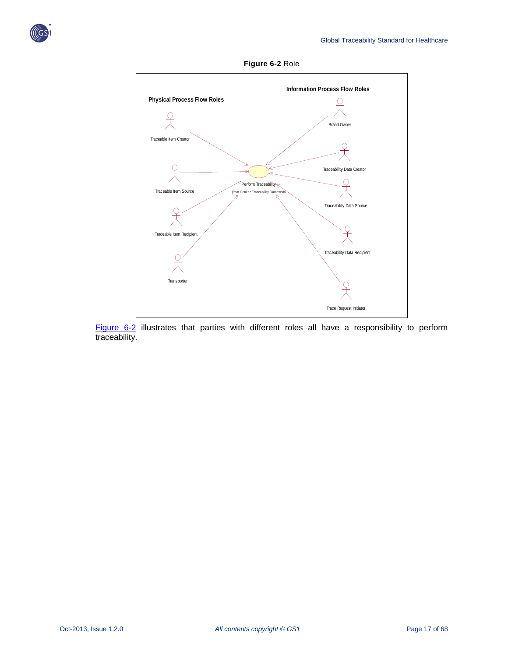<span id="page-16-0"></span>



**Figure 6-2** Role

[Figure 6-2](#page-16-0) illustrates that parties with different roles all have a responsibility to perform traceability.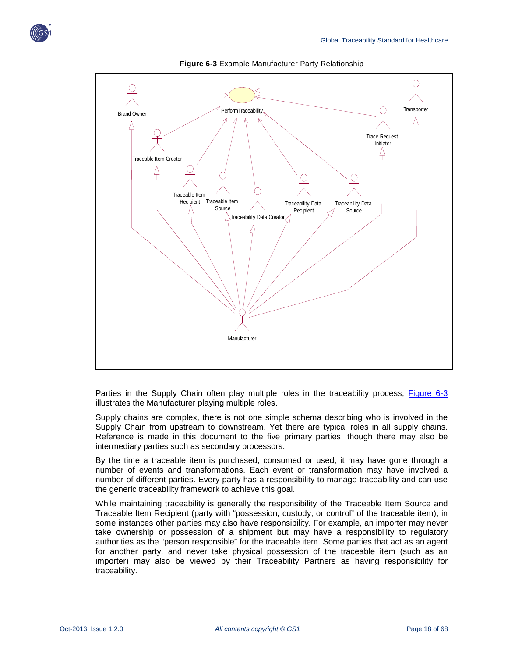

<span id="page-17-0"></span>

**Figure 6-3** Example Manufacturer Party Relationship

Parties in the Supply Chain often play multiple roles in the traceability process; [Figure 6-3](#page-17-0) illustrates the Manufacturer playing multiple roles.

Supply chains are complex, there is not one simple schema describing who is involved in the Supply Chain from upstream to downstream. Yet there are typical roles in all supply chains. Reference is made in this document to the five primary parties, though there may also be intermediary parties such as secondary processors.

By the time a traceable item is purchased, consumed or used, it may have gone through a number of events and transformations. Each event or transformation may have involved a number of different parties. Every party has a responsibility to manage traceability and can use the generic traceability framework to achieve this goal.

While maintaining traceability is generally the responsibility of the Traceable Item Source and Traceable Item Recipient (party with "possession, custody, or control" of the traceable item), in some instances other parties may also have responsibility. For example, an importer may never take ownership or possession of a shipment but may have a responsibility to regulatory authorities as the "person responsible" for the traceable item. Some parties that act as an agent for another party, and never take physical possession of the traceable item (such as an importer) may also be viewed by their Traceability Partners as having responsibility for traceability.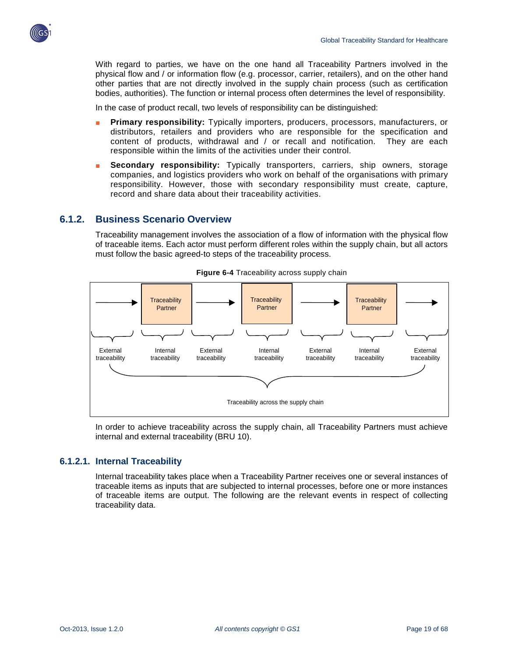

With regard to parties, we have on the one hand all Traceability Partners involved in the physical flow and / or information flow (e.g. processor, carrier, retailers), and on the other hand other parties that are not directly involved in the supply chain process (such as certification bodies, authorities). The function or internal process often determines the level of responsibility.

In the case of product recall, two levels of responsibility can be distinguished:

- **Primary responsibility:** Typically importers, producers, processors, manufacturers, or distributors, retailers and providers who are responsible for the specification and content of products, withdrawal and / or recall and notification. They are each responsible within the limits of the activities under their control.
- **Secondary responsibility:** Typically transporters, carriers, ship owners, storage companies, and logistics providers who work on behalf of the organisations with primary responsibility. However, those with secondary responsibility must create, capture, record and share data about their traceability activities.

### <span id="page-18-0"></span>**6.1.2. Business Scenario Overview**

Traceability management involves the association of a flow of information with the physical flow of traceable items. Each actor must perform different roles within the supply chain, but all actors must follow the basic agreed-to steps of the traceability process.



**Figure 6-4** Traceability across supply chain

In order to achieve traceability across the supply chain, all Traceability Partners must achieve internal and external traceability (BRU 10).

#### **6.1.2.1. Internal Traceability**

Internal traceability takes place when a Traceability Partner receives one or several instances of traceable items as inputs that are subjected to internal processes, before one or more instances of traceable items are output. The following are the relevant events in respect of collecting traceability data.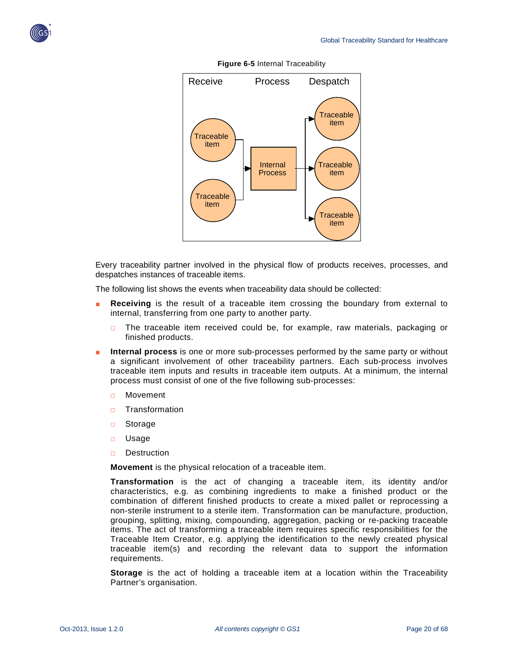





Every traceability partner involved in the physical flow of products receives, processes, and despatches instances of traceable items.

The following list shows the events when traceability data should be collected:

- **Receiving** is the result of a traceable item crossing the boundary from external to internal, transferring from one party to another party.
	- □ The traceable item received could be, for example, raw materials, packaging or finished products.
- **Internal process** is one or more sub-processes performed by the same party or without a significant involvement of other traceability partners. Each sub-process involves traceable item inputs and results in traceable item outputs. At a minimum, the internal process must consist of one of the five following sub-processes:
	- □ Movement
	- □ Transformation
	- □ Storage
	- □ Usage
	- □ Destruction

**Movement** is the physical relocation of a traceable item.

**Transformation** is the act of changing a traceable item, its identity and/or characteristics, e.g. as combining ingredients to make a finished product or the combination of different finished products to create a mixed pallet or reprocessing a non-sterile instrument to a sterile item. Transformation can be manufacture, production, grouping, splitting, mixing, compounding, aggregation, packing or re-packing traceable items. The act of transforming a traceable item requires specific responsibilities for the Traceable Item Creator, e.g. applying the identification to the newly created physical traceable item(s) and recording the relevant data to support the information requirements.

**Storage** is the act of holding a traceable item at a location within the Traceability Partner's organisation.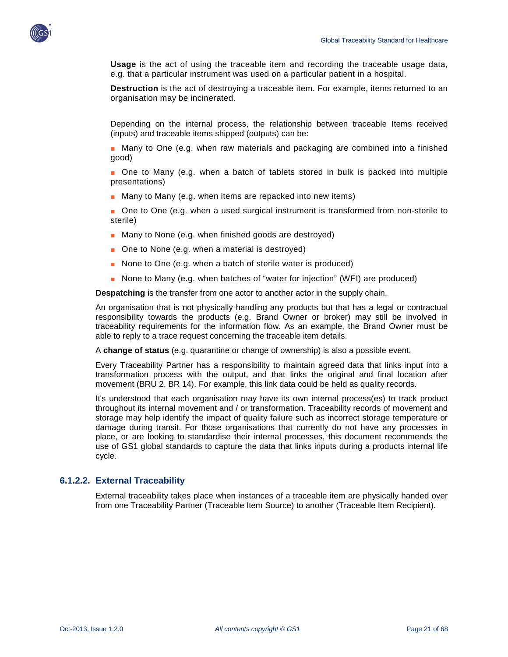

**Usage** is the act of using the traceable item and recording the traceable usage data, e.g. that a particular instrument was used on a particular patient in a hospital.

**Destruction** is the act of destroying a traceable item. For example, items returned to an organisation may be incinerated.

Depending on the internal process, the relationship between traceable Items received (inputs) and traceable items shipped (outputs) can be:

■ Many to One (e.g. when raw materials and packaging are combined into a finished good)

■ One to Many (e.g. when a batch of tablets stored in bulk is packed into multiple presentations)

- Many to Many (e.g. when items are repacked into new items)
- One to One (e.g. when a used surgical instrument is transformed from non-sterile to sterile)
- Many to None (e.g. when finished goods are destroyed)
- One to None (e.g. when a material is destroyed)
- None to One (e.g. when a batch of sterile water is produced)
- None to Many (e.g. when batches of "water for injection" (WFI) are produced)

**Despatching** is the transfer from one actor to another actor in the supply chain.

An organisation that is not physically handling any products but that has a legal or contractual responsibility towards the products (e.g. Brand Owner or broker) may still be involved in traceability requirements for the information flow. As an example, the Brand Owner must be able to reply to a trace request concerning the traceable item details.

A **change of status** (e.g. quarantine or change of ownership) is also a possible event.

Every Traceability Partner has a responsibility to maintain agreed data that links input into a transformation process with the output, and that links the original and final location after movement (BRU 2, BR 14). For example, this link data could be held as quality records.

It's understood that each organisation may have its own internal process(es) to track product throughout its internal movement and / or transformation. Traceability records of movement and storage may help identify the impact of quality failure such as incorrect storage temperature or damage during transit. For those organisations that currently do not have any processes in place, or are looking to standardise their internal processes, this document recommends the use of GS1 global standards to capture the data that links inputs during a products internal life cycle.

#### **6.1.2.2. External Traceability**

External traceability takes place when instances of a traceable item are physically handed over from one Traceability Partner (Traceable Item Source) to another (Traceable Item Recipient).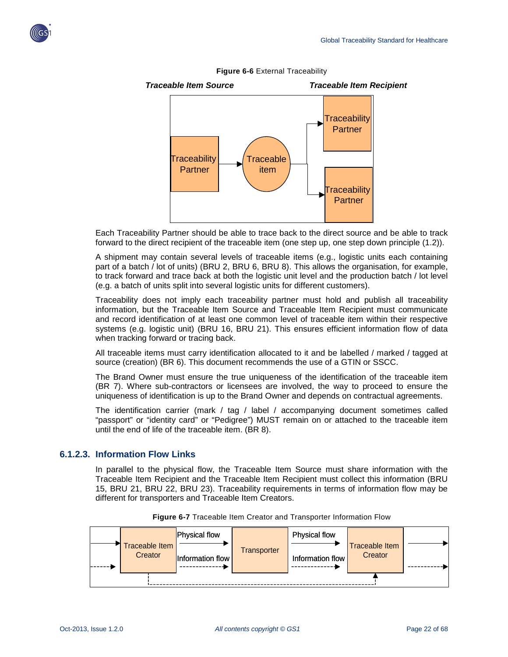



Each Traceability Partner should be able to trace back to the direct source and be able to track forward to the direct recipient of the traceable item (one step up, one step down principle (1.2)).

A shipment may contain several levels of traceable items (e.g., logistic units each containing part of a batch / lot of units) (BRU 2, BRU 6, BRU 8). This allows the organisation, for example, to track forward and trace back at both the logistic unit level and the production batch / lot level (e.g. a batch of units split into several logistic units for different customers).

Traceability does not imply each traceability partner must hold and publish all traceability information, but the Traceable Item Source and Traceable Item Recipient must communicate and record identification of at least one common level of traceable item within their respective systems (e.g. logistic unit) (BRU 16, BRU 21). This ensures efficient information flow of data when tracking forward or tracing back.

All traceable items must carry identification allocated to it and be labelled / marked / tagged at source (creation) (BR 6). This document recommends the use of a GTIN or SSCC.

The Brand Owner must ensure the true uniqueness of the identification of the traceable item (BR 7). Where sub-contractors or licensees are involved, the way to proceed to ensure the uniqueness of identification is up to the Brand Owner and depends on contractual agreements.

The identification carrier (mark / tag / label / accompanying document sometimes called "passport" or "identity card" or "Pedigree") MUST remain on or attached to the traceable item until the end of life of the traceable item. (BR 8).

### **6.1.2.3. Information Flow Links**

In parallel to the physical flow, the Traceable Item Source must share information with the Traceable Item Recipient and the Traceable Item Recipient must collect this information (BRU 15, BRU 21, BRU 22, BRU 23). Traceability requirements in terms of information flow may be different for transporters and Traceable Item Creators.

|  | Traceable Item<br>Creator | <b>Physical flow</b><br>Information flow | Transporter | Physical flow<br>Information flow | <b>Traceable Item</b><br>Creator |  |  |
|--|---------------------------|------------------------------------------|-------------|-----------------------------------|----------------------------------|--|--|
|  |                           |                                          |             |                                   |                                  |  |  |

| Figure 6-7 Traceable Item Creator and Transporter Information Flow |
|--------------------------------------------------------------------|
|--------------------------------------------------------------------|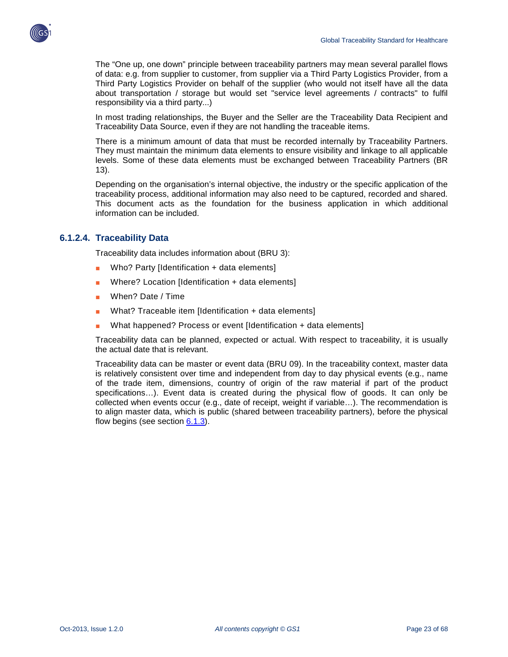

The "One up, one down" principle between traceability partners may mean several parallel flows of data: e.g. from supplier to customer, from supplier via a Third Party Logistics Provider, from a Third Party Logistics Provider on behalf of the supplier (who would not itself have all the data about transportation / storage but would set "service level agreements / contracts" to fulfil responsibility via a third party...)

In most trading relationships, the Buyer and the Seller are the Traceability Data Recipient and Traceability Data Source, even if they are not handling the traceable items.

There is a minimum amount of data that must be recorded internally by Traceability Partners. They must maintain the minimum data elements to ensure visibility and linkage to all applicable levels. Some of these data elements must be exchanged between Traceability Partners (BR 13).

Depending on the organisation's internal objective, the industry or the specific application of the traceability process, additional information may also need to be captured, recorded and shared. This document acts as the foundation for the business application in which additional information can be included.

### **6.1.2.4. Traceability Data**

Traceability data includes information about (BRU 3):

- Who? Party [Identification + data elements]
- Where? Location [Identification  $+$  data elements]
- When? Date / Time
- What? Traceable item [Identification + data elements]
- What happened? Process or event [Identification + data elements]

Traceability data can be planned, expected or actual. With respect to traceability, it is usually the actual date that is relevant.

Traceability data can be master or event data (BRU 09). In the traceability context, master data is relatively consistent over time and independent from day to day physical events (e.g., name of the trade item, dimensions, country of origin of the raw material if part of the product specifications…). Event data is created during the physical flow of goods. It can only be collected when events occur (e.g., date of receipt, weight if variable…). The recommendation is to align master data, which is public (shared between traceability partners), before the physical flow begins (see section [6.1.3\)](#page-28-0).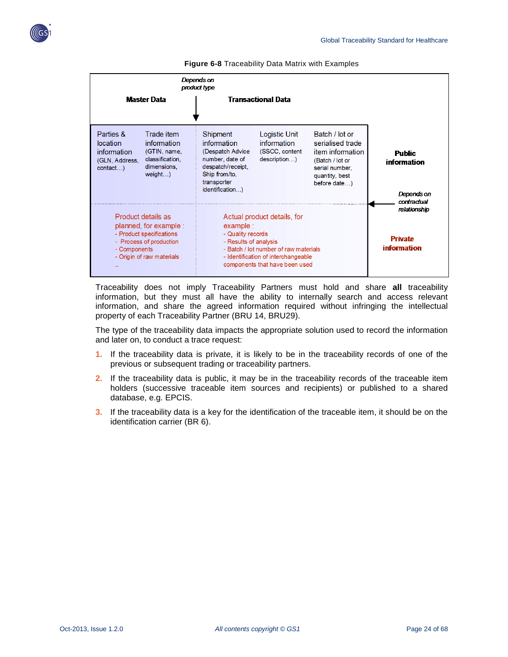

|                                                                       |                                                                                                                                  | Depends on<br>product type                                                                                                             |                                                                                                                                               |                                                                                                                               |                                                    |
|-----------------------------------------------------------------------|----------------------------------------------------------------------------------------------------------------------------------|----------------------------------------------------------------------------------------------------------------------------------------|-----------------------------------------------------------------------------------------------------------------------------------------------|-------------------------------------------------------------------------------------------------------------------------------|----------------------------------------------------|
|                                                                       | <b>Master Data</b>                                                                                                               |                                                                                                                                        | <b>Transactional Data</b>                                                                                                                     |                                                                                                                               |                                                    |
| Parties &<br>location<br>information<br>(GLN, Address,<br>$contact$ ) | Trade item<br>information<br>(GTIN, name,<br>classification.<br>dimensions,<br>weight)                                           | Shipment<br>information<br>(Despatch Advice<br>number, date of<br>despatch/receipt,<br>Ship from/to,<br>transporter<br>identification) | Logistic Unit<br>information<br>(SSCC, content<br>description)                                                                                | Batch / lot or<br>serialised trade<br>item information<br>(Batch / lot or<br>serial number.<br>quantity, best<br>before date) | Public<br>information<br>Depends on<br>contractual |
| - Components                                                          | Product details as<br>planned, for example :<br>- Product specifications<br>- Process of production<br>- Origin of raw materials | example :<br>- Quality records<br>- Results of analysis                                                                                | Actual product details, for<br>- Batch / lot number of raw materials<br>- Identification of interchangeable<br>components that have been used |                                                                                                                               | relationship<br><b>Private</b><br>information      |

**Figure 6-8** Traceability Data Matrix with Examples

Traceability does not imply Traceability Partners must hold and share **all** traceability information, but they must all have the ability to internally search and access relevant information, and share the agreed information required without infringing the intellectual property of each Traceability Partner (BRU 14, BRU29).

The type of the traceability data impacts the appropriate solution used to record the information and later on, to conduct a trace request:

- **1.** If the traceability data is private, it is likely to be in the traceability records of one of the previous or subsequent trading or traceability partners.
- **2.** If the traceability data is public, it may be in the traceability records of the traceable item holders (successive traceable item sources and recipients) or published to a shared database, e.g. EPCIS.
- **3.** If the traceability data is a key for the identification of the traceable item, it should be on the identification carrier (BR 6).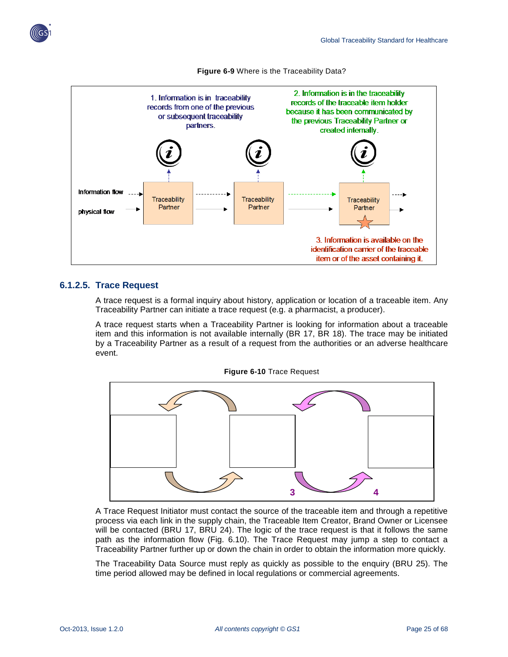



**Figure 6-9** Where is the Traceability Data?

### **6.1.2.5. Trace Request**

A trace request is a formal inquiry about history, application or location of a traceable item. Any Traceability Partner can initiate a trace request (e.g. a pharmacist, a producer).

A trace request starts when a Traceability Partner is looking for information about a traceable item and this information is not available internally (BR 17, BR 18). The trace may be initiated by a Traceability Partner as a result of a request from the authorities or an adverse healthcare event.



A Trace Request Initiator must contact the source of the traceable item and through a repetitive process via each link in the supply chain, the Traceable Item Creator, Brand Owner or Licensee will be contacted (BRU 17, BRU 24). The logic of the trace request is that it follows the same path as the information flow (Fig. 6.10). The Trace Request may jump a step to contact a Traceability Partner further up or down the chain in order to obtain the information more quickly.

The Traceability Data Source must reply as quickly as possible to the enquiry (BRU 25). The time period allowed may be defined in local regulations or commercial agreements.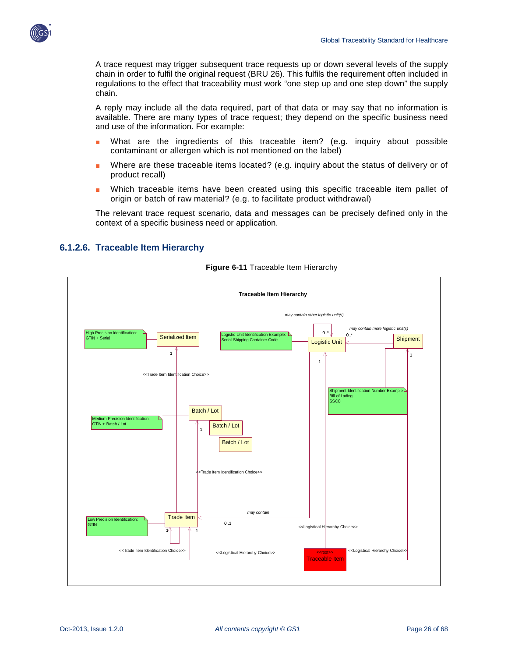

A trace request may trigger subsequent trace requests up or down several levels of the supply chain in order to fulfil the original request (BRU 26). This fulfils the requirement often included in regulations to the effect that traceability must work "one step up and one step down" the supply chain.

A reply may include all the data required, part of that data or may say that no information is available. There are many types of trace request; they depend on the specific business need and use of the information. For example:

- What are the ingredients of this traceable item? (e.g. inquiry about possible contaminant or allergen which is not mentioned on the label)
- Where are these traceable items located? (e.g. inquiry about the status of delivery or of product recall)
- Which traceable items have been created using this specific traceable item pallet of origin or batch of raw material? (e.g. to facilitate product withdrawal)

The relevant trace request scenario, data and messages can be precisely defined only in the context of a specific business need or application.



### **6.1.2.6. Traceable Item Hierarchy**

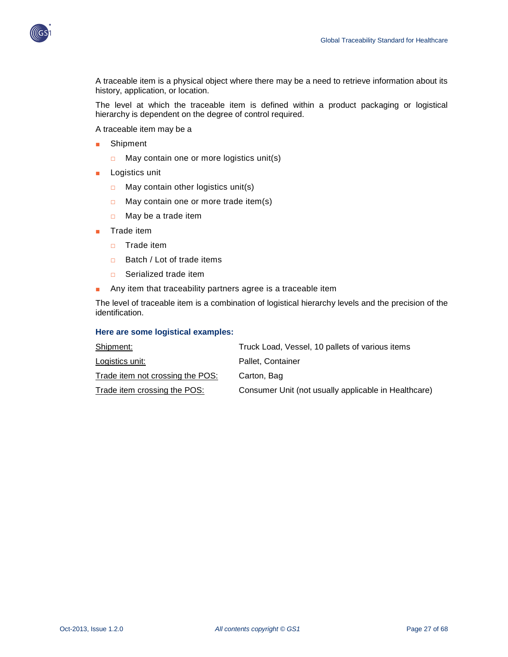

A traceable item is a physical object where there may be a need to retrieve information about its history, application, or location.

The level at which the traceable item is defined within a product packaging or logistical hierarchy is dependent on the degree of control required.

A traceable item may be a

- Shipment
	- $\Box$  May contain one or more logistics unit(s)
- Logistics unit
	- □ May contain other logistics unit(s)
	- □ May contain one or more trade item(s)
	- □ May be a trade item
- Trade item
	- □ Trade item
	- □ Batch / Lot of trade items
	- □ Serialized trade item
- Any item that traceability partners agree is a traceable item

The level of traceable item is a combination of logistical hierarchy levels and the precision of the identification.

#### **Here are some logistical examples:**

| Shipment:                        | Truck Load, Vessel, 10 pallets of various items      |
|----------------------------------|------------------------------------------------------|
| <u> Logistics unit:</u>          | Pallet, Container                                    |
| Trade item not crossing the POS: | Carton, Bag                                          |
| Trade item crossing the POS:     | Consumer Unit (not usually applicable in Healthcare) |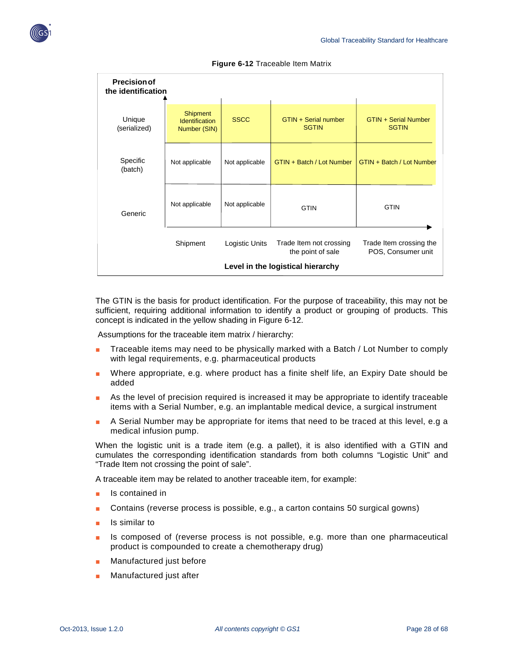

| <b>Precision of</b><br>the identification |                                                          |                |                                              |                                               |
|-------------------------------------------|----------------------------------------------------------|----------------|----------------------------------------------|-----------------------------------------------|
| Unique<br>(serialized)                    | <b>Shipment</b><br><b>Identification</b><br>Number (SIN) | <b>SSCC</b>    | GTIN + Serial number<br><b>SGTIN</b>         | <b>GTIN + Serial Number</b><br><b>SGTIN</b>   |
| Specific<br>(batch)                       | Not applicable                                           | Not applicable | GTIN + Batch / Lot Number                    | GTIN + Batch / Lot Number                     |
| Generic                                   | Not applicable                                           | Not applicable | <b>GTIN</b>                                  | <b>GTIN</b>                                   |
|                                           | Shipment                                                 | Logistic Units | Trade Item not crossing<br>the point of sale | Trade Item crossing the<br>POS, Consumer unit |
|                                           |                                                          |                | Level in the logistical hierarchy            |                                               |

**Figure 6-12** Traceable Item Matrix

The GTIN is the basis for product identification. For the purpose of traceability, this may not be sufficient, requiring additional information to identify a product or grouping of products. This concept is indicated in the yellow shading in Figure 6-12.

Assumptions for the traceable item matrix / hierarchy:

- Traceable items may need to be physically marked with a Batch / Lot Number to comply with legal requirements, e.g. pharmaceutical products
- Where appropriate, e.g. where product has a finite shelf life, an Expiry Date should be added
- As the level of precision required is increased it may be appropriate to identify traceable items with a Serial Number, e.g. an implantable medical device, a surgical instrument
- A Serial Number may be appropriate for items that need to be traced at this level, e.g a medical infusion pump.

When the logistic unit is a trade item (e.g. a pallet), it is also identified with a GTIN and cumulates the corresponding identification standards from both columns "Logistic Unit" and "Trade Item not crossing the point of sale".

A traceable item may be related to another traceable item, for example:

- Is contained in
- Contains (reverse process is possible, e.g., a carton contains 50 surgical gowns)
- Is similar to
- Is composed of (reverse process is not possible, e.g. more than one pharmaceutical product is compounded to create a chemotherapy drug)
- Manufactured just before
- Manufactured just after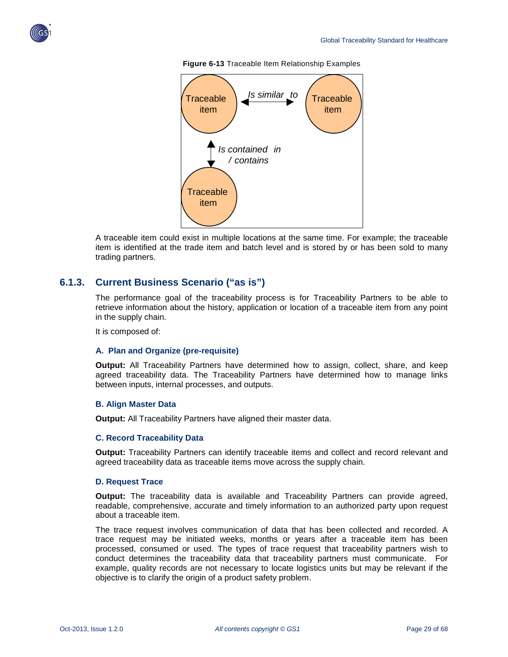





A traceable item could exist in multiple locations at the same time. For example; the traceable item is identified at the trade item and batch level and is stored by or has been sold to many trading partners.

### <span id="page-28-0"></span>**6.1.3. Current Business Scenario ("as is")**

The performance goal of the traceability process is for Traceability Partners to be able to retrieve information about the history, application or location of a traceable item from any point in the supply chain.

It is composed of:

#### **A. Plan and Organize (pre-requisite)**

**Output:** All Traceability Partners have determined how to assign, collect, share, and keep agreed traceability data. The Traceability Partners have determined how to manage links between inputs, internal processes, and outputs.

#### **B. Align Master Data**

**Output:** All Traceability Partners have aligned their master data.

#### **C. Record Traceability Data**

**Output:** Traceability Partners can identify traceable items and collect and record relevant and agreed traceability data as traceable items move across the supply chain.

#### **D. Request Trace**

**Output:** The traceability data is available and Traceability Partners can provide agreed, readable, comprehensive, accurate and timely information to an authorized party upon request about a traceable item.

The trace request involves communication of data that has been collected and recorded. A trace request may be initiated weeks, months or years after a traceable item has been processed, consumed or used. The types of trace request that traceability partners wish to conduct determines the traceability data that traceability partners must communicate. For example, quality records are not necessary to locate logistics units but may be relevant if the objective is to clarify the origin of a product safety problem.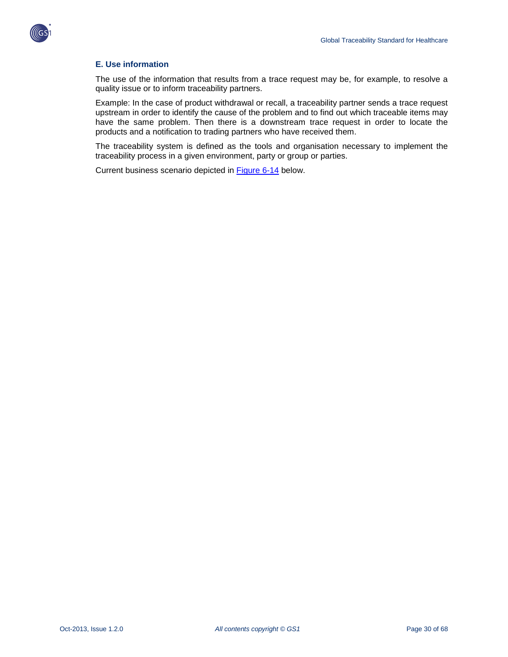

### **E. Use information**

The use of the information that results from a trace request may be, for example, to resolve a quality issue or to inform traceability partners.

Example: In the case of product withdrawal or recall, a traceability partner sends a trace request upstream in order to identify the cause of the problem and to find out which traceable items may have the same problem. Then there is a downstream trace request in order to locate the products and a notification to trading partners who have received them.

The traceability system is defined as the tools and organisation necessary to implement the traceability process in a given environment, party or group or parties.

Current business scenario depicted in [Figure 6-14](#page-30-0) below.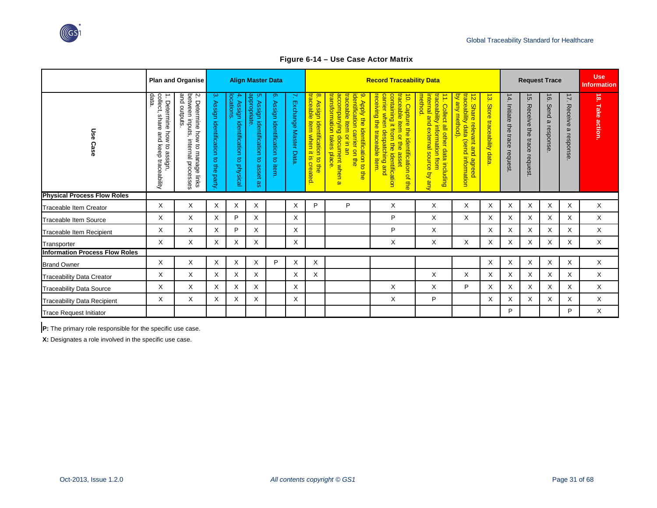

|                                       |                                                                                              | Plan and Organise                                                                                     |                                        |                                                      | <b>Align Master Data</b>                            |                                   |                         |                                                                                                              |                                                                                                                                                                         | <b>Record Traceability Data</b>                                                                                                                                                     |                                                                                                                         |                                                                                                                             |                             |                                | <b>Request Trace</b>                   |                                           |                                              | <b>Use</b><br><b>Information</b> |
|---------------------------------------|----------------------------------------------------------------------------------------------|-------------------------------------------------------------------------------------------------------|----------------------------------------|------------------------------------------------------|-----------------------------------------------------|-----------------------------------|-------------------------|--------------------------------------------------------------------------------------------------------------|-------------------------------------------------------------------------------------------------------------------------------------------------------------------------|-------------------------------------------------------------------------------------------------------------------------------------------------------------------------------------|-------------------------------------------------------------------------------------------------------------------------|-----------------------------------------------------------------------------------------------------------------------------|-----------------------------|--------------------------------|----------------------------------------|-------------------------------------------|----------------------------------------------|----------------------------------|
| Use<br>Case                           | data<br>collect,<br>Determine<br>share<br>Non<br>and<br>ਰ<br>keep<br>assign,<br>traceability | 2. Determine how to<br>between inputs, inter<br>and outputs.<br>internal<br>manage links<br>processes | 3. Assign identification to the party. | locations<br>4.<br>Assign identification to physical | appropriate<br>5. Assign identification to asset as | 6. Assign identification to item. | 7. Exchange Master Data | 8. Assign<br>traceable<br>item when it is<br><b>identification</b><br>$\overline{5}$<br><b>created.</b><br>₽ | transformation takes place.<br>accompanying document when<br>traceable item or in an<br>identification carrier on the<br>9. Apply the identification to the<br>$\omega$ | carrier when<br>traceable item or the<br>receiving the traceable item<br>containing it from the identification<br>10. Capture the identification of the<br>despatching and<br>asset | internal and external source by any<br>traceability information from<br>method.<br>11. Collect all other data including | traceability data<br>by any method).<br>$\vec{z}$<br>Share relevant and agreed<br>Seability data (send information<br>(send | 13. Store traceability data | 14. Initiate the trace request | $\vec{5}$<br>Receive the trace request | 16.<br>Send<br>$\pmb{\omega}$<br>response | $\rightarrow$<br>Ν.<br>Receive<br>a response | 18. Take action.                 |
| <b>Physical Process Flow Roles</b>    |                                                                                              |                                                                                                       |                                        |                                                      |                                                     |                                   |                         |                                                                                                              |                                                                                                                                                                         |                                                                                                                                                                                     |                                                                                                                         |                                                                                                                             |                             |                                |                                        |                                           |                                              |                                  |
| <b>Traceable Item Creator</b>         | X                                                                                            | X                                                                                                     | X                                      | X                                                    | X                                                   |                                   | X                       | P                                                                                                            | P                                                                                                                                                                       | X                                                                                                                                                                                   | X                                                                                                                       | X                                                                                                                           | X                           | Χ                              | Χ                                      | X                                         | X                                            | X                                |
| Traceable Item Source                 | X                                                                                            | X                                                                                                     | X                                      | P                                                    | X                                                   |                                   | X                       |                                                                                                              |                                                                                                                                                                         | P                                                                                                                                                                                   | X                                                                                                                       | X                                                                                                                           | X                           | X                              | X                                      | X                                         | X                                            | X                                |
| Traceable Item Recipient              | X                                                                                            | X                                                                                                     | Χ                                      | P                                                    | X                                                   |                                   | X                       |                                                                                                              |                                                                                                                                                                         | P                                                                                                                                                                                   | X                                                                                                                       |                                                                                                                             | X                           | X                              | X                                      | X                                         | X                                            | X                                |
| Transporter                           | X                                                                                            | X                                                                                                     | X                                      | X                                                    | X                                                   |                                   | X                       |                                                                                                              |                                                                                                                                                                         | X                                                                                                                                                                                   | X                                                                                                                       | X                                                                                                                           | X                           | X                              | X                                      | X                                         | X                                            | Χ                                |
| <b>Information Process Flow Roles</b> |                                                                                              |                                                                                                       |                                        |                                                      |                                                     |                                   |                         |                                                                                                              |                                                                                                                                                                         |                                                                                                                                                                                     |                                                                                                                         |                                                                                                                             |                             |                                |                                        |                                           |                                              |                                  |
| <b>Brand Owner</b>                    | X                                                                                            | X                                                                                                     | X                                      | X                                                    | Χ                                                   | P                                 | X                       | X                                                                                                            |                                                                                                                                                                         |                                                                                                                                                                                     |                                                                                                                         |                                                                                                                             | X                           | Χ                              | X                                      | X                                         | X                                            | X                                |
| <b>Traceability Data Creator</b>      | Χ                                                                                            | X                                                                                                     | X                                      | X                                                    | X                                                   |                                   | X                       | X                                                                                                            |                                                                                                                                                                         |                                                                                                                                                                                     | X                                                                                                                       | X                                                                                                                           | X                           | X                              | X                                      | X                                         | X                                            | X                                |
| <b>Traceability Data Source</b>       | X                                                                                            | X                                                                                                     | X                                      | X                                                    | X                                                   |                                   | X                       |                                                                                                              |                                                                                                                                                                         | X                                                                                                                                                                                   | X                                                                                                                       | P                                                                                                                           | X                           | X                              | X                                      | X                                         | X                                            | X                                |
| <b>Traceability Data Recipient</b>    | X                                                                                            | Χ                                                                                                     | X                                      | X                                                    | X                                                   |                                   | X                       |                                                                                                              |                                                                                                                                                                         | X                                                                                                                                                                                   | P                                                                                                                       |                                                                                                                             | X                           | X                              | X                                      | X                                         | X                                            | X                                |
| <b>Trace Request Initiator</b>        |                                                                                              |                                                                                                       |                                        |                                                      |                                                     |                                   |                         |                                                                                                              |                                                                                                                                                                         |                                                                                                                                                                                     |                                                                                                                         |                                                                                                                             |                             | Þ                              |                                        |                                           | P                                            | X                                |

<span id="page-30-0"></span>**P:** The primary role responsible for the specific use case.

**X:** Designates a role involved in the specific use case.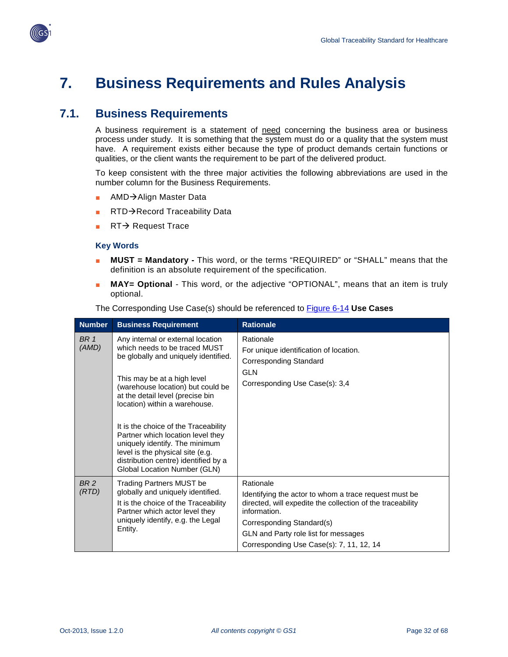



# <span id="page-31-0"></span>**7. Business Requirements and Rules Analysis**

## <span id="page-31-1"></span>**7.1. Business Requirements**

A business requirement is a statement of need concerning the business area or business process under study. It is something that the system must do or a quality that the system must have. A requirement exists either because the type of product demands certain functions or qualities, or the client wants the requirement to be part of the delivered product.

To keep consistent with the three major activities the following abbreviations are used in the number column for the Business Requirements.

- AMD $\rightarrow$ Align Master Data
- RTD $\rightarrow$ Record Traceability Data
- RT $\rightarrow$  Request Trace

#### **Key Words**

- **MUST = Mandatory -** This word, or the terms "REQUIRED" or "SHALL" means that the definition is an absolute requirement of the specification.
- **MAY= Optional** This word, or the adjective "OPTIONAL", means that an item is truly optional.

| <b>Number</b>            | <b>Business Requirement</b>                                                                                                                                                                                                                                                                                                                                                                                                                                                    | <b>Rationale</b>                                                                                                                                                                                                                                                  |
|--------------------------|--------------------------------------------------------------------------------------------------------------------------------------------------------------------------------------------------------------------------------------------------------------------------------------------------------------------------------------------------------------------------------------------------------------------------------------------------------------------------------|-------------------------------------------------------------------------------------------------------------------------------------------------------------------------------------------------------------------------------------------------------------------|
| BR <sub>1</sub><br>(AMD) | Any internal or external location<br>which needs to be traced MUST<br>be globally and uniquely identified.<br>This may be at a high level<br>(warehouse location) but could be<br>at the detail level (precise bin<br>location) within a warehouse.<br>It is the choice of the Traceability<br>Partner which location level they<br>uniquely identify. The minimum<br>level is the physical site (e.g.<br>distribution centre) identified by a<br>Global Location Number (GLN) | Rationale<br>For unique identification of location.<br>Corresponding Standard<br><b>GLN</b><br>Corresponding Use Case(s): 3,4                                                                                                                                     |
| BR <sub>2</sub><br>(RTD) | <b>Trading Partners MUST be</b><br>globally and uniquely identified.<br>It is the choice of the Traceability<br>Partner which actor level they<br>uniquely identify, e.g. the Legal<br>Entity.                                                                                                                                                                                                                                                                                 | Rationale<br>Identifying the actor to whom a trace request must be<br>directed, will expedite the collection of the traceability<br>information.<br>Corresponding Standard(s)<br>GLN and Party role list for messages<br>Corresponding Use Case(s): 7, 11, 12, 14 |

The Corresponding Use Case(s) should be referenced to [Figure 6-14](#page-30-0) **Use Cases**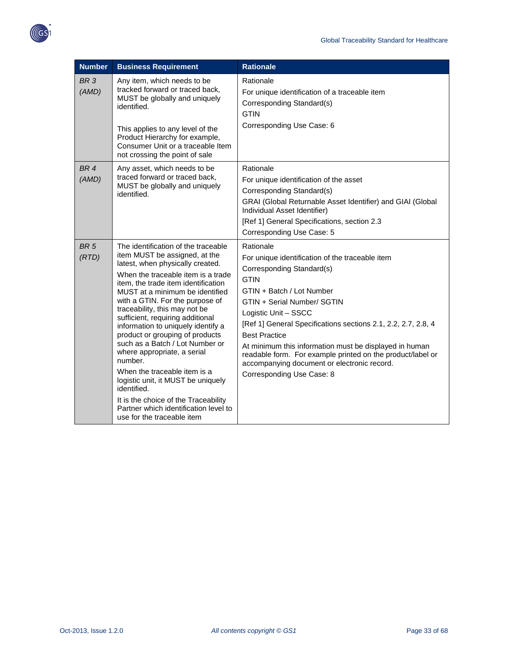

| <b>Number</b>            | <b>Business Requirement</b>                                                                                                                                                                                                                                                                                                                                                                                                                                                                                                                                                                                                                                                                | <b>Rationale</b>                                                                                                                                                                                                                                                                                                                                                                                                                                                                          |
|--------------------------|--------------------------------------------------------------------------------------------------------------------------------------------------------------------------------------------------------------------------------------------------------------------------------------------------------------------------------------------------------------------------------------------------------------------------------------------------------------------------------------------------------------------------------------------------------------------------------------------------------------------------------------------------------------------------------------------|-------------------------------------------------------------------------------------------------------------------------------------------------------------------------------------------------------------------------------------------------------------------------------------------------------------------------------------------------------------------------------------------------------------------------------------------------------------------------------------------|
| BR <sub>3</sub><br>(AMD) | Any item, which needs to be<br>tracked forward or traced back,<br>MUST be globally and uniquely<br>identified.<br>This applies to any level of the<br>Product Hierarchy for example,<br>Consumer Unit or a traceable Item<br>not crossing the point of sale                                                                                                                                                                                                                                                                                                                                                                                                                                | Rationale<br>For unique identification of a traceable item<br>Corresponding Standard(s)<br><b>GTIN</b><br>Corresponding Use Case: 6                                                                                                                                                                                                                                                                                                                                                       |
| BR <sub>4</sub><br>(AMD) | Any asset, which needs to be<br>traced forward or traced back.<br>MUST be globally and uniquely<br>identified.                                                                                                                                                                                                                                                                                                                                                                                                                                                                                                                                                                             | Rationale<br>For unique identification of the asset<br>Corresponding Standard(s)<br>GRAI (Global Returnable Asset Identifier) and GIAI (Global<br>Individual Asset Identifier)<br>[Ref 1] General Specifications, section 2.3<br>Corresponding Use Case: 5                                                                                                                                                                                                                                |
| BR <sub>5</sub><br>(RTD) | The identification of the traceable<br>item MUST be assigned, at the<br>latest, when physically created.<br>When the traceable item is a trade<br>item, the trade item identification<br>MUST at a minimum be identified<br>with a GTIN. For the purpose of<br>traceability, this may not be<br>sufficient, requiring additional<br>information to uniquely identify a<br>product or grouping of products<br>such as a Batch / Lot Number or<br>where appropriate, a serial<br>number.<br>When the traceable item is a<br>logistic unit, it MUST be uniquely<br>identified.<br>It is the choice of the Traceability<br>Partner which identification level to<br>use for the traceable item | Rationale<br>For unique identification of the traceable item<br>Corresponding Standard(s)<br><b>GTIN</b><br>GTIN + Batch / Lot Number<br>GTIN + Serial Number/ SGTIN<br>Logistic Unit - SSCC<br>[Ref 1] General Specifications sections 2.1, 2.2, 2.7, 2.8, 4<br><b>Best Practice</b><br>At minimum this information must be displayed in human<br>readable form. For example printed on the product/label or<br>accompanying document or electronic record.<br>Corresponding Use Case: 8 |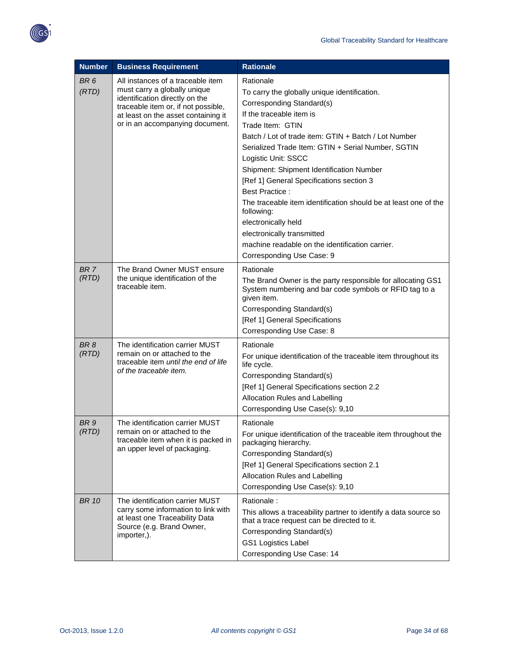



| <b>Number</b>            | <b>Business Requirement</b>                                                                                                                                                                                          | <b>Rationale</b>                                                                                                                                                                                                                                                                                                                                                                                                                                                                                                                                                                                                   |
|--------------------------|----------------------------------------------------------------------------------------------------------------------------------------------------------------------------------------------------------------------|--------------------------------------------------------------------------------------------------------------------------------------------------------------------------------------------------------------------------------------------------------------------------------------------------------------------------------------------------------------------------------------------------------------------------------------------------------------------------------------------------------------------------------------------------------------------------------------------------------------------|
| BR <sub>6</sub><br>(RTD) | All instances of a traceable item<br>must carry a globally unique<br>identification directly on the<br>traceable item or, if not possible,<br>at least on the asset containing it<br>or in an accompanying document. | Rationale<br>To carry the globally unique identification.<br>Corresponding Standard(s)<br>If the traceable item is<br>Trade Item: GTIN<br>Batch / Lot of trade item: GTIN + Batch / Lot Number<br>Serialized Trade Item: GTIN + Serial Number, SGTIN<br>Logistic Unit: SSCC<br>Shipment: Shipment Identification Number<br>[Ref 1] General Specifications section 3<br><b>Best Practice:</b><br>The traceable item identification should be at least one of the<br>following:<br>electronically held<br>electronically transmitted<br>machine readable on the identification carrier.<br>Corresponding Use Case: 9 |
| BR <sub>7</sub><br>(RTD) | The Brand Owner MUST ensure<br>the unique identification of the<br>traceable item.                                                                                                                                   | Rationale<br>The Brand Owner is the party responsible for allocating GS1<br>System numbering and bar code symbols or RFID tag to a<br>given item.<br>Corresponding Standard(s)<br>[Ref 1] General Specifications<br>Corresponding Use Case: 8                                                                                                                                                                                                                                                                                                                                                                      |
| BR <sub>8</sub><br>(RTD) | The identification carrier MUST<br>remain on or attached to the<br>traceable item until the end of life<br>of the traceable item.                                                                                    | Rationale<br>For unique identification of the traceable item throughout its<br>life cycle.<br>Corresponding Standard(s)<br>[Ref 1] General Specifications section 2.2<br>Allocation Rules and Labelling<br>Corresponding Use Case(s): 9,10                                                                                                                                                                                                                                                                                                                                                                         |
| BR <sub>9</sub><br>(RTD) | The identification carrier MUST<br>remain on or attached to the<br>traceable item when it is packed in<br>an upper level of packaging.                                                                               | Rationale<br>For unique identification of the traceable item throughout the<br>packaging hierarchy.<br>Corresponding Standard(s)<br>[Ref 1] General Specifications section 2.1<br>Allocation Rules and Labelling<br>Corresponding Use Case(s): 9,10                                                                                                                                                                                                                                                                                                                                                                |
| BR 10                    | The identification carrier MUST<br>carry some information to link with<br>at least one Traceability Data<br>Source (e.g. Brand Owner,<br>importer,).                                                                 | Rationale:<br>This allows a traceability partner to identify a data source so<br>that a trace request can be directed to it.<br>Corresponding Standard(s)<br><b>GS1 Logistics Label</b><br>Corresponding Use Case: 14                                                                                                                                                                                                                                                                                                                                                                                              |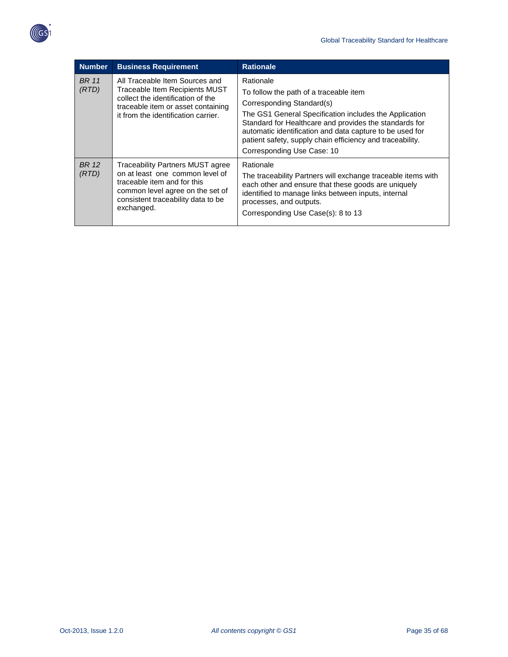

| <b>Number</b>         | <b>Business Requirement</b>                                                                                                                                                                       | <b>Rationale</b>                                                                                                                                                                                                                                                                                                                                            |
|-----------------------|---------------------------------------------------------------------------------------------------------------------------------------------------------------------------------------------------|-------------------------------------------------------------------------------------------------------------------------------------------------------------------------------------------------------------------------------------------------------------------------------------------------------------------------------------------------------------|
| <b>BR</b> 11<br>(RTD) | All Traceable Item Sources and<br>Traceable Item Recipients MUST<br>collect the identification of the<br>traceable item or asset containing<br>it from the identification carrier.                | Rationale<br>To follow the path of a traceable item<br>Corresponding Standard(s)<br>The GS1 General Specification includes the Application<br>Standard for Healthcare and provides the standards for<br>automatic identification and data capture to be used for<br>patient safety, supply chain efficiency and traceability.<br>Corresponding Use Case: 10 |
| BR 12<br>(RTD)        | <b>Traceability Partners MUST agree</b><br>on at least one common level of<br>traceable item and for this<br>common level agree on the set of<br>consistent traceability data to be<br>exchanged. | Rationale<br>The traceability Partners will exchange traceable items with<br>each other and ensure that these goods are uniquely<br>identified to manage links between inputs, internal<br>processes, and outputs.<br>Corresponding Use Case(s): 8 to 13                                                                                                    |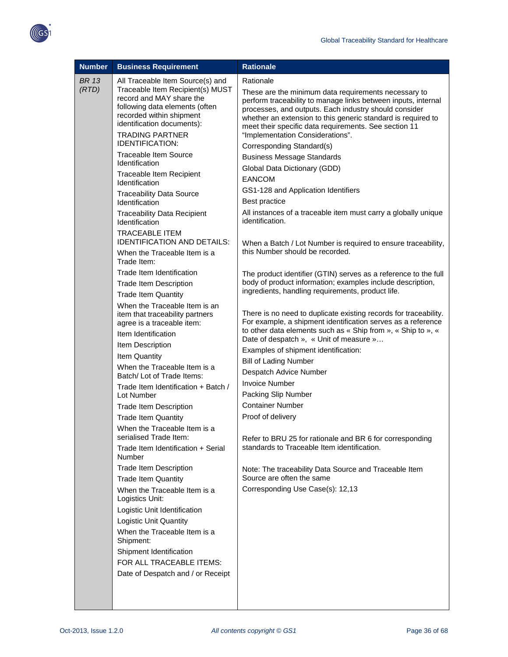

| <b>Number</b>         | <b>Business Requirement</b>                                                                                                                                                                                            | <b>Rationale</b>                                                                                                                                                                                                                                                                                                                            |
|-----------------------|------------------------------------------------------------------------------------------------------------------------------------------------------------------------------------------------------------------------|---------------------------------------------------------------------------------------------------------------------------------------------------------------------------------------------------------------------------------------------------------------------------------------------------------------------------------------------|
| <b>BR</b> 13<br>(RTD) | All Traceable Item Source(s) and<br>Traceable Item Recipient(s) MUST<br>record and MAY share the<br>following data elements (often<br>recorded within shipment<br>identification documents):<br><b>TRADING PARTNER</b> | Rationale                                                                                                                                                                                                                                                                                                                                   |
|                       |                                                                                                                                                                                                                        | These are the minimum data requirements necessary to<br>perform traceability to manage links between inputs, internal<br>processes, and outputs. Each industry should consider<br>whether an extension to this generic standard is required to<br>meet their specific data requirements. See section 11<br>"Implementation Considerations". |
|                       | <b>IDENTIFICATION:</b>                                                                                                                                                                                                 | Corresponding Standard(s)                                                                                                                                                                                                                                                                                                                   |
|                       | <b>Traceable Item Source</b>                                                                                                                                                                                           | <b>Business Message Standards</b>                                                                                                                                                                                                                                                                                                           |
|                       | Identification                                                                                                                                                                                                         | Global Data Dictionary (GDD)                                                                                                                                                                                                                                                                                                                |
|                       | Traceable Item Recipient<br>Identification                                                                                                                                                                             | <b>EANCOM</b>                                                                                                                                                                                                                                                                                                                               |
|                       | <b>Traceability Data Source</b><br>Identification                                                                                                                                                                      | GS1-128 and Application Identifiers<br>Best practice                                                                                                                                                                                                                                                                                        |
|                       | <b>Traceability Data Recipient</b><br>Identification                                                                                                                                                                   | All instances of a traceable item must carry a globally unique<br>identification.                                                                                                                                                                                                                                                           |
|                       | TRACFABLE ITEM                                                                                                                                                                                                         |                                                                                                                                                                                                                                                                                                                                             |
|                       | <b>IDENTIFICATION AND DETAILS:</b>                                                                                                                                                                                     | When a Batch / Lot Number is required to ensure traceability,<br>this Number should be recorded.                                                                                                                                                                                                                                            |
|                       | When the Traceable Item is a<br>Trade Item:                                                                                                                                                                            |                                                                                                                                                                                                                                                                                                                                             |
|                       | Trade Item Identification                                                                                                                                                                                              | The product identifier (GTIN) serves as a reference to the full                                                                                                                                                                                                                                                                             |
|                       | <b>Trade Item Description</b>                                                                                                                                                                                          | body of product information; examples include description,<br>ingredients, handling requirements, product life.                                                                                                                                                                                                                             |
|                       | <b>Trade Item Quantity</b>                                                                                                                                                                                             |                                                                                                                                                                                                                                                                                                                                             |
|                       | When the Traceable Item is an<br>item that traceability partners<br>agree is a traceable item:<br>Item Identification                                                                                                  | There is no need to duplicate existing records for traceability.<br>For example, a shipment identification serves as a reference<br>to other data elements such as « Ship from », « Ship to », «                                                                                                                                            |
|                       | Item Description                                                                                                                                                                                                       | Date of despatch », « Unit of measure »                                                                                                                                                                                                                                                                                                     |
|                       | Item Quantity                                                                                                                                                                                                          | Examples of shipment identification:                                                                                                                                                                                                                                                                                                        |
|                       | When the Traceable Item is a                                                                                                                                                                                           | <b>Bill of Lading Number</b>                                                                                                                                                                                                                                                                                                                |
|                       | Batch/Lot of Trade Items:                                                                                                                                                                                              | Despatch Advice Number<br><b>Invoice Number</b>                                                                                                                                                                                                                                                                                             |
|                       | Trade Item Identification + Batch /<br>Lot Number                                                                                                                                                                      | Packing Slip Number                                                                                                                                                                                                                                                                                                                         |
|                       | <b>Trade Item Description</b>                                                                                                                                                                                          | <b>Container Number</b>                                                                                                                                                                                                                                                                                                                     |
|                       | <b>Trade Item Quantity</b>                                                                                                                                                                                             | Proof of delivery                                                                                                                                                                                                                                                                                                                           |
|                       | When the Traceable Item is a<br>serialised Trade Item:                                                                                                                                                                 |                                                                                                                                                                                                                                                                                                                                             |
|                       | Trade Item Identification + Serial<br>Number                                                                                                                                                                           | Refer to BRU 25 for rationale and BR 6 for corresponding<br>standards to Traceable Item identification.                                                                                                                                                                                                                                     |
|                       | <b>Trade Item Description</b>                                                                                                                                                                                          | Note: The traceability Data Source and Traceable Item                                                                                                                                                                                                                                                                                       |
|                       | <b>Trade Item Quantity</b>                                                                                                                                                                                             | Source are often the same                                                                                                                                                                                                                                                                                                                   |
|                       | When the Traceable Item is a<br>Logistics Unit:                                                                                                                                                                        | Corresponding Use Case(s): 12,13                                                                                                                                                                                                                                                                                                            |
|                       | Logistic Unit Identification                                                                                                                                                                                           |                                                                                                                                                                                                                                                                                                                                             |
|                       | Logistic Unit Quantity                                                                                                                                                                                                 |                                                                                                                                                                                                                                                                                                                                             |
|                       | When the Traceable Item is a<br>Shipment:                                                                                                                                                                              |                                                                                                                                                                                                                                                                                                                                             |
|                       | Shipment Identification                                                                                                                                                                                                |                                                                                                                                                                                                                                                                                                                                             |
|                       | FOR ALL TRACEABLE ITEMS:                                                                                                                                                                                               |                                                                                                                                                                                                                                                                                                                                             |
|                       | Date of Despatch and / or Receipt                                                                                                                                                                                      |                                                                                                                                                                                                                                                                                                                                             |
|                       |                                                                                                                                                                                                                        |                                                                                                                                                                                                                                                                                                                                             |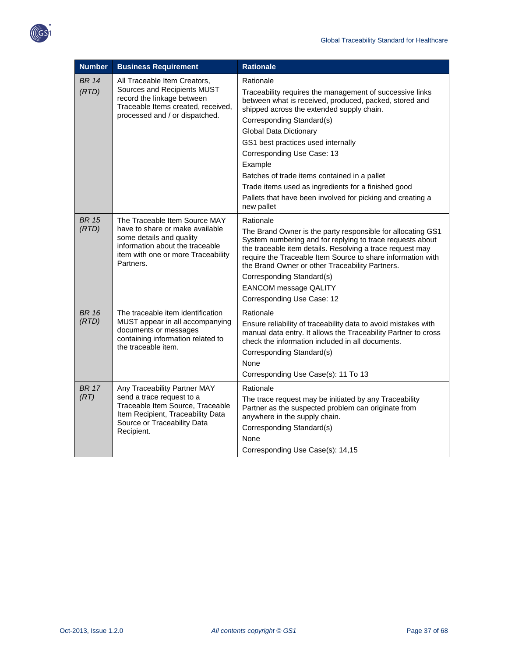

| <b>Number</b>         | <b>Business Requirement</b>                                                                                                                                                        | <b>Rationale</b>                                                                                                                                                                                                                                                                                                                                                                                                                                                                                             |
|-----------------------|------------------------------------------------------------------------------------------------------------------------------------------------------------------------------------|--------------------------------------------------------------------------------------------------------------------------------------------------------------------------------------------------------------------------------------------------------------------------------------------------------------------------------------------------------------------------------------------------------------------------------------------------------------------------------------------------------------|
| <b>BR 14</b><br>(RTD) | All Traceable Item Creators,<br>Sources and Recipients MUST<br>record the linkage between<br>Traceable Items created, received,<br>processed and / or dispatched.                  | Rationale<br>Traceability requires the management of successive links<br>between what is received, produced, packed, stored and<br>shipped across the extended supply chain.<br>Corresponding Standard(s)<br><b>Global Data Dictionary</b><br>GS1 best practices used internally<br>Corresponding Use Case: 13<br>Example<br>Batches of trade items contained in a pallet<br>Trade items used as ingredients for a finished good<br>Pallets that have been involved for picking and creating a<br>new pallet |
| <b>BR 15</b><br>(RTD) | The Traceable Item Source MAY<br>have to share or make available<br>some details and quality<br>information about the traceable<br>item with one or more Traceability<br>Partners. | Rationale<br>The Brand Owner is the party responsible for allocating GS1<br>System numbering and for replying to trace requests about<br>the traceable item details. Resolving a trace request may<br>require the Traceable Item Source to share information with<br>the Brand Owner or other Traceability Partners.<br>Corresponding Standard(s)<br><b>EANCOM</b> message QALITY<br>Corresponding Use Case: 12                                                                                              |
| <b>BR 16</b><br>(RTD) | The traceable item identification<br>MUST appear in all accompanying<br>documents or messages<br>containing information related to<br>the traceable item.                          | Rationale<br>Ensure reliability of traceability data to avoid mistakes with<br>manual data entry. It allows the Traceability Partner to cross<br>check the information included in all documents.<br>Corresponding Standard(s)<br>None<br>Corresponding Use Case(s): 11 To 13                                                                                                                                                                                                                                |
| <b>BR 17</b><br>(RT)  | Any Traceability Partner MAY<br>send a trace request to a<br>Traceable Item Source, Traceable<br>Item Recipient, Traceability Data<br>Source or Traceability Data<br>Recipient.    | Rationale<br>The trace request may be initiated by any Traceability<br>Partner as the suspected problem can originate from<br>anywhere in the supply chain.<br>Corresponding Standard(s)<br>None<br>Corresponding Use Case(s): 14,15                                                                                                                                                                                                                                                                         |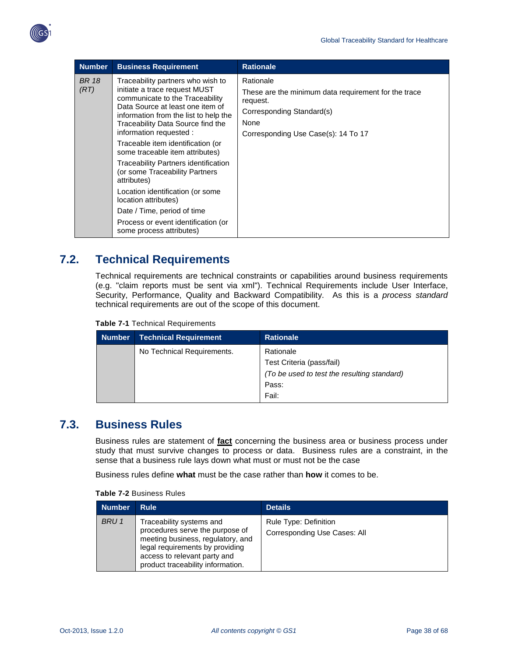

| <b>Number</b>        | <b>Business Requirement</b>                                                                                                                                                                                                                                                                                                                                                                                                                                                                                                                                                       | <b>Rationale</b>                                                                                                                                          |
|----------------------|-----------------------------------------------------------------------------------------------------------------------------------------------------------------------------------------------------------------------------------------------------------------------------------------------------------------------------------------------------------------------------------------------------------------------------------------------------------------------------------------------------------------------------------------------------------------------------------|-----------------------------------------------------------------------------------------------------------------------------------------------------------|
| <b>BR</b> 18<br>(RT) | Traceability partners who wish to<br>initiate a trace request MUST<br>communicate to the Traceability<br>Data Source at least one item of<br>information from the list to help the<br>Traceability Data Source find the<br>information requested :<br>Traceable item identification (or<br>some traceable item attributes)<br>Traceability Partners identification<br>(or some Traceability Partners<br>attributes)<br>Location identification (or some<br>location attributes)<br>Date / Time, period of time<br>Process or event identification (or<br>some process attributes) | Rationale<br>These are the minimum data requirement for the trace<br>request.<br>Corresponding Standard(s)<br>None<br>Corresponding Use Case(s): 14 To 17 |

## <span id="page-37-0"></span>**7.2. Technical Requirements**

Technical requirements are technical constraints or capabilities around business requirements (e.g. "claim reports must be sent via xml"). Technical Requirements include User Interface, Security, Performance, Quality and Backward Compatibility. As this is a *process standard* technical requirements are out of the scope of this document.

|  |  | <b>Table 7-1 Technical Requirements</b> |
|--|--|-----------------------------------------|
|--|--|-----------------------------------------|

| <b>Number</b> | <b>Technical Requirement</b> | <b>Rationale</b>                            |
|---------------|------------------------------|---------------------------------------------|
|               | No Technical Requirements.   | Rationale<br>Test Criteria (pass/fail)      |
|               |                              | (To be used to test the resulting standard) |
|               |                              | Pass:                                       |
|               |                              | Fail:                                       |

## <span id="page-37-1"></span>**7.3. Business Rules**

Business rules are statement of **fact** concerning the business area or business process under study that must survive changes to process or data. Business rules are a constraint, in the sense that a business rule lays down what must or must not be the case

Business rules define **what** must be the case rather than **how** it comes to be.

| Table 7-2 Business Rules |  |
|--------------------------|--|
|--------------------------|--|

| <b>Number</b> | <b>Rule</b>                                                                                                                                                                                              | <b>Details</b>                                        |
|---------------|----------------------------------------------------------------------------------------------------------------------------------------------------------------------------------------------------------|-------------------------------------------------------|
| BRU 1         | Traceability systems and<br>procedures serve the purpose of<br>meeting business, regulatory, and<br>legal requirements by providing<br>access to relevant party and<br>product traceability information. | Rule Type: Definition<br>Corresponding Use Cases: All |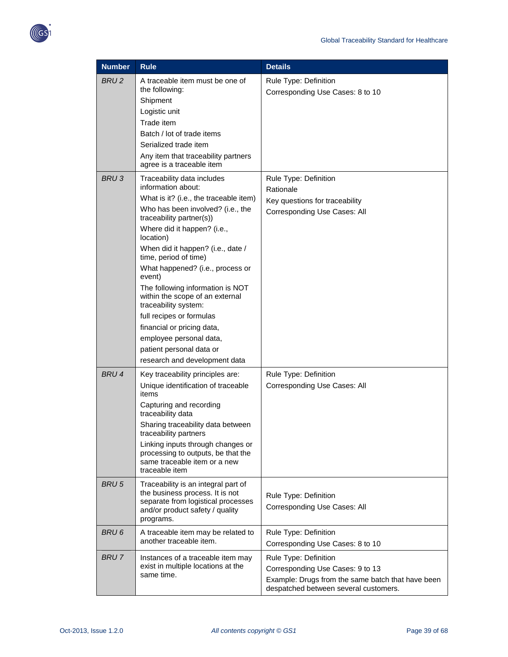



| <b>Number</b>    | <b>Rule</b>                                                                                                                                                  | <b>Details</b>                                                                                                                                          |
|------------------|--------------------------------------------------------------------------------------------------------------------------------------------------------------|---------------------------------------------------------------------------------------------------------------------------------------------------------|
| BRU <sub>2</sub> | A traceable item must be one of<br>the following:<br>Shipment                                                                                                | Rule Type: Definition<br>Corresponding Use Cases: 8 to 10                                                                                               |
|                  | Logistic unit                                                                                                                                                |                                                                                                                                                         |
|                  | Trade item                                                                                                                                                   |                                                                                                                                                         |
|                  | Batch / lot of trade items                                                                                                                                   |                                                                                                                                                         |
|                  | Serialized trade item                                                                                                                                        |                                                                                                                                                         |
|                  | Any item that traceability partners<br>agree is a traceable item                                                                                             |                                                                                                                                                         |
| <b>BRU3</b>      | Traceability data includes<br>information about:                                                                                                             | Rule Type: Definition<br>Rationale                                                                                                                      |
|                  | What is it? (i.e., the traceable item)                                                                                                                       | Key questions for traceability                                                                                                                          |
|                  | Who has been involved? (i.e., the<br>traceability partner(s))                                                                                                | Corresponding Use Cases: All                                                                                                                            |
|                  | Where did it happen? (i.e.,<br>location)                                                                                                                     |                                                                                                                                                         |
|                  | When did it happen? (i.e., date /<br>time, period of time)                                                                                                   |                                                                                                                                                         |
|                  | What happened? (i.e., process or<br>event)                                                                                                                   |                                                                                                                                                         |
|                  | The following information is NOT<br>within the scope of an external<br>traceability system:                                                                  |                                                                                                                                                         |
|                  | full recipes or formulas                                                                                                                                     |                                                                                                                                                         |
|                  | financial or pricing data,                                                                                                                                   |                                                                                                                                                         |
|                  | employee personal data,                                                                                                                                      |                                                                                                                                                         |
|                  | patient personal data or                                                                                                                                     |                                                                                                                                                         |
|                  | research and development data                                                                                                                                |                                                                                                                                                         |
| BRU 4            | Key traceability principles are:                                                                                                                             | Rule Type: Definition                                                                                                                                   |
|                  | Unique identification of traceable<br>items                                                                                                                  | Corresponding Use Cases: All                                                                                                                            |
|                  | Capturing and recording<br>traceability data                                                                                                                 |                                                                                                                                                         |
|                  | Sharing traceability data between<br>traceability partners                                                                                                   |                                                                                                                                                         |
|                  | Linking inputs through changes or<br>processing to outputs, be that the<br>same traceable item or a new<br>traceable item                                    |                                                                                                                                                         |
| <b>BRU5</b>      | Traceability is an integral part of<br>the business process. It is not<br>separate from logistical processes<br>and/or product safety / quality<br>programs. | Rule Type: Definition<br>Corresponding Use Cases: All                                                                                                   |
| BRU6             | A traceable item may be related to<br>another traceable item.                                                                                                | Rule Type: Definition<br>Corresponding Use Cases: 8 to 10                                                                                               |
| BRU 7            | Instances of a traceable item may<br>exist in multiple locations at the<br>same time.                                                                        | Rule Type: Definition<br>Corresponding Use Cases: 9 to 13<br>Example: Drugs from the same batch that have been<br>despatched between several customers. |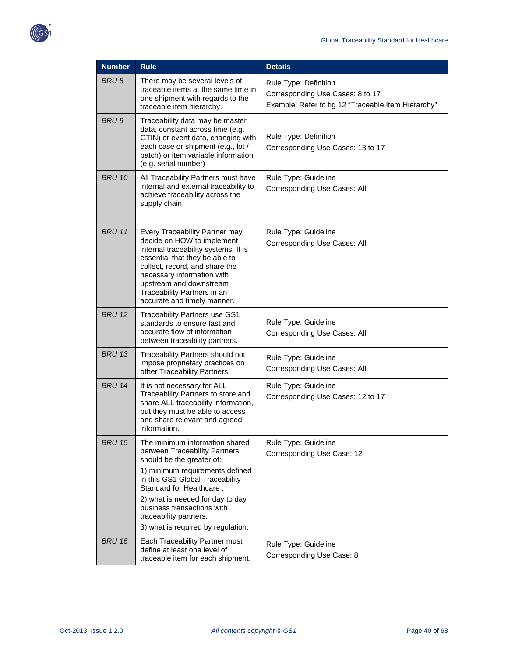

| <b>Number</b> | <b>Rule</b>                                                                                                                                                                                                                                                                                     | <b>Details</b>                                                                                                   |
|---------------|-------------------------------------------------------------------------------------------------------------------------------------------------------------------------------------------------------------------------------------------------------------------------------------------------|------------------------------------------------------------------------------------------------------------------|
| BRU8          | There may be several levels of<br>traceable items at the same time in<br>one shipment with regards to the<br>traceable item hierarchy.                                                                                                                                                          | Rule Type: Definition<br>Corresponding Use Cases: 8 to 17<br>Example: Refer to fig 12 "Traceable Item Hierarchy" |
| BRU 9         | Traceability data may be master<br>data, constant across time (e.g.<br>GTIN) or event data, changing with<br>each case or shipment (e.g., lot /<br>batch) or item variable information<br>(e.g. serial number)                                                                                  | Rule Type: Definition<br>Corresponding Use Cases: 13 to 17                                                       |
| <b>BRU 10</b> | All Traceability Partners must have<br>internal and external traceability to<br>achieve traceability across the<br>supply chain.                                                                                                                                                                | Rule Type: Guideline<br>Corresponding Use Cases: All                                                             |
| <b>BRU 11</b> | Every Traceability Partner may<br>decide on HOW to implement<br>internal traceability systems. It is<br>essential that they be able to<br>collect, record, and share the<br>necessary information with<br>upstream and downstream<br>Traceability Partners in an<br>accurate and timely manner. | Rule Type: Guideline<br>Corresponding Use Cases: All                                                             |
| <b>BRU 12</b> | <b>Traceability Partners use GS1</b><br>standards to ensure fast and<br>accurate flow of information<br>between traceability partners.                                                                                                                                                          | Rule Type: Guideline<br>Corresponding Use Cases: All                                                             |
| <b>BRU 13</b> | Traceability Partners should not<br>impose proprietary practices on<br>other Traceability Partners.                                                                                                                                                                                             | Rule Type: Guideline<br>Corresponding Use Cases: All                                                             |
| <b>BRU 14</b> | It is not necessary for ALL<br>Traceability Partners to store and<br>share ALL traceability information,<br>but they must be able to access<br>and share relevant and agreed<br>information.                                                                                                    | Rule Type: Guideline<br>Corresponding Use Cases: 12 to 17                                                        |
| <b>BRU 15</b> | The minimum information shared<br>between Traceability Partners<br>should be the greater of:                                                                                                                                                                                                    | Rule Type: Guideline<br>Corresponding Use Case: 12                                                               |
|               | 1) minimum requirements defined<br>in this GS1 Global Traceability<br>Standard for Healthcare.<br>2) what is needed for day to day<br>business transactions with<br>traceability partners.<br>3) what is required by regulation.                                                                |                                                                                                                  |
| <b>BRU 16</b> | Each Traceability Partner must<br>define at least one level of<br>traceable item for each shipment.                                                                                                                                                                                             | Rule Type: Guideline<br>Corresponding Use Case: 8                                                                |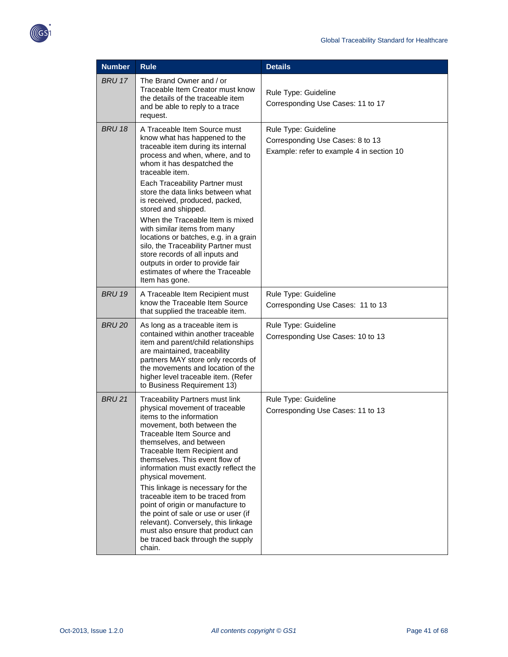

| <b>Number</b> | <b>Rule</b>                                                                                                                                                                                                                                                                                                                                                                                                                                                                                                                                                                                          | <b>Details</b>                                                                                        |
|---------------|------------------------------------------------------------------------------------------------------------------------------------------------------------------------------------------------------------------------------------------------------------------------------------------------------------------------------------------------------------------------------------------------------------------------------------------------------------------------------------------------------------------------------------------------------------------------------------------------------|-------------------------------------------------------------------------------------------------------|
| <b>BRU 17</b> | The Brand Owner and / or<br>Traceable Item Creator must know<br>the details of the traceable item<br>and be able to reply to a trace<br>request.                                                                                                                                                                                                                                                                                                                                                                                                                                                     | Rule Type: Guideline<br>Corresponding Use Cases: 11 to 17                                             |
| <b>BRU 18</b> | A Traceable Item Source must<br>know what has happened to the<br>traceable item during its internal<br>process and when, where, and to<br>whom it has despatched the<br>traceable item.<br>Each Traceability Partner must<br>store the data links between what<br>is received, produced, packed,                                                                                                                                                                                                                                                                                                     | Rule Type: Guideline<br>Corresponding Use Cases: 8 to 13<br>Example: refer to example 4 in section 10 |
|               | stored and shipped.<br>When the Traceable Item is mixed<br>with similar items from many<br>locations or batches, e.g. in a grain<br>silo, the Traceability Partner must<br>store records of all inputs and<br>outputs in order to provide fair<br>estimates of where the Traceable<br>Item has gone.                                                                                                                                                                                                                                                                                                 |                                                                                                       |
| <b>BRU 19</b> | A Traceable Item Recipient must<br>know the Traceable Item Source<br>that supplied the traceable item.                                                                                                                                                                                                                                                                                                                                                                                                                                                                                               | Rule Type: Guideline<br>Corresponding Use Cases: 11 to 13                                             |
| <b>BRU 20</b> | As long as a traceable item is<br>contained within another traceable<br>item and parent/child relationships<br>are maintained, traceability<br>partners MAY store only records of<br>the movements and location of the<br>higher level traceable item. (Refer<br>to Business Requirement 13)                                                                                                                                                                                                                                                                                                         | Rule Type: Guideline<br>Corresponding Use Cases: 10 to 13                                             |
| <b>BRU 21</b> | Traceability Partners must link<br>physical movement of traceable<br>items to the information<br>movement, both between the<br>Traceable Item Source and<br>themselves, and between<br>Traceable Item Recipient and<br>themselves. This event flow of<br>information must exactly reflect the<br>physical movement.<br>This linkage is necessary for the<br>traceable item to be traced from<br>point of origin or manufacture to<br>the point of sale or use or user (if<br>relevant). Conversely, this linkage<br>must also ensure that product can<br>be traced back through the supply<br>chain. | Rule Type: Guideline<br>Corresponding Use Cases: 11 to 13                                             |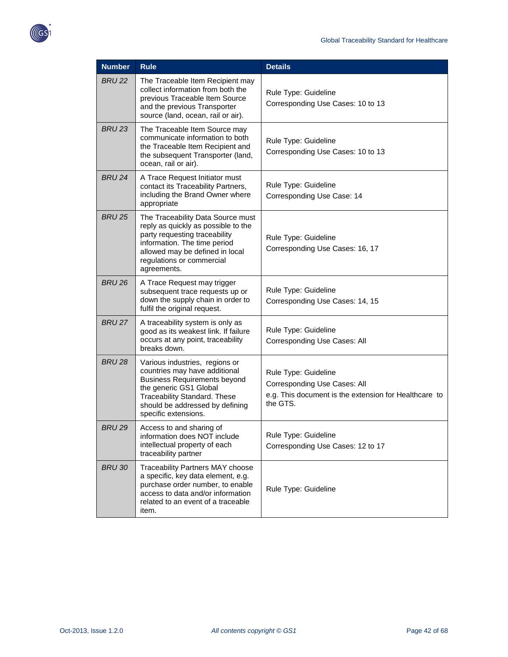

| <b>Number</b> | <b>Rule</b>                                                                                                                                                                                                                        | <b>Details</b>                                                                                                            |
|---------------|------------------------------------------------------------------------------------------------------------------------------------------------------------------------------------------------------------------------------------|---------------------------------------------------------------------------------------------------------------------------|
| <b>BRU 22</b> | The Traceable Item Recipient may<br>collect information from both the<br>previous Traceable Item Source<br>and the previous Transporter<br>source (land, ocean, rail or air).                                                      | Rule Type: Guideline<br>Corresponding Use Cases: 10 to 13                                                                 |
| <b>BRU 23</b> | The Traceable Item Source may<br>communicate information to both<br>the Traceable Item Recipient and<br>the subsequent Transporter (land,<br>ocean, rail or air).                                                                  | Rule Type: Guideline<br>Corresponding Use Cases: 10 to 13                                                                 |
| <b>BRU 24</b> | A Trace Request Initiator must<br>contact its Traceability Partners,<br>including the Brand Owner where<br>appropriate                                                                                                             | Rule Type: Guideline<br>Corresponding Use Case: 14                                                                        |
| <b>BRU 25</b> | The Traceability Data Source must<br>reply as quickly as possible to the<br>party requesting traceability<br>information. The time period<br>allowed may be defined in local<br>regulations or commercial<br>agreements.           | Rule Type: Guideline<br>Corresponding Use Cases: 16, 17                                                                   |
| <b>BRU 26</b> | A Trace Request may trigger<br>subsequent trace requests up or<br>down the supply chain in order to<br>fulfil the original request.                                                                                                | Rule Type: Guideline<br>Corresponding Use Cases: 14, 15                                                                   |
| <b>BRU 27</b> | A traceability system is only as<br>good as its weakest link. If failure<br>occurs at any point, traceability<br>breaks down.                                                                                                      | Rule Type: Guideline<br>Corresponding Use Cases: All                                                                      |
| <b>BRU 28</b> | Various industries, regions or<br>countries may have additional<br><b>Business Requirements beyond</b><br>the generic GS1 Global<br><b>Traceability Standard. These</b><br>should be addressed by defining<br>specific extensions. | Rule Type: Guideline<br>Corresponding Use Cases: All<br>e.g. This document is the extension for Healthcare to<br>the GTS. |
| <b>BRU 29</b> | Access to and sharing of<br>information does NOT include<br>intellectual property of each<br>traceability partner                                                                                                                  | Rule Type: Guideline<br>Corresponding Use Cases: 12 to 17                                                                 |
| <b>BRU 30</b> | <b>Traceability Partners MAY choose</b><br>a specific, key data element, e.g.<br>purchase order number, to enable<br>access to data and/or information<br>related to an event of a traceable<br>item.                              | Rule Type: Guideline                                                                                                      |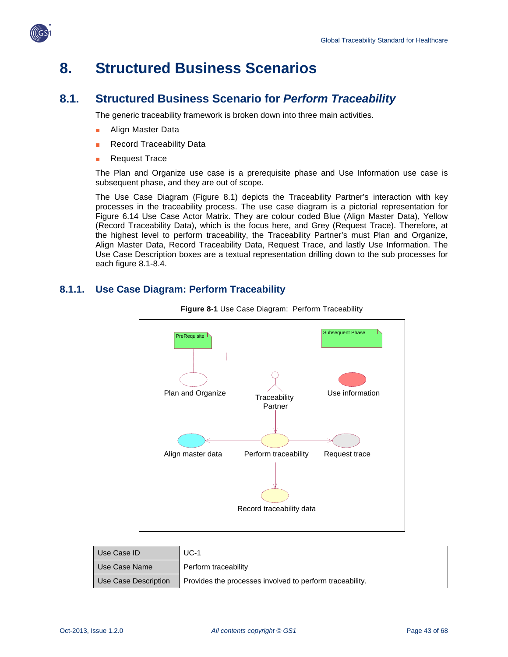

# <span id="page-42-0"></span>**8. Structured Business Scenarios**

## <span id="page-42-1"></span>**8.1. Structured Business Scenario for** *Perform Traceability*

The generic traceability framework is broken down into three main activities.

- Align Master Data
- **Record Traceability Data**
- **Request Trace**

The Plan and Organize use case is a prerequisite phase and Use Information use case is subsequent phase, and they are out of scope.

The Use Case Diagram (Figure 8.1) depicts the Traceability Partner's interaction with key processes in the traceability process. The use case diagram is a pictorial representation for Figure 6.14 Use Case Actor Matrix. They are colour coded Blue (Align Master Data), Yellow (Record Traceability Data), which is the focus here, and Grey (Request Trace). Therefore, at the highest level to perform traceability, the Traceability Partner's must Plan and Organize, Align Master Data, Record Traceability Data, Request Trace, and lastly Use Information. The Use Case Description boxes are a textual representation drilling down to the sub processes for each figure 8.1-8.4.

## <span id="page-42-2"></span>**8.1.1. Use Case Diagram: Perform Traceability**



**Figure 8-1** Use Case Diagram: Perform Traceability

| Use Case ID          | UC-1                                                     |
|----------------------|----------------------------------------------------------|
| Use Case Name        | Perform traceability                                     |
| Use Case Description | Provides the processes involved to perform traceability. |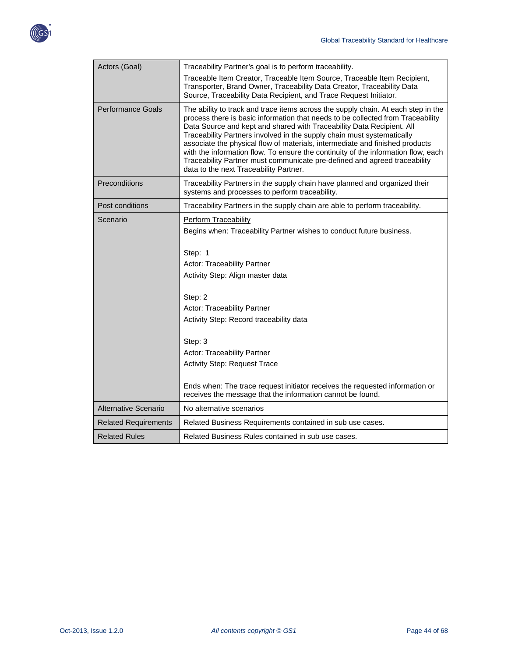

| Actors (Goal)                                                                            | Traceability Partner's goal is to perform traceability.                                                                                                                                                                                                                                                                                                                                                                                                                                                                                                                                                             |  |
|------------------------------------------------------------------------------------------|---------------------------------------------------------------------------------------------------------------------------------------------------------------------------------------------------------------------------------------------------------------------------------------------------------------------------------------------------------------------------------------------------------------------------------------------------------------------------------------------------------------------------------------------------------------------------------------------------------------------|--|
|                                                                                          | Traceable Item Creator, Traceable Item Source, Traceable Item Recipient,<br>Transporter, Brand Owner, Traceability Data Creator, Traceability Data<br>Source, Traceability Data Recipient, and Trace Request Initiator.                                                                                                                                                                                                                                                                                                                                                                                             |  |
| <b>Performance Goals</b>                                                                 | The ability to track and trace items across the supply chain. At each step in the<br>process there is basic information that needs to be collected from Traceability<br>Data Source and kept and shared with Traceability Data Recipient. All<br>Traceability Partners involved in the supply chain must systematically<br>associate the physical flow of materials, intermediate and finished products<br>with the information flow. To ensure the continuity of the information flow, each<br>Traceability Partner must communicate pre-defined and agreed traceability<br>data to the next Traceability Partner. |  |
| Preconditions                                                                            | Traceability Partners in the supply chain have planned and organized their<br>systems and processes to perform traceability.                                                                                                                                                                                                                                                                                                                                                                                                                                                                                        |  |
| Post conditions                                                                          | Traceability Partners in the supply chain are able to perform traceability.                                                                                                                                                                                                                                                                                                                                                                                                                                                                                                                                         |  |
| Scenario<br><b>Perform Traceability</b>                                                  |                                                                                                                                                                                                                                                                                                                                                                                                                                                                                                                                                                                                                     |  |
|                                                                                          | Begins when: Traceability Partner wishes to conduct future business.                                                                                                                                                                                                                                                                                                                                                                                                                                                                                                                                                |  |
|                                                                                          |                                                                                                                                                                                                                                                                                                                                                                                                                                                                                                                                                                                                                     |  |
|                                                                                          | Step: 1                                                                                                                                                                                                                                                                                                                                                                                                                                                                                                                                                                                                             |  |
|                                                                                          | <b>Actor: Traceability Partner</b><br>Activity Step: Align master data                                                                                                                                                                                                                                                                                                                                                                                                                                                                                                                                              |  |
|                                                                                          |                                                                                                                                                                                                                                                                                                                                                                                                                                                                                                                                                                                                                     |  |
|                                                                                          | Step: 2                                                                                                                                                                                                                                                                                                                                                                                                                                                                                                                                                                                                             |  |
|                                                                                          | <b>Actor: Traceability Partner</b>                                                                                                                                                                                                                                                                                                                                                                                                                                                                                                                                                                                  |  |
|                                                                                          | Activity Step: Record traceability data                                                                                                                                                                                                                                                                                                                                                                                                                                                                                                                                                                             |  |
|                                                                                          | Step: 3                                                                                                                                                                                                                                                                                                                                                                                                                                                                                                                                                                                                             |  |
|                                                                                          | Actor: Traceability Partner                                                                                                                                                                                                                                                                                                                                                                                                                                                                                                                                                                                         |  |
|                                                                                          | <b>Activity Step: Request Trace</b>                                                                                                                                                                                                                                                                                                                                                                                                                                                                                                                                                                                 |  |
|                                                                                          |                                                                                                                                                                                                                                                                                                                                                                                                                                                                                                                                                                                                                     |  |
|                                                                                          | Ends when: The trace request initiator receives the requested information or<br>receives the message that the information cannot be found.                                                                                                                                                                                                                                                                                                                                                                                                                                                                          |  |
| Alternative Scenario                                                                     | No alternative scenarios                                                                                                                                                                                                                                                                                                                                                                                                                                                                                                                                                                                            |  |
| Related Business Requirements contained in sub use cases.<br><b>Related Requirements</b> |                                                                                                                                                                                                                                                                                                                                                                                                                                                                                                                                                                                                                     |  |
| <b>Related Rules</b>                                                                     | Related Business Rules contained in sub use cases.                                                                                                                                                                                                                                                                                                                                                                                                                                                                                                                                                                  |  |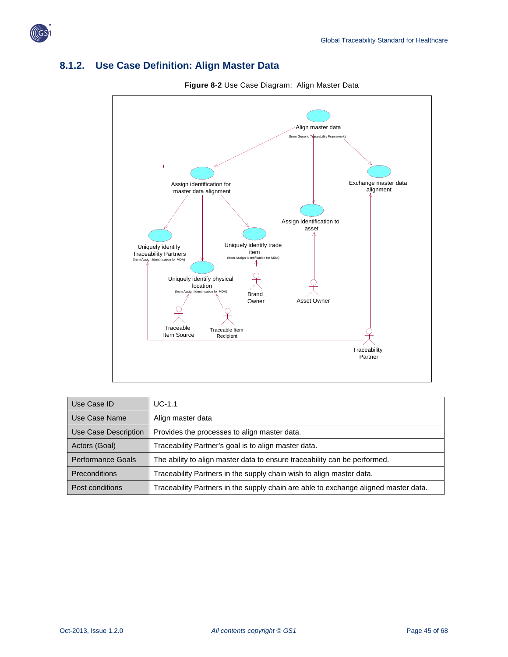

## <span id="page-44-0"></span>**8.1.2. Use Case Definition: Align Master Data**



**Figure 8-2** Use Case Diagram: Align Master Data

| Use Case ID          | $UC-1.1$                                                                            |
|----------------------|-------------------------------------------------------------------------------------|
| Use Case Name        | Align master data                                                                   |
| Use Case Description | Provides the processes to align master data.                                        |
| Actors (Goal)        | Traceability Partner's goal is to align master data.                                |
| Performance Goals    | The ability to align master data to ensure traceability can be performed.           |
| <b>Preconditions</b> | Traceability Partners in the supply chain wish to align master data.                |
| Post conditions      | Traceability Partners in the supply chain are able to exchange aligned master data. |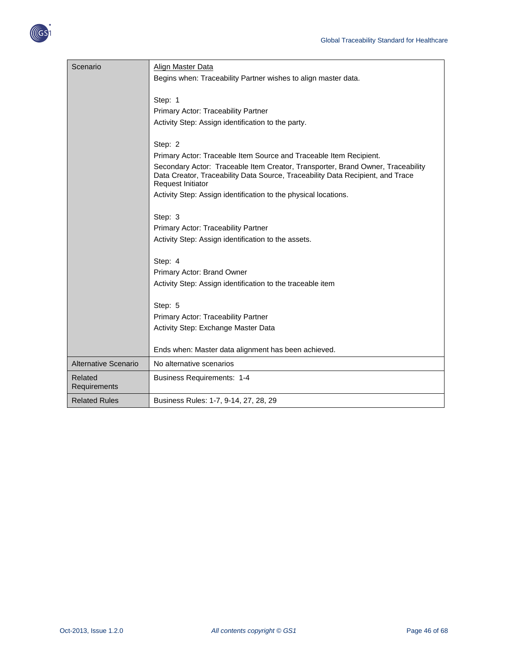



| Scenario                                                                                                                                              | Align Master Data                                                                                                                                                                      |                         |                                                     |
|-------------------------------------------------------------------------------------------------------------------------------------------------------|----------------------------------------------------------------------------------------------------------------------------------------------------------------------------------------|-------------------------|-----------------------------------------------------|
|                                                                                                                                                       | Begins when: Traceability Partner wishes to align master data.                                                                                                                         |                         |                                                     |
|                                                                                                                                                       | Step: 1                                                                                                                                                                                |                         |                                                     |
|                                                                                                                                                       | Primary Actor: Traceability Partner                                                                                                                                                    |                         |                                                     |
|                                                                                                                                                       | Activity Step: Assign identification to the party.                                                                                                                                     |                         |                                                     |
|                                                                                                                                                       | Step: 2                                                                                                                                                                                |                         |                                                     |
|                                                                                                                                                       | Primary Actor: Traceable Item Source and Traceable Item Recipient.                                                                                                                     |                         |                                                     |
|                                                                                                                                                       | Secondary Actor: Traceable Item Creator, Transporter, Brand Owner, Traceability<br>Data Creator, Traceability Data Source, Traceability Data Recipient, and Trace<br>Request Initiator |                         |                                                     |
|                                                                                                                                                       | Activity Step: Assign identification to the physical locations.                                                                                                                        |                         |                                                     |
| Step: 3<br>Primary Actor: Traceability Partner                                                                                                        |                                                                                                                                                                                        |                         |                                                     |
|                                                                                                                                                       |                                                                                                                                                                                        |                         | Activity Step: Assign identification to the assets. |
| Step: 4<br>Primary Actor: Brand Owner<br>Activity Step: Assign identification to the traceable item<br>Step: 5<br>Primary Actor: Traceability Partner |                                                                                                                                                                                        |                         |                                                     |
|                                                                                                                                                       |                                                                                                                                                                                        |                         | Activity Step: Exchange Master Data                 |
|                                                                                                                                                       |                                                                                                                                                                                        |                         | Ends when: Master data alignment has been achieved. |
|                                                                                                                                                       |                                                                                                                                                                                        | Alternative Scenario    | No alternative scenarios                            |
|                                                                                                                                                       |                                                                                                                                                                                        | Related<br>Requirements | <b>Business Requirements: 1-4</b>                   |
| <b>Related Rules</b>                                                                                                                                  | Business Rules: 1-7, 9-14, 27, 28, 29                                                                                                                                                  |                         |                                                     |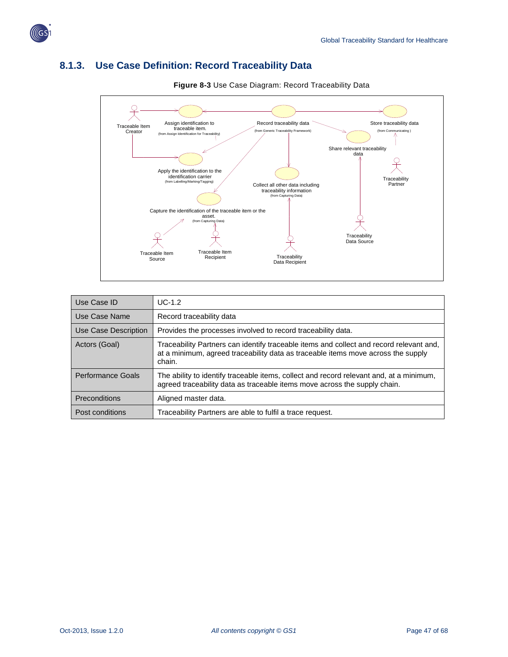

## <span id="page-46-0"></span>**8.1.3. Use Case Definition: Record Traceability Data**



**Figure 8-3** Use Case Diagram: Record Traceability Data

| Use Case ID          | $UC-1.2$                                                                                                                                                                              |
|----------------------|---------------------------------------------------------------------------------------------------------------------------------------------------------------------------------------|
| Use Case Name        | Record traceability data                                                                                                                                                              |
| Use Case Description | Provides the processes involved to record traceability data.                                                                                                                          |
| Actors (Goal)        | Traceability Partners can identify traceable items and collect and record relevant and,<br>at a minimum, agreed traceability data as traceable items move across the supply<br>chain. |
| Performance Goals    | The ability to identify traceable items, collect and record relevant and, at a minimum,<br>agreed traceability data as traceable items move across the supply chain.                  |
| Preconditions        | Aligned master data.                                                                                                                                                                  |
| Post conditions      | Traceability Partners are able to fulfil a trace request.                                                                                                                             |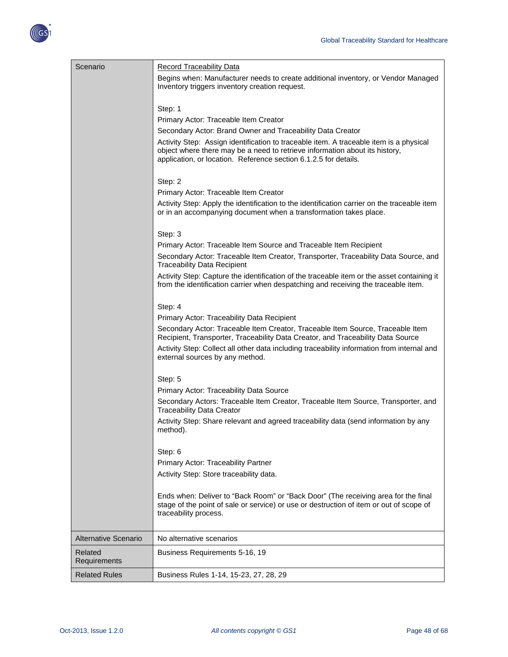

| Scenario             | <b>Record Traceability Data</b>                                                                                       |
|----------------------|-----------------------------------------------------------------------------------------------------------------------|
|                      | Begins when: Manufacturer needs to create additional inventory, or Vendor Managed                                     |
|                      | Inventory triggers inventory creation request.                                                                        |
|                      |                                                                                                                       |
|                      | Step: 1                                                                                                               |
|                      | Primary Actor: Traceable Item Creator                                                                                 |
|                      | Secondary Actor: Brand Owner and Traceability Data Creator                                                            |
|                      | Activity Step: Assign identification to traceable item. A traceable item is a physical                                |
|                      | object where there may be a need to retrieve information about its history,                                           |
|                      | application, or location. Reference section 6.1.2.5 for details.                                                      |
|                      |                                                                                                                       |
|                      | Step: 2                                                                                                               |
|                      | Primary Actor: Traceable Item Creator                                                                                 |
|                      | Activity Step: Apply the identification to the identification carrier on the traceable item                           |
|                      | or in an accompanying document when a transformation takes place.                                                     |
|                      |                                                                                                                       |
|                      | Step: 3                                                                                                               |
|                      | Primary Actor: Traceable Item Source and Traceable Item Recipient                                                     |
|                      | Secondary Actor: Traceable Item Creator, Transporter, Traceability Data Source, and                                   |
|                      | <b>Traceability Data Recipient</b>                                                                                    |
|                      | Activity Step: Capture the identification of the traceable item or the asset containing it                            |
|                      | from the identification carrier when despatching and receiving the traceable item.                                    |
|                      |                                                                                                                       |
|                      | Step: 4                                                                                                               |
|                      | Primary Actor: Traceability Data Recipient                                                                            |
|                      | Secondary Actor: Traceable Item Creator, Traceable Item Source, Traceable Item                                        |
|                      | Recipient, Transporter, Traceability Data Creator, and Traceability Data Source                                       |
|                      | Activity Step: Collect all other data including traceability information from internal and                            |
|                      | external sources by any method.                                                                                       |
|                      |                                                                                                                       |
|                      | Step: 5                                                                                                               |
|                      | Primary Actor: Traceability Data Source                                                                               |
|                      | Secondary Actors: Traceable Item Creator, Traceable Item Source, Transporter, and<br><b>Traceability Data Creator</b> |
|                      | Activity Step: Share relevant and agreed traceability data (send information by any                                   |
|                      | method).                                                                                                              |
|                      |                                                                                                                       |
|                      | Step: 6                                                                                                               |
|                      | Primary Actor: Traceability Partner                                                                                   |
|                      | Activity Step: Store traceability data.                                                                               |
|                      |                                                                                                                       |
|                      | Ends when: Deliver to "Back Room" or "Back Door" (The receiving area for the final                                    |
|                      | stage of the point of sale or service) or use or destruction of item or out of scope of                               |
|                      | traceability process.                                                                                                 |
|                      |                                                                                                                       |
| Alternative Scenario | No alternative scenarios                                                                                              |
| Related              | Business Requirements 5-16, 19                                                                                        |
| Requirements         |                                                                                                                       |
| <b>Related Rules</b> | Business Rules 1-14, 15-23, 27, 28, 29                                                                                |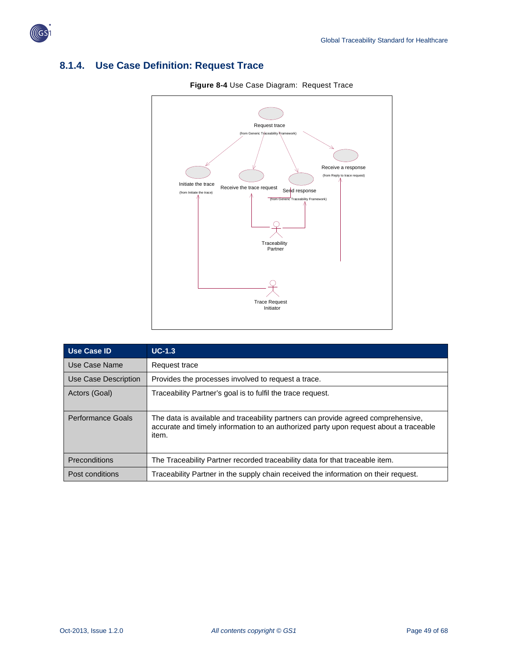

# <span id="page-48-0"></span>**8.1.4. Use Case Definition: Request Trace**





| Use Case ID          | $UC-1.3$                                                                                                                                                                            |
|----------------------|-------------------------------------------------------------------------------------------------------------------------------------------------------------------------------------|
| Use Case Name        | Request trace                                                                                                                                                                       |
| Use Case Description | Provides the processes involved to request a trace.                                                                                                                                 |
| Actors (Goal)        | Traceability Partner's goal is to fulfil the trace request.                                                                                                                         |
| Performance Goals    | The data is available and traceability partners can provide agreed comprehensive,<br>accurate and timely information to an authorized party upon request about a traceable<br>item. |
| Preconditions        | The Traceability Partner recorded traceability data for that traceable item.                                                                                                        |
| Post conditions      | Traceability Partner in the supply chain received the information on their request.                                                                                                 |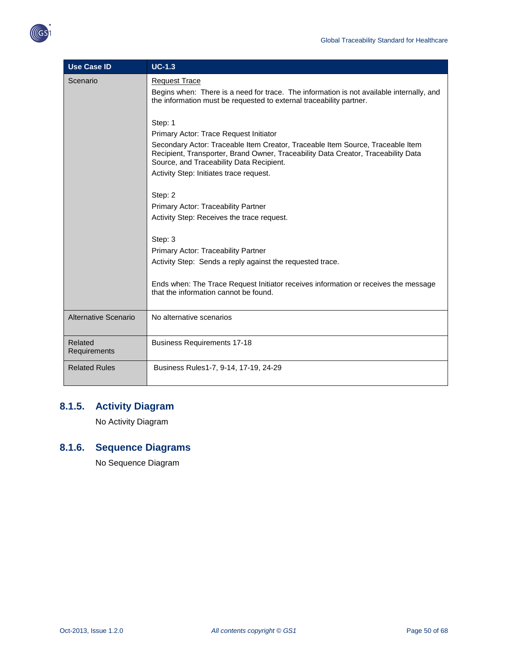

| <b>Use Case ID</b>      | $UC-1.3$                                                                                                                                                                                                                                                                                                        |
|-------------------------|-----------------------------------------------------------------------------------------------------------------------------------------------------------------------------------------------------------------------------------------------------------------------------------------------------------------|
| Scenario                | <b>Request Trace</b><br>Begins when: There is a need for trace. The information is not available internally, and<br>the information must be requested to external traceability partner.                                                                                                                         |
|                         | Step: 1<br>Primary Actor: Trace Request Initiator<br>Secondary Actor: Traceable Item Creator, Traceable Item Source, Traceable Item<br>Recipient, Transporter, Brand Owner, Traceability Data Creator, Traceability Data<br>Source, and Traceability Data Recipient.<br>Activity Step: Initiates trace request. |
|                         | Step: 2<br>Primary Actor: Traceability Partner<br>Activity Step: Receives the trace request.                                                                                                                                                                                                                    |
|                         | Step: 3<br>Primary Actor: Traceability Partner<br>Activity Step: Sends a reply against the requested trace.                                                                                                                                                                                                     |
|                         | Ends when: The Trace Request Initiator receives information or receives the message<br>that the information cannot be found.                                                                                                                                                                                    |
| Alternative Scenario    | No alternative scenarios                                                                                                                                                                                                                                                                                        |
| Related<br>Requirements | <b>Business Requirements 17-18</b>                                                                                                                                                                                                                                                                              |
| <b>Related Rules</b>    | Business Rules1-7, 9-14, 17-19, 24-29                                                                                                                                                                                                                                                                           |

## <span id="page-49-0"></span>**8.1.5. Activity Diagram**

No Activity Diagram

## <span id="page-49-1"></span>**8.1.6. Sequence Diagrams**

No Sequence Diagram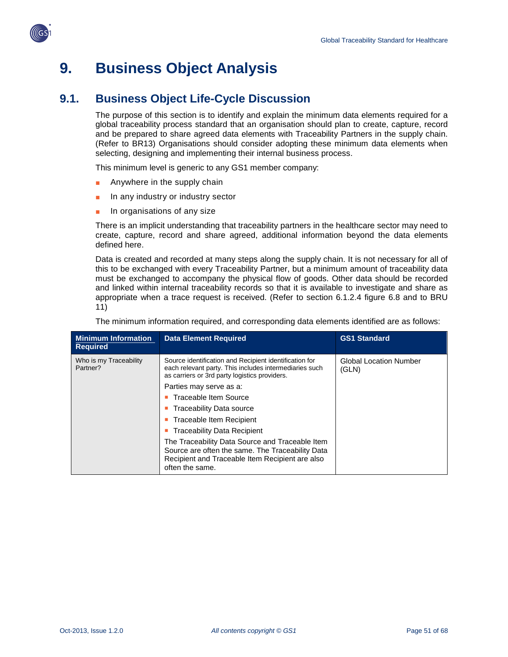

# <span id="page-50-0"></span>**9. Business Object Analysis**

## <span id="page-50-1"></span>**9.1. Business Object Life-Cycle Discussion**

The purpose of this section is to identify and explain the minimum data elements required for a global traceability process standard that an organisation should plan to create, capture, record and be prepared to share agreed data elements with Traceability Partners in the supply chain. (Refer to BR13) Organisations should consider adopting these minimum data elements when selecting, designing and implementing their internal business process.

This minimum level is generic to any GS1 member company:

- Anywhere in the supply chain
- In any industry or industry sector
- In organisations of any size

There is an implicit understanding that traceability partners in the healthcare sector may need to create, capture, record and share agreed, additional information beyond the data elements defined here.

Data is created and recorded at many steps along the supply chain. It is not necessary for all of this to be exchanged with every Traceability Partner, but a minimum amount of traceability data must be exchanged to accompany the physical flow of goods. Other data should be recorded and linked within internal traceability records so that it is available to investigate and share as appropriate when a trace request is received. (Refer to section 6.1.2.4 figure 6.8 and to BRU 11)

| <b>Minimum Information</b><br><b>Required</b> | <b>Data Element Required</b>                                                                                                                                              | <b>GS1 Standard</b>                    |
|-----------------------------------------------|---------------------------------------------------------------------------------------------------------------------------------------------------------------------------|----------------------------------------|
| Who is my Traceability<br>Partner?            | Source identification and Recipient identification for<br>each relevant party. This includes intermediaries such<br>as carriers or 3rd party logistics providers.         | <b>Global Location Number</b><br>(GLN) |
|                                               | Parties may serve as a:                                                                                                                                                   |                                        |
|                                               | Traceable Item Source                                                                                                                                                     |                                        |
|                                               | Traceability Data source                                                                                                                                                  |                                        |
|                                               | Traceable Item Recipient                                                                                                                                                  |                                        |
|                                               | <b>Traceability Data Recipient</b>                                                                                                                                        |                                        |
|                                               | The Traceability Data Source and Traceable Item<br>Source are often the same. The Traceability Data<br>Recipient and Traceable Item Recipient are also<br>often the same. |                                        |

The minimum information required, and corresponding data elements identified are as follows: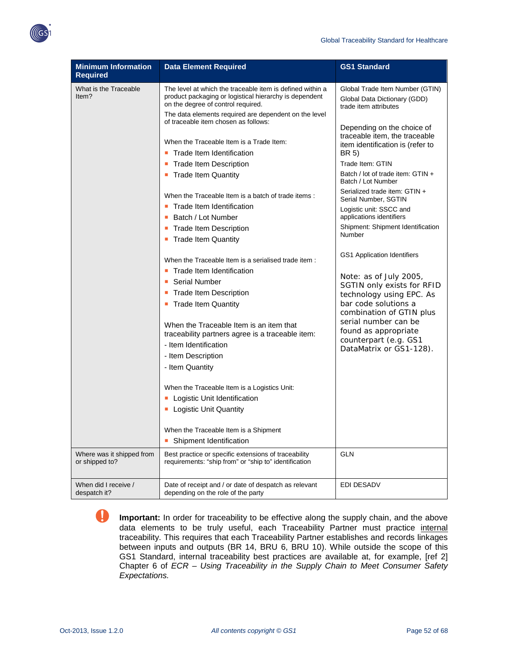

| <b>Minimum Information</b><br><b>Required</b> | <b>Data Element Required</b>                                                                                        | <b>GS1 Standard</b>                                                        |
|-----------------------------------------------|---------------------------------------------------------------------------------------------------------------------|----------------------------------------------------------------------------|
| What is the Traceable<br>Item?                | The level at which the traceable item is defined within a<br>product packaging or logistical hierarchy is dependent | Global Trade Item Number (GTIN)<br>Global Data Dictionary (GDD)            |
|                                               | on the degree of control required.<br>The data elements required are dependent on the level                         | trade item attributes                                                      |
|                                               | of traceable item chosen as follows:                                                                                | Depending on the choice of                                                 |
|                                               | When the Traceable Item is a Trade Item:<br>Trade Item Identification                                               | traceable item, the traceable<br>item identification is (refer to<br>BR 5) |
|                                               | Trade Item Description                                                                                              | Trade Item: GTIN                                                           |
|                                               | • Trade Item Quantity                                                                                               | Batch / lot of trade item: GTIN +<br>Batch / Lot Number                    |
|                                               | When the Traceable Item is a batch of trade items:                                                                  | Serialized trade item: GTIN +<br>Serial Number, SGTIN                      |
|                                               | <b>Trade Item Identification</b><br>Batch / Lot Number                                                              | Logistic unit: SSCC and<br>applications identifiers                        |
|                                               | <b>Trade Item Description</b>                                                                                       | Shipment: Shipment Identification                                          |
|                                               | • Trade Item Quantity                                                                                               | Number                                                                     |
|                                               | When the Traceable Item is a serialised trade item :                                                                | <b>GS1 Application Identifiers</b>                                         |
|                                               | <b>Trade Item Identification</b>                                                                                    | Note: as of July 2005,                                                     |
|                                               | • Serial Number                                                                                                     | SGTIN only exists for RFID                                                 |
|                                               | • Trade Item Description                                                                                            | technology using EPC. As                                                   |
|                                               | <b>Trade Item Quantity</b>                                                                                          | bar code solutions a<br>combination of GTIN plus                           |
|                                               | When the Traceable Item is an item that                                                                             | serial number can be                                                       |
|                                               | traceability partners agree is a traceable item:                                                                    | found as appropriate<br>counterpart (e.g. GS1                              |
|                                               | - Item Identification                                                                                               | DataMatrix or GS1-128).                                                    |
|                                               | - Item Description                                                                                                  |                                                                            |
|                                               | - Item Quantity                                                                                                     |                                                                            |
|                                               | When the Traceable Item is a Logistics Unit:                                                                        |                                                                            |
|                                               | • Logistic Unit Identification                                                                                      |                                                                            |
|                                               | <b>Logistic Unit Quantity</b>                                                                                       |                                                                            |
|                                               | When the Traceable Item is a Shipment                                                                               |                                                                            |
|                                               | Shipment Identification<br>п                                                                                        |                                                                            |
| Where was it shipped from<br>or shipped to?   | Best practice or specific extensions of traceability<br>requirements: "ship from" or "ship to" identification       | <b>GLN</b>                                                                 |
| When did I receive /<br>despatch it?          | Date of receipt and / or date of despatch as relevant<br>depending on the role of the party                         | EDI DESADV                                                                 |

 $\bullet$ **Important:** In order for traceability to be effective along the supply chain, and the above data elements to be truly useful, each Traceability Partner must practice internal traceability. This requires that each Traceability Partner establishes and records linkages between inputs and outputs (BR 14, BRU 6, BRU 10). While outside the scope of this GS1 Standard, internal traceability best practices are available at, for example, [ref 2] Chapter 6 of *ECR – Using Traceability in the Supply Chain to Meet Consumer Safety Expectations.*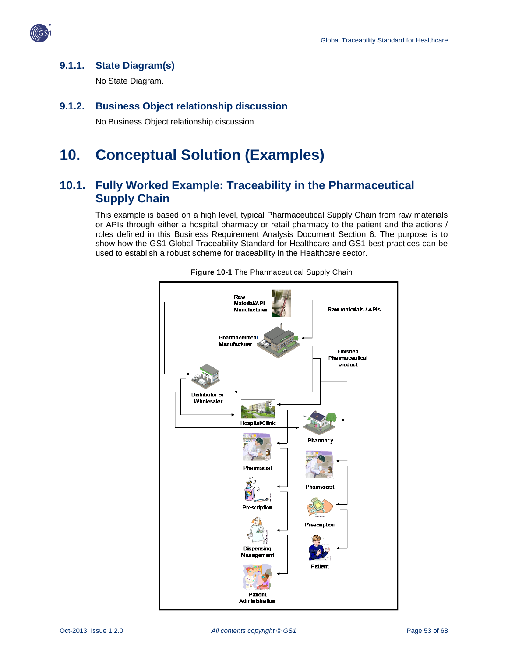

### <span id="page-52-0"></span>**9.1.1. State Diagram(s)**

No State Diagram.

## <span id="page-52-1"></span>**9.1.2. Business Object relationship discussion**

No Business Object relationship discussion

# <span id="page-52-2"></span>**10. Conceptual Solution (Examples)**

## <span id="page-52-3"></span>**10.1. Fully Worked Example: Traceability in the Pharmaceutical Supply Chain**

This example is based on a high level, typical Pharmaceutical Supply Chain from raw materials or APIs through either a hospital pharmacy or retail pharmacy to the patient and the actions / roles defined in this Business Requirement Analysis Document Section 6. The purpose is to show how the GS1 Global Traceability Standard for Healthcare and GS1 best practices can be used to establish a robust scheme for traceability in the Healthcare sector.



**Figure 10-1** The Pharmaceutical Supply Chain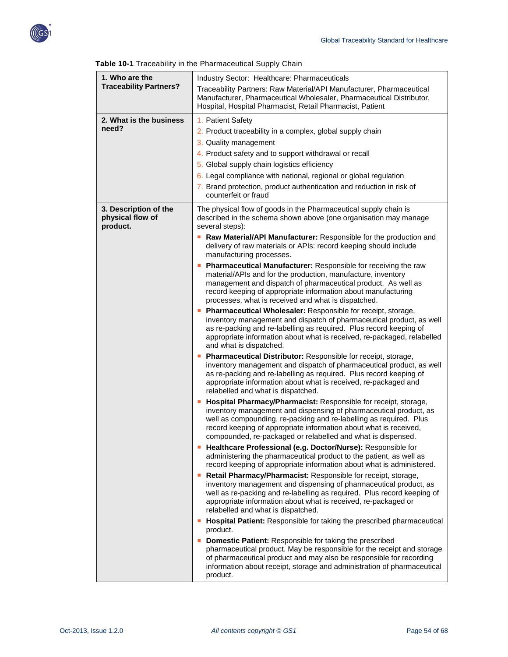

| 1. Who are the                                                                                                                                                                    | Industry Sector: Healthcare: Pharmaceuticals                                                                                                  |  |
|-----------------------------------------------------------------------------------------------------------------------------------------------------------------------------------|-----------------------------------------------------------------------------------------------------------------------------------------------|--|
| <b>Traceability Partners?</b>                                                                                                                                                     | Traceability Partners: Raw Material/API Manufacturer, Pharmaceutical                                                                          |  |
|                                                                                                                                                                                   | Manufacturer, Pharmaceutical Wholesaler, Pharmaceutical Distributor,                                                                          |  |
|                                                                                                                                                                                   | Hospital, Hospital Pharmacist, Retail Pharmacist, Patient                                                                                     |  |
| 2. What is the business                                                                                                                                                           | 1. Patient Safety                                                                                                                             |  |
| need?                                                                                                                                                                             | 2. Product traceability in a complex, global supply chain                                                                                     |  |
|                                                                                                                                                                                   | 3. Quality management                                                                                                                         |  |
|                                                                                                                                                                                   | 4. Product safety and to support withdrawal or recall                                                                                         |  |
|                                                                                                                                                                                   | 5. Global supply chain logistics efficiency                                                                                                   |  |
|                                                                                                                                                                                   | 6. Legal compliance with national, regional or global regulation                                                                              |  |
|                                                                                                                                                                                   | 7. Brand protection, product authentication and reduction in risk of<br>counterfeit or fraud                                                  |  |
| 3. Description of the<br>The physical flow of goods in the Pharmaceutical supply chain is<br>physical flow of<br>described in the schema shown above (one organisation may manage |                                                                                                                                               |  |
| product.                                                                                                                                                                          | several steps):                                                                                                                               |  |
|                                                                                                                                                                                   | Raw Material/API Manufacturer: Responsible for the production and<br>ш                                                                        |  |
|                                                                                                                                                                                   | delivery of raw materials or APIs: record keeping should include<br>manufacturing processes.                                                  |  |
|                                                                                                                                                                                   | Pharmaceutical Manufacturer: Responsible for receiving the raw                                                                                |  |
|                                                                                                                                                                                   | material/APIs and for the production, manufacture, inventory<br>management and dispatch of pharmaceutical product. As well as                 |  |
|                                                                                                                                                                                   | record keeping of appropriate information about manufacturing                                                                                 |  |
|                                                                                                                                                                                   | processes, what is received and what is dispatched.                                                                                           |  |
|                                                                                                                                                                                   | <b>Pharmaceutical Wholesaler:</b> Responsible for receipt, storage,                                                                           |  |
|                                                                                                                                                                                   | inventory management and dispatch of pharmaceutical product, as well<br>as re-packing and re-labelling as required. Plus record keeping of    |  |
|                                                                                                                                                                                   | appropriate information about what is received, re-packaged, relabelled                                                                       |  |
|                                                                                                                                                                                   | and what is dispatched.                                                                                                                       |  |
|                                                                                                                                                                                   | Pharmaceutical Distributor: Responsible for receipt, storage,<br>ш                                                                            |  |
|                                                                                                                                                                                   | inventory management and dispatch of pharmaceutical product, as well<br>as re-packing and re-labelling as required. Plus record keeping of    |  |
|                                                                                                                                                                                   | appropriate information about what is received, re-packaged and                                                                               |  |
|                                                                                                                                                                                   | relabelled and what is dispatched.                                                                                                            |  |
|                                                                                                                                                                                   | Hospital Pharmacy/Pharmacist: Responsible for receipt, storage,<br>ш                                                                          |  |
|                                                                                                                                                                                   | inventory management and dispensing of pharmaceutical product, as<br>well as compounding, re-packing and re-labelling as required. Plus       |  |
|                                                                                                                                                                                   | record keeping of appropriate information about what is received,                                                                             |  |
|                                                                                                                                                                                   | compounded, re-packaged or relabelled and what is dispensed.                                                                                  |  |
|                                                                                                                                                                                   | Healthcare Professional (e.g. Doctor/Nurse): Responsible for                                                                                  |  |
|                                                                                                                                                                                   | administering the pharmaceutical product to the patient, as well as<br>record keeping of appropriate information about what is administered.  |  |
|                                                                                                                                                                                   | Retail Pharmacy/Pharmacist: Responsible for receipt, storage,<br>$\mathcal{L}_{\mathcal{A}}$                                                  |  |
|                                                                                                                                                                                   | inventory management and dispensing of pharmaceutical product, as                                                                             |  |
|                                                                                                                                                                                   | well as re-packing and re-labelling as required. Plus record keeping of                                                                       |  |
|                                                                                                                                                                                   | appropriate information about what is received, re-packaged or                                                                                |  |
| relabelled and what is dispatched.                                                                                                                                                |                                                                                                                                               |  |
|                                                                                                                                                                                   | Hospital Patient: Responsible for taking the prescribed pharmaceutical<br>product.                                                            |  |
|                                                                                                                                                                                   | Domestic Patient: Responsible for taking the prescribed<br>m.                                                                                 |  |
|                                                                                                                                                                                   | pharmaceutical product. May be responsible for the receipt and storage<br>of pharmaceutical product and may also be responsible for recording |  |
|                                                                                                                                                                                   | information about receipt, storage and administration of pharmaceutical                                                                       |  |
|                                                                                                                                                                                   | product.                                                                                                                                      |  |

|  |  | Table 10-1 Traceability in the Pharmaceutical Supply Chain |  |
|--|--|------------------------------------------------------------|--|
|--|--|------------------------------------------------------------|--|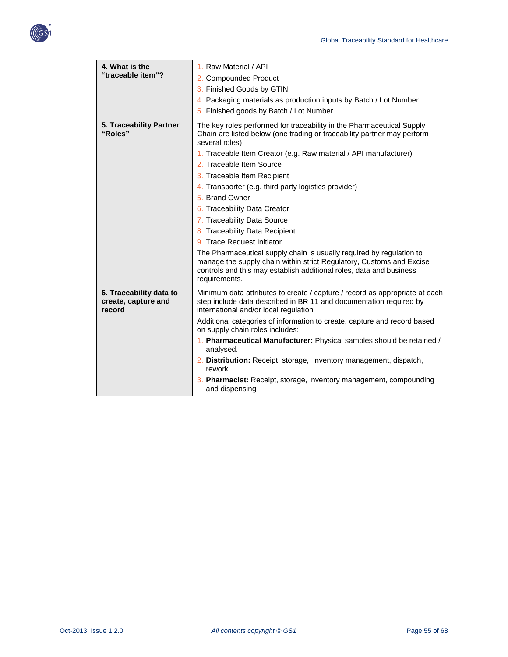



| 4. What is the<br>"traceable item"?                      | 1. Raw Material / API<br>2. Compounded Product<br>3. Finished Goods by GTIN<br>4. Packaging materials as production inputs by Batch / Lot Number<br>5. Finished goods by Batch / Lot Number                                                                                                                                                                                                                                                                                                                                                                                                                                                                                                                                                         |
|----------------------------------------------------------|-----------------------------------------------------------------------------------------------------------------------------------------------------------------------------------------------------------------------------------------------------------------------------------------------------------------------------------------------------------------------------------------------------------------------------------------------------------------------------------------------------------------------------------------------------------------------------------------------------------------------------------------------------------------------------------------------------------------------------------------------------|
| 5. Traceability Partner<br>"Roles"                       | The key roles performed for traceability in the Pharmaceutical Supply<br>Chain are listed below (one trading or traceability partner may perform<br>several roles):<br>1. Traceable Item Creator (e.g. Raw material / API manufacturer)<br>2. Traceable Item Source<br>3. Traceable Item Recipient<br>4. Transporter (e.g. third party logistics provider)<br>5. Brand Owner<br>6. Traceability Data Creator<br>7. Traceability Data Source<br>8. Traceability Data Recipient<br>9. Trace Request Initiator<br>The Pharmaceutical supply chain is usually required by regulation to<br>manage the supply chain within strict Regulatory, Customs and Excise<br>controls and this may establish additional roles, data and business<br>requirements. |
| 6. Traceability data to<br>create, capture and<br>record | Minimum data attributes to create / capture / record as appropriate at each<br>step include data described in BR 11 and documentation required by<br>international and/or local regulation<br>Additional categories of information to create, capture and record based<br>on supply chain roles includes:<br>1. Pharmaceutical Manufacturer: Physical samples should be retained /<br>analysed.<br>2. Distribution: Receipt, storage, inventory management, dispatch,<br>rework<br>3. Pharmacist: Receipt, storage, inventory management, compounding<br>and dispensing                                                                                                                                                                             |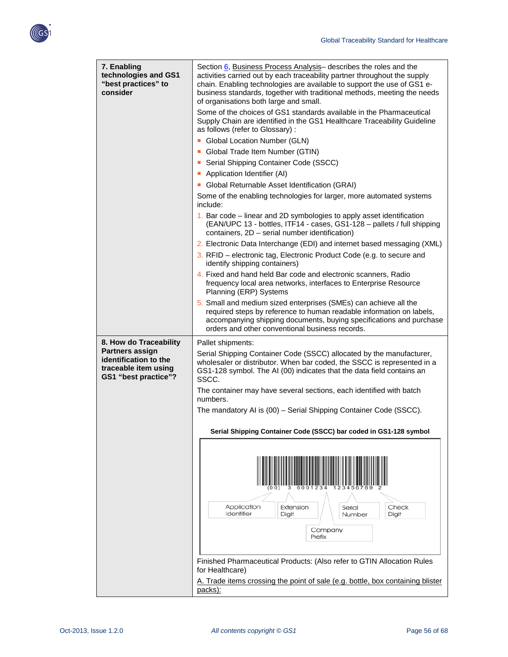

| 7. Enabling<br>technologies and GS1<br>"best practices" to<br>consider                          | Section 6, Business Process Analysis- describes the roles and the<br>activities carried out by each traceability partner throughout the supply<br>chain. Enabling technologies are available to support the use of GS1 e-<br>business standards, together with traditional methods, meeting the needs<br>of organisations both large and small.<br>Some of the choices of GS1 standards available in the Pharmaceutical<br>Supply Chain are identified in the GS1 Healthcare Traceability Guideline |
|-------------------------------------------------------------------------------------------------|-----------------------------------------------------------------------------------------------------------------------------------------------------------------------------------------------------------------------------------------------------------------------------------------------------------------------------------------------------------------------------------------------------------------------------------------------------------------------------------------------------|
|                                                                                                 | as follows (refer to Glossary) :                                                                                                                                                                                                                                                                                                                                                                                                                                                                    |
|                                                                                                 | • Global Location Number (GLN)                                                                                                                                                                                                                                                                                                                                                                                                                                                                      |
|                                                                                                 | • Global Trade Item Number (GTIN)                                                                                                                                                                                                                                                                                                                                                                                                                                                                   |
|                                                                                                 | • Serial Shipping Container Code (SSCC)                                                                                                                                                                                                                                                                                                                                                                                                                                                             |
|                                                                                                 | Application Identifier (AI)                                                                                                                                                                                                                                                                                                                                                                                                                                                                         |
|                                                                                                 | • Global Returnable Asset Identification (GRAI)                                                                                                                                                                                                                                                                                                                                                                                                                                                     |
|                                                                                                 | Some of the enabling technologies for larger, more automated systems<br>include:                                                                                                                                                                                                                                                                                                                                                                                                                    |
|                                                                                                 | 1. Bar code – linear and 2D symbologies to apply asset identification<br>(EAN/UPC 13 - bottles, ITF14 - cases, GS1-128 - pallets / full shipping<br>containers, 2D - serial number identification)                                                                                                                                                                                                                                                                                                  |
|                                                                                                 | 2. Electronic Data Interchange (EDI) and internet based messaging (XML)                                                                                                                                                                                                                                                                                                                                                                                                                             |
|                                                                                                 | 3. RFID - electronic tag, Electronic Product Code (e.g. to secure and<br>identify shipping containers)                                                                                                                                                                                                                                                                                                                                                                                              |
|                                                                                                 | 4. Fixed and hand held Bar code and electronic scanners, Radio<br>frequency local area networks, interfaces to Enterprise Resource<br>Planning (ERP) Systems                                                                                                                                                                                                                                                                                                                                        |
|                                                                                                 | 5. Small and medium sized enterprises (SMEs) can achieve all the<br>required steps by reference to human readable information on labels,<br>accompanying shipping documents, buying specifications and purchase<br>orders and other conventional business records.                                                                                                                                                                                                                                  |
| 8. How do Traceability                                                                          | Pallet shipments:                                                                                                                                                                                                                                                                                                                                                                                                                                                                                   |
| <b>Partners assign</b><br>identification to the<br>traceable item using<br>GS1 "best practice"? | Serial Shipping Container Code (SSCC) allocated by the manufacturer,<br>wholesaler or distributor. When bar coded, the SSCC is represented in a<br>GS1-128 symbol. The AI (00) indicates that the data field contains an<br>SSCC.                                                                                                                                                                                                                                                                   |
|                                                                                                 | The container may have several sections, each identified with batch<br>numbers.                                                                                                                                                                                                                                                                                                                                                                                                                     |
|                                                                                                 | The mandatory AI is (00) - Serial Shipping Container Code (SSCC).                                                                                                                                                                                                                                                                                                                                                                                                                                   |
|                                                                                                 | Serial Shipping Container Code (SSCC) bar coded in GS1-128 symbol                                                                                                                                                                                                                                                                                                                                                                                                                                   |
|                                                                                                 |                                                                                                                                                                                                                                                                                                                                                                                                                                                                                                     |
|                                                                                                 | Application<br>Extension<br>Check<br>Serial<br>Identifier<br>Digit<br>Digit<br>Number                                                                                                                                                                                                                                                                                                                                                                                                               |
|                                                                                                 | Company<br>Prefix                                                                                                                                                                                                                                                                                                                                                                                                                                                                                   |
|                                                                                                 | Finished Pharmaceutical Products: (Also refer to GTIN Allocation Rules<br>for Healthcare)                                                                                                                                                                                                                                                                                                                                                                                                           |
|                                                                                                 | A. Trade items crossing the point of sale (e.g. bottle, box containing blister                                                                                                                                                                                                                                                                                                                                                                                                                      |
|                                                                                                 | packs):                                                                                                                                                                                                                                                                                                                                                                                                                                                                                             |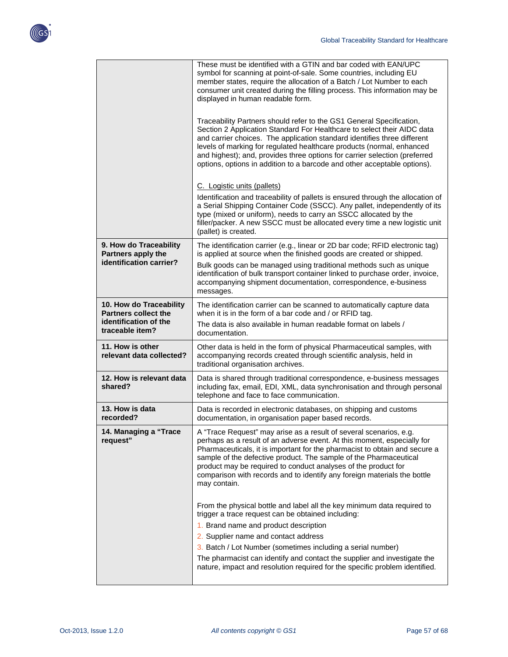

|                                                        | These must be identified with a GTIN and bar coded with EAN/UPC<br>symbol for scanning at point-of-sale. Some countries, including EU<br>member states, require the allocation of a Batch / Lot Number to each<br>consumer unit created during the filling process. This information may be<br>displayed in human readable form.                                                                                                                               |
|--------------------------------------------------------|----------------------------------------------------------------------------------------------------------------------------------------------------------------------------------------------------------------------------------------------------------------------------------------------------------------------------------------------------------------------------------------------------------------------------------------------------------------|
|                                                        | Traceability Partners should refer to the GS1 General Specification,<br>Section 2 Application Standard For Healthcare to select their AIDC data<br>and carrier choices. The application standard identifies three different<br>levels of marking for regulated healthcare products (normal, enhanced<br>and highest); and, provides three options for carrier selection (preferred<br>options, options in addition to a barcode and other acceptable options). |
|                                                        | C. Logistic units (pallets)                                                                                                                                                                                                                                                                                                                                                                                                                                    |
|                                                        | Identification and traceability of pallets is ensured through the allocation of<br>a Serial Shipping Container Code (SSCC). Any pallet, independently of its<br>type (mixed or uniform), needs to carry an SSCC allocated by the<br>filler/packer. A new SSCC must be allocated every time a new logistic unit<br>(pallet) is created.                                                                                                                         |
| 9. How do Traceability<br>Partners apply the           | The identification carrier (e.g., linear or 2D bar code; RFID electronic tag)<br>is applied at source when the finished goods are created or shipped.                                                                                                                                                                                                                                                                                                          |
| identification carrier?                                | Bulk goods can be managed using traditional methods such as unique<br>identification of bulk transport container linked to purchase order, invoice,<br>accompanying shipment documentation, correspondence, e-business<br>messages.                                                                                                                                                                                                                            |
| 10. How do Traceability<br><b>Partners collect the</b> | The identification carrier can be scanned to automatically capture data                                                                                                                                                                                                                                                                                                                                                                                        |
| identification of the<br>traceable item?               | when it is in the form of a bar code and / or RFID tag.<br>The data is also available in human readable format on labels /<br>documentation.                                                                                                                                                                                                                                                                                                                   |
| 11. How is other<br>relevant data collected?           | Other data is held in the form of physical Pharmaceutical samples, with<br>accompanying records created through scientific analysis, held in<br>traditional organisation archives.                                                                                                                                                                                                                                                                             |
| 12. How is relevant data<br>shared?                    | Data is shared through traditional correspondence, e-business messages<br>including fax, email, EDI, XML, data synchronisation and through personal<br>telephone and face to face communication.                                                                                                                                                                                                                                                               |
| 13. How is data<br>recorded?                           | Data is recorded in electronic databases, on shipping and customs<br>documentation, in organisation paper based records.                                                                                                                                                                                                                                                                                                                                       |
| 14. Managing a "Trace<br>request"                      | A "Trace Request" may arise as a result of several scenarios, e.g.<br>perhaps as a result of an adverse event. At this moment, especially for<br>Pharmaceuticals, it is important for the pharmacist to obtain and secure a<br>sample of the defective product. The sample of the Pharmaceutical<br>product may be required to conduct analyses of the product for<br>comparison with records and to identify any foreign materials the bottle<br>may contain. |
|                                                        | From the physical bottle and label all the key minimum data required to<br>trigger a trace request can be obtained including:                                                                                                                                                                                                                                                                                                                                  |
|                                                        | 1. Brand name and product description<br>2. Supplier name and contact address                                                                                                                                                                                                                                                                                                                                                                                  |
|                                                        | 3. Batch / Lot Number (sometimes including a serial number)                                                                                                                                                                                                                                                                                                                                                                                                    |
|                                                        | The pharmacist can identify and contact the supplier and investigate the<br>nature, impact and resolution required for the specific problem identified.                                                                                                                                                                                                                                                                                                        |
|                                                        |                                                                                                                                                                                                                                                                                                                                                                                                                                                                |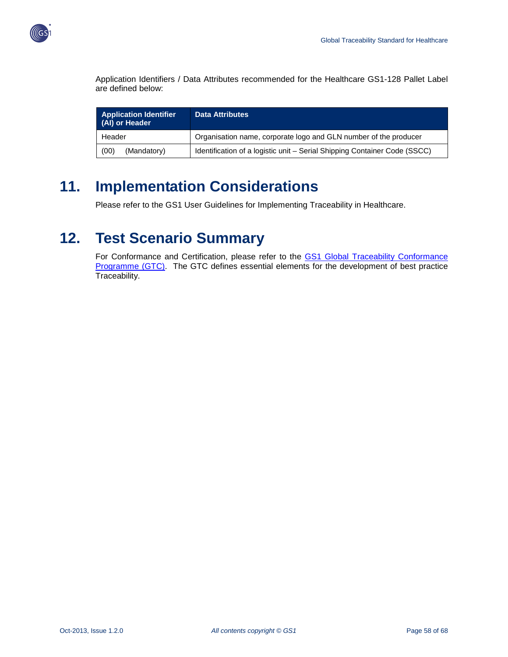

Application Identifiers / Data Attributes recommended for the Healthcare GS1-128 Pallet Label are defined below:

| <b>Application Identifier</b><br>(AI) or Header | <b>Data Attributes</b>                                                    |
|-------------------------------------------------|---------------------------------------------------------------------------|
| Header                                          | Organisation name, corporate logo and GLN number of the producer          |
| (00)<br>(Mandatory)                             | Identification of a logistic unit - Serial Shipping Container Code (SSCC) |

# <span id="page-57-0"></span>**11. Implementation Considerations**

Please refer to the GS1 User Guidelines for Implementing Traceability in Healthcare.

# <span id="page-57-1"></span>**12. Test Scenario Summary**

For Conformance and Certification, please refer to the GS1 Global Traceability Conformance [Programme \(GTC\).](http://www.gs1.org/productssolutions/traceability/activities/) The GTC defines essential elements for the development of best practice Traceability.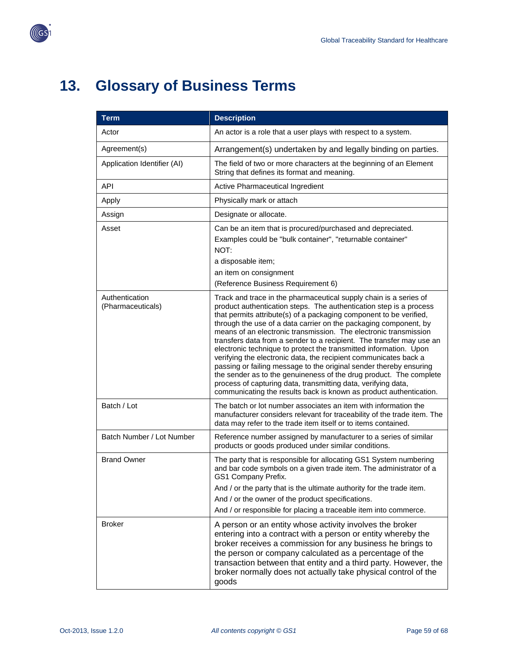

# <span id="page-58-0"></span>**13. Glossary of Business Terms**

| <b>Term</b>                         | <b>Description</b>                                                                                                                                                                                                                                                                                                                                                                                                                                                                                                                                                                                                                                                                                                                                                                                                                                        |
|-------------------------------------|-----------------------------------------------------------------------------------------------------------------------------------------------------------------------------------------------------------------------------------------------------------------------------------------------------------------------------------------------------------------------------------------------------------------------------------------------------------------------------------------------------------------------------------------------------------------------------------------------------------------------------------------------------------------------------------------------------------------------------------------------------------------------------------------------------------------------------------------------------------|
| Actor                               | An actor is a role that a user plays with respect to a system.                                                                                                                                                                                                                                                                                                                                                                                                                                                                                                                                                                                                                                                                                                                                                                                            |
| Agreement(s)                        | Arrangement(s) undertaken by and legally binding on parties.                                                                                                                                                                                                                                                                                                                                                                                                                                                                                                                                                                                                                                                                                                                                                                                              |
| Application Identifier (AI)         | The field of two or more characters at the beginning of an Element<br>String that defines its format and meaning.                                                                                                                                                                                                                                                                                                                                                                                                                                                                                                                                                                                                                                                                                                                                         |
| <b>API</b>                          | Active Pharmaceutical Ingredient                                                                                                                                                                                                                                                                                                                                                                                                                                                                                                                                                                                                                                                                                                                                                                                                                          |
| Apply                               | Physically mark or attach                                                                                                                                                                                                                                                                                                                                                                                                                                                                                                                                                                                                                                                                                                                                                                                                                                 |
| Assign                              | Designate or allocate.                                                                                                                                                                                                                                                                                                                                                                                                                                                                                                                                                                                                                                                                                                                                                                                                                                    |
| Asset                               | Can be an item that is procured/purchased and depreciated.<br>Examples could be "bulk container", "returnable container"<br>NOT:<br>a disposable item;<br>an item on consignment<br>(Reference Business Requirement 6)                                                                                                                                                                                                                                                                                                                                                                                                                                                                                                                                                                                                                                    |
| Authentication<br>(Pharmaceuticals) | Track and trace in the pharmaceutical supply chain is a series of<br>product authentication steps. The authentication step is a process<br>that permits attribute(s) of a packaging component to be verified,<br>through the use of a data carrier on the packaging component, by<br>means of an electronic transmission. The electronic transmission<br>transfers data from a sender to a recipient. The transfer may use an<br>electronic technique to protect the transmitted information. Upon<br>verifying the electronic data, the recipient communicates back a<br>passing or failing message to the original sender thereby ensuring<br>the sender as to the genuineness of the drug product. The complete<br>process of capturing data, transmitting data, verifying data,<br>communicating the results back is known as product authentication. |
| Batch / Lot                         | The batch or lot number associates an item with information the<br>manufacturer considers relevant for traceability of the trade item. The<br>data may refer to the trade item itself or to items contained.                                                                                                                                                                                                                                                                                                                                                                                                                                                                                                                                                                                                                                              |
| Batch Number / Lot Number           | Reference number assigned by manufacturer to a series of similar<br>products or goods produced under similar conditions.                                                                                                                                                                                                                                                                                                                                                                                                                                                                                                                                                                                                                                                                                                                                  |
| <b>Brand Owner</b>                  | The party that is responsible for allocating GS1 System numbering<br>and bar code symbols on a given trade item. The administrator of a<br>GS1 Company Prefix.<br>And / or the party that is the ultimate authority for the trade item.<br>And / or the owner of the product specifications.<br>And / or responsible for placing a traceable item into commerce.                                                                                                                                                                                                                                                                                                                                                                                                                                                                                          |
| <b>Broker</b>                       | A person or an entity whose activity involves the broker<br>entering into a contract with a person or entity whereby the<br>broker receives a commission for any business he brings to<br>the person or company calculated as a percentage of the<br>transaction between that entity and a third party. However, the<br>broker normally does not actually take physical control of the<br>goods                                                                                                                                                                                                                                                                                                                                                                                                                                                           |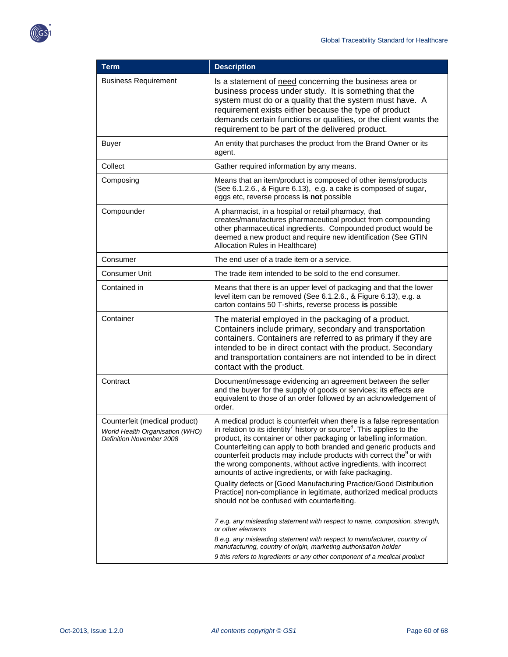

| <b>Term</b>                                                                                  | <b>Description</b>                                                                                                                                                                                                                                                                                                                                                                                                                                                                                                     |
|----------------------------------------------------------------------------------------------|------------------------------------------------------------------------------------------------------------------------------------------------------------------------------------------------------------------------------------------------------------------------------------------------------------------------------------------------------------------------------------------------------------------------------------------------------------------------------------------------------------------------|
| <b>Business Requirement</b>                                                                  | Is a statement of need concerning the business area or<br>business process under study. It is something that the<br>system must do or a quality that the system must have. A<br>requirement exists either because the type of product<br>demands certain functions or qualities, or the client wants the<br>requirement to be part of the delivered product.                                                                                                                                                           |
| <b>Buver</b>                                                                                 | An entity that purchases the product from the Brand Owner or its<br>agent.                                                                                                                                                                                                                                                                                                                                                                                                                                             |
| Collect                                                                                      | Gather required information by any means.                                                                                                                                                                                                                                                                                                                                                                                                                                                                              |
| Composing                                                                                    | Means that an item/product is composed of other items/products<br>(See 6.1.2.6., & Figure 6.13), e.g. a cake is composed of sugar,<br>eggs etc, reverse process is not possible                                                                                                                                                                                                                                                                                                                                        |
| Compounder                                                                                   | A pharmacist, in a hospital or retail pharmacy, that<br>creates/manufactures pharmaceutical product from compounding<br>other pharmaceutical ingredients. Compounded product would be<br>deemed a new product and require new identification (See GTIN<br>Allocation Rules in Healthcare)                                                                                                                                                                                                                              |
| Consumer                                                                                     | The end user of a trade item or a service.                                                                                                                                                                                                                                                                                                                                                                                                                                                                             |
| Consumer Unit                                                                                | The trade item intended to be sold to the end consumer.                                                                                                                                                                                                                                                                                                                                                                                                                                                                |
| Contained in                                                                                 | Means that there is an upper level of packaging and that the lower<br>level item can be removed (See 6.1.2.6., & Figure 6.13), e.g. a<br>carton contains 50 T-shirts, reverse process is possible                                                                                                                                                                                                                                                                                                                      |
| Container                                                                                    | The material employed in the packaging of a product.<br>Containers include primary, secondary and transportation<br>containers. Containers are referred to as primary if they are<br>intended to be in direct contact with the product. Secondary<br>and transportation containers are not intended to be in direct<br>contact with the product.                                                                                                                                                                       |
| Contract                                                                                     | Document/message evidencing an agreement between the seller<br>and the buyer for the supply of goods or services; its effects are<br>equivalent to those of an order followed by an acknowledgement of<br>order.                                                                                                                                                                                                                                                                                                       |
| Counterfeit (medical product)<br>World Health Organisation (WHO)<br>Definition November 2008 | A medical product is counterfeit when there is a false representation<br>in relation to its identity <sup>7</sup> history or source <sup>8</sup> . This applies to the<br>product, its container or other packaging or labelling information.<br>Counterfeiting can apply to both branded and generic products and<br>counterfeit products may include products with correct the or with<br>the wrong components, without active ingredients, with incorrect<br>amounts of active ingredients, or with fake packaging. |
|                                                                                              | Quality defects or [Good Manufacturing Practice/Good Distribution<br>Practice] non-compliance in legitimate, authorized medical products<br>should not be confused with counterfeiting.                                                                                                                                                                                                                                                                                                                                |
|                                                                                              | 7 e.g. any misleading statement with respect to name, composition, strength,<br>or other elements                                                                                                                                                                                                                                                                                                                                                                                                                      |
|                                                                                              | 8 e.g. any misleading statement with respect to manufacturer, country of<br>manufacturing, country of origin, marketing authorisation holder                                                                                                                                                                                                                                                                                                                                                                           |
|                                                                                              | 9 this refers to ingredients or any other component of a medical product                                                                                                                                                                                                                                                                                                                                                                                                                                               |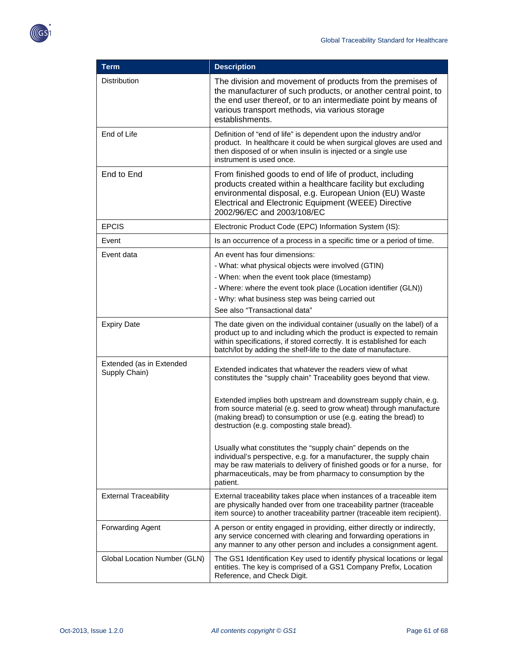| Term                                      | <b>Description</b>                                                                                                                                                                                                                                                                                                                                                                                                                                                                                                              |
|-------------------------------------------|---------------------------------------------------------------------------------------------------------------------------------------------------------------------------------------------------------------------------------------------------------------------------------------------------------------------------------------------------------------------------------------------------------------------------------------------------------------------------------------------------------------------------------|
| <b>Distribution</b>                       | The division and movement of products from the premises of<br>the manufacturer of such products, or another central point, to<br>the end user thereof, or to an intermediate point by means of<br>various transport methods, via various storage<br>establishments.                                                                                                                                                                                                                                                             |
| End of Life                               | Definition of "end of life" is dependent upon the industry and/or<br>product. In healthcare it could be when surgical gloves are used and<br>then disposed of or when insulin is injected or a single use<br>instrument is used once.                                                                                                                                                                                                                                                                                           |
| End to End                                | From finished goods to end of life of product, including<br>products created within a healthcare facility but excluding<br>environmental disposal, e.g. European Union (EU) Waste<br>Electrical and Electronic Equipment (WEEE) Directive<br>2002/96/EC and 2003/108/EC                                                                                                                                                                                                                                                         |
| <b>EPCIS</b>                              | Electronic Product Code (EPC) Information System (IS):                                                                                                                                                                                                                                                                                                                                                                                                                                                                          |
| Event                                     | Is an occurrence of a process in a specific time or a period of time.                                                                                                                                                                                                                                                                                                                                                                                                                                                           |
| Event data                                | An event has four dimensions:<br>- What: what physical objects were involved (GTIN)<br>- When: when the event took place (timestamp)<br>- Where: where the event took place (Location identifier (GLN))<br>- Why: what business step was being carried out<br>See also "Transactional data"                                                                                                                                                                                                                                     |
| <b>Expiry Date</b>                        | The date given on the individual container (usually on the label) of a<br>product up to and including which the product is expected to remain<br>within specifications, if stored correctly. It is established for each<br>batch/lot by adding the shelf-life to the date of manufacture.                                                                                                                                                                                                                                       |
| Extended (as in Extended<br>Supply Chain) | Extended indicates that whatever the readers view of what<br>constitutes the "supply chain" Traceability goes beyond that view.<br>Extended implies both upstream and downstream supply chain, e.g.<br>from source material (e.g. seed to grow wheat) through manufacture<br>(making bread) to consumption or use (e.g. eating the bread) to<br>destruction (e.g. composting stale bread).<br>Usually what constitutes the "supply chain" depends on the<br>individual's perspective, e.g. for a manufacturer, the supply chain |
|                                           | may be raw materials to delivery of finished goods or for a nurse, for<br>pharmaceuticals, may be from pharmacy to consumption by the<br>patient.                                                                                                                                                                                                                                                                                                                                                                               |
| <b>External Traceability</b>              | External traceability takes place when instances of a traceable item<br>are physically handed over from one traceability partner (traceable<br>item source) to another traceability partner (traceable item recipient).                                                                                                                                                                                                                                                                                                         |
| <b>Forwarding Agent</b>                   | A person or entity engaged in providing, either directly or indirectly,<br>any service concerned with clearing and forwarding operations in<br>any manner to any other person and includes a consignment agent.                                                                                                                                                                                                                                                                                                                 |
| Global Location Number (GLN)              | The GS1 Identification Key used to identify physical locations or legal<br>entities. The key is comprised of a GS1 Company Prefix, Location<br>Reference, and Check Digit.                                                                                                                                                                                                                                                                                                                                                      |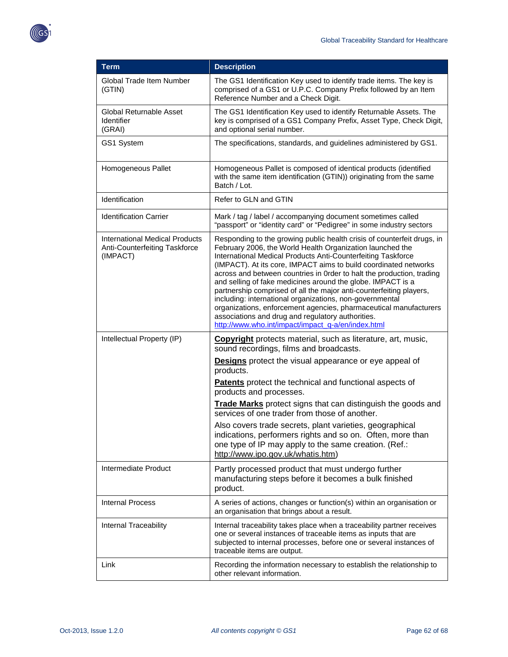

| <b>Term</b>                                                                        | <b>Description</b>                                                                                                                                                                                                                                                                                                                                                                                                                                                                                                                                                                                                                                                                                                                  |
|------------------------------------------------------------------------------------|-------------------------------------------------------------------------------------------------------------------------------------------------------------------------------------------------------------------------------------------------------------------------------------------------------------------------------------------------------------------------------------------------------------------------------------------------------------------------------------------------------------------------------------------------------------------------------------------------------------------------------------------------------------------------------------------------------------------------------------|
| Global Trade Item Number<br>(GTIN)                                                 | The GS1 Identification Key used to identify trade items. The key is<br>comprised of a GS1 or U.P.C. Company Prefix followed by an Item<br>Reference Number and a Check Digit.                                                                                                                                                                                                                                                                                                                                                                                                                                                                                                                                                       |
| Global Returnable Asset<br>Identifier<br>(GRAI)                                    | The GS1 Identification Key used to identify Returnable Assets. The<br>key is comprised of a GS1 Company Prefix, Asset Type, Check Digit,<br>and optional serial number.                                                                                                                                                                                                                                                                                                                                                                                                                                                                                                                                                             |
| GS1 System                                                                         | The specifications, standards, and guidelines administered by GS1.                                                                                                                                                                                                                                                                                                                                                                                                                                                                                                                                                                                                                                                                  |
| Homogeneous Pallet                                                                 | Homogeneous Pallet is composed of identical products (identified<br>with the same item identification (GTIN)) originating from the same<br>Batch / Lot.                                                                                                                                                                                                                                                                                                                                                                                                                                                                                                                                                                             |
| Identification                                                                     | Refer to GLN and GTIN                                                                                                                                                                                                                                                                                                                                                                                                                                                                                                                                                                                                                                                                                                               |
| <b>Identification Carrier</b>                                                      | Mark / tag / label / accompanying document sometimes called<br>"passport" or "identity card" or "Pedigree" in some industry sectors                                                                                                                                                                                                                                                                                                                                                                                                                                                                                                                                                                                                 |
| <b>International Medical Products</b><br>Anti-Counterfeiting Taskforce<br>(IMPACT) | Responding to the growing public health crisis of counterfeit drugs, in<br>February 2006, the World Health Organization launched the<br>International Medical Products Anti-Counterfeiting Taskforce<br>(IMPACT). At its core, IMPACT aims to build coordinated networks<br>across and between countries in Order to halt the production, trading<br>and selling of fake medicines around the globe. IMPACT is a<br>partnership comprised of all the major anti-counterfeiting players,<br>including: international organizations, non-governmental<br>organizations, enforcement agencies, pharmaceutical manufacturers<br>associations and drug and regulatory authorities.<br>http://www.who.int/impact/impact_q-a/en/index.html |
| Intellectual Property (IP)                                                         | <b>Copyright</b> protects material, such as literature, art, music,<br>sound recordings, films and broadcasts.                                                                                                                                                                                                                                                                                                                                                                                                                                                                                                                                                                                                                      |
|                                                                                    | <b>Designs</b> protect the visual appearance or eye appeal of<br>products.                                                                                                                                                                                                                                                                                                                                                                                                                                                                                                                                                                                                                                                          |
|                                                                                    | Patents protect the technical and functional aspects of<br>products and processes.                                                                                                                                                                                                                                                                                                                                                                                                                                                                                                                                                                                                                                                  |
|                                                                                    | <b>Trade Marks</b> protect signs that can distinguish the goods and<br>services of one trader from those of another.                                                                                                                                                                                                                                                                                                                                                                                                                                                                                                                                                                                                                |
|                                                                                    | Also covers trade secrets, plant varieties, geographical<br>indications, performers rights and so on. Often, more than<br>one type of IP may apply to the same creation. (Ref.:<br>http://www.ipo.gov.uk/whatis.htm)                                                                                                                                                                                                                                                                                                                                                                                                                                                                                                                |
| Intermediate Product                                                               | Partly processed product that must undergo further<br>manufacturing steps before it becomes a bulk finished<br>product.                                                                                                                                                                                                                                                                                                                                                                                                                                                                                                                                                                                                             |
| <b>Internal Process</b>                                                            | A series of actions, changes or function(s) within an organisation or<br>an organisation that brings about a result.                                                                                                                                                                                                                                                                                                                                                                                                                                                                                                                                                                                                                |
| Internal Traceability                                                              | Internal traceability takes place when a traceability partner receives<br>one or several instances of traceable items as inputs that are<br>subjected to internal processes, before one or several instances of<br>traceable items are output.                                                                                                                                                                                                                                                                                                                                                                                                                                                                                      |
| Link                                                                               | Recording the information necessary to establish the relationship to<br>other relevant information.                                                                                                                                                                                                                                                                                                                                                                                                                                                                                                                                                                                                                                 |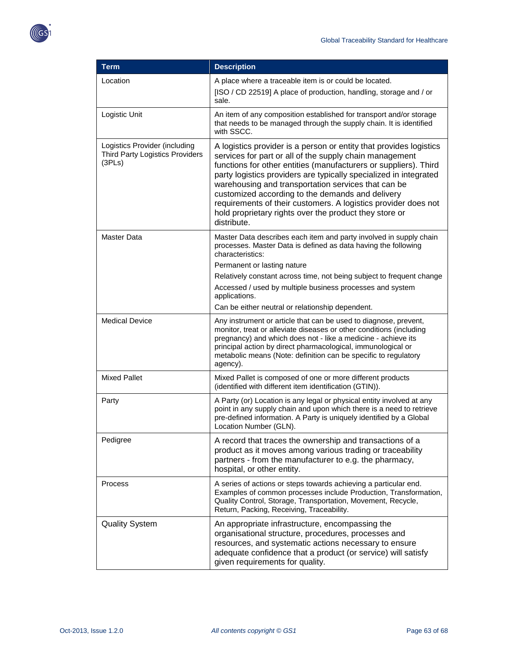| <b>Term</b>                                                                       | <b>Description</b>                                                                                                                                                                                                                                                                                                                                                                                                                                                                                                           |
|-----------------------------------------------------------------------------------|------------------------------------------------------------------------------------------------------------------------------------------------------------------------------------------------------------------------------------------------------------------------------------------------------------------------------------------------------------------------------------------------------------------------------------------------------------------------------------------------------------------------------|
| Location                                                                          | A place where a traceable item is or could be located.<br>[ISO / CD 22519] A place of production, handling, storage and / or<br>sale.                                                                                                                                                                                                                                                                                                                                                                                        |
| Logistic Unit                                                                     | An item of any composition established for transport and/or storage<br>that needs to be managed through the supply chain. It is identified<br>with SSCC.                                                                                                                                                                                                                                                                                                                                                                     |
| Logistics Provider (including<br><b>Third Party Logistics Providers</b><br>(3PLs) | A logistics provider is a person or entity that provides logistics<br>services for part or all of the supply chain management<br>functions for other entities (manufacturers or suppliers). Third<br>party logistics providers are typically specialized in integrated<br>warehousing and transportation services that can be<br>customized according to the demands and delivery<br>requirements of their customers. A logistics provider does not<br>hold proprietary rights over the product they store or<br>distribute. |
| Master Data                                                                       | Master Data describes each item and party involved in supply chain<br>processes. Master Data is defined as data having the following<br>characteristics:<br>Permanent or lasting nature<br>Relatively constant across time, not being subject to frequent change<br>Accessed / used by multiple business processes and system                                                                                                                                                                                                |
|                                                                                   | applications.<br>Can be either neutral or relationship dependent.                                                                                                                                                                                                                                                                                                                                                                                                                                                            |
| <b>Medical Device</b>                                                             | Any instrument or article that can be used to diagnose, prevent,<br>monitor, treat or alleviate diseases or other conditions (including<br>pregnancy) and which does not - like a medicine - achieve its<br>principal action by direct pharmacological, immunological or<br>metabolic means (Note: definition can be specific to regulatory<br>agency).                                                                                                                                                                      |
| <b>Mixed Pallet</b>                                                               | Mixed Pallet is composed of one or more different products<br>(identified with different item identification (GTIN)).                                                                                                                                                                                                                                                                                                                                                                                                        |
| Party                                                                             | A Party (or) Location is any legal or physical entity involved at any<br>point in any supply chain and upon which there is a need to retrieve<br>pre-defined information. A Party is uniquely identified by a Global<br>Location Number (GLN).                                                                                                                                                                                                                                                                               |
| Pedigree                                                                          | A record that traces the ownership and transactions of a<br>product as it moves among various trading or traceability<br>partners - from the manufacturer to e.g. the pharmacy,<br>hospital, or other entity.                                                                                                                                                                                                                                                                                                                |
| Process                                                                           | A series of actions or steps towards achieving a particular end.<br>Examples of common processes include Production, Transformation,<br>Quality Control, Storage, Transportation, Movement, Recycle,<br>Return, Packing, Receiving, Traceability.                                                                                                                                                                                                                                                                            |
| <b>Quality System</b>                                                             | An appropriate infrastructure, encompassing the<br>organisational structure, procedures, processes and<br>resources, and systematic actions necessary to ensure<br>adequate confidence that a product (or service) will satisfy<br>given requirements for quality.                                                                                                                                                                                                                                                           |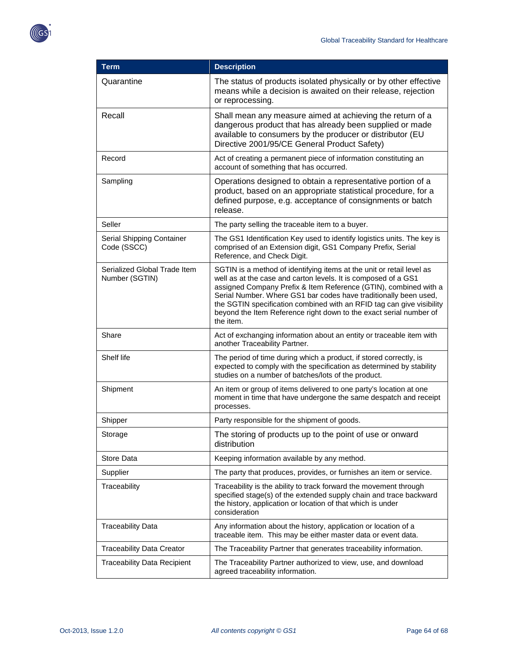

| <b>Term</b>                                    | <b>Description</b>                                                                                                                                                                                                                                                                                                                                                                                                                          |
|------------------------------------------------|---------------------------------------------------------------------------------------------------------------------------------------------------------------------------------------------------------------------------------------------------------------------------------------------------------------------------------------------------------------------------------------------------------------------------------------------|
| Quarantine                                     | The status of products isolated physically or by other effective<br>means while a decision is awaited on their release, rejection<br>or reprocessing.                                                                                                                                                                                                                                                                                       |
| Recall                                         | Shall mean any measure aimed at achieving the return of a<br>dangerous product that has already been supplied or made<br>available to consumers by the producer or distributor (EU<br>Directive 2001/95/CE General Product Safety)                                                                                                                                                                                                          |
| Record                                         | Act of creating a permanent piece of information constituting an<br>account of something that has occurred.                                                                                                                                                                                                                                                                                                                                 |
| Sampling                                       | Operations designed to obtain a representative portion of a<br>product, based on an appropriate statistical procedure, for a<br>defined purpose, e.g. acceptance of consignments or batch<br>release.                                                                                                                                                                                                                                       |
| Seller                                         | The party selling the traceable item to a buyer.                                                                                                                                                                                                                                                                                                                                                                                            |
| Serial Shipping Container<br>Code (SSCC)       | The GS1 Identification Key used to identify logistics units. The key is<br>comprised of an Extension digit, GS1 Company Prefix, Serial<br>Reference, and Check Digit.                                                                                                                                                                                                                                                                       |
| Serialized Global Trade Item<br>Number (SGTIN) | SGTIN is a method of identifying items at the unit or retail level as<br>well as at the case and carton levels. It is composed of a GS1<br>assigned Company Prefix & Item Reference (GTIN), combined with a<br>Serial Number. Where GS1 bar codes have traditionally been used,<br>the SGTIN specification combined with an RFID tag can give visibility<br>beyond the Item Reference right down to the exact serial number of<br>the item. |
| Share                                          | Act of exchanging information about an entity or traceable item with<br>another Traceability Partner.                                                                                                                                                                                                                                                                                                                                       |
| Shelf life                                     | The period of time during which a product, if stored correctly, is<br>expected to comply with the specification as determined by stability<br>studies on a number of batches/lots of the product.                                                                                                                                                                                                                                           |
| Shipment                                       | An item or group of items delivered to one party's location at one<br>moment in time that have undergone the same despatch and receipt<br>processes.                                                                                                                                                                                                                                                                                        |
| Shipper                                        | Party responsible for the shipment of goods.                                                                                                                                                                                                                                                                                                                                                                                                |
| Storage                                        | The storing of products up to the point of use or onward<br>distribution                                                                                                                                                                                                                                                                                                                                                                    |
| Store Data                                     | Keeping information available by any method.                                                                                                                                                                                                                                                                                                                                                                                                |
| Supplier                                       | The party that produces, provides, or furnishes an item or service.                                                                                                                                                                                                                                                                                                                                                                         |
| Traceability                                   | Traceability is the ability to track forward the movement through<br>specified stage(s) of the extended supply chain and trace backward<br>the history, application or location of that which is under<br>consideration                                                                                                                                                                                                                     |
| <b>Traceability Data</b>                       | Any information about the history, application or location of a<br>traceable item. This may be either master data or event data.                                                                                                                                                                                                                                                                                                            |
| <b>Traceability Data Creator</b>               | The Traceability Partner that generates traceability information.                                                                                                                                                                                                                                                                                                                                                                           |
| <b>Traceability Data Recipient</b>             | The Traceability Partner authorized to view, use, and download<br>agreed traceability information.                                                                                                                                                                                                                                                                                                                                          |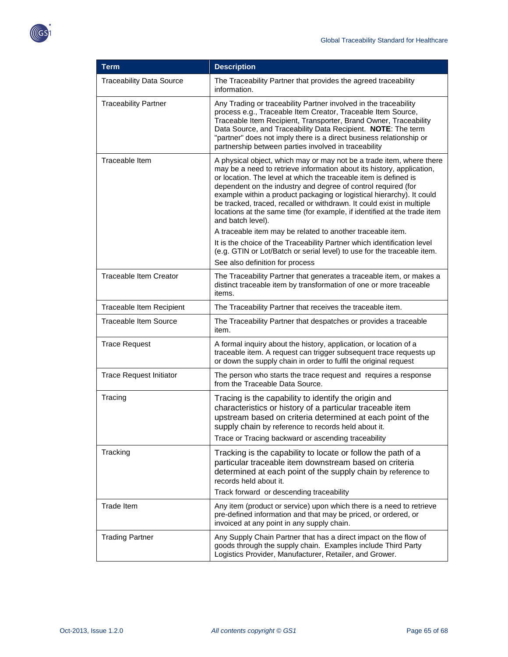

| <b>Term</b>                     | <b>Description</b>                                                                                                                                                                                                                                                                                                                                                                                                                                                                                                                    |
|---------------------------------|---------------------------------------------------------------------------------------------------------------------------------------------------------------------------------------------------------------------------------------------------------------------------------------------------------------------------------------------------------------------------------------------------------------------------------------------------------------------------------------------------------------------------------------|
| <b>Traceability Data Source</b> | The Traceability Partner that provides the agreed traceability<br>information.                                                                                                                                                                                                                                                                                                                                                                                                                                                        |
| <b>Traceability Partner</b>     | Any Trading or traceability Partner involved in the traceability<br>process e.g., Traceable Item Creator, Traceable Item Source,<br>Traceable Item Recipient, Transporter, Brand Owner, Traceability<br>Data Source, and Traceability Data Recipient. NOTE: The term<br>"partner" does not imply there is a direct business relationship or<br>partnership between parties involved in traceability                                                                                                                                   |
| Traceable Item                  | A physical object, which may or may not be a trade item, where there<br>may be a need to retrieve information about its history, application,<br>or location. The level at which the traceable item is defined is<br>dependent on the industry and degree of control required (for<br>example within a product packaging or logistical hierarchy). It could<br>be tracked, traced, recalled or withdrawn. It could exist in multiple<br>locations at the same time (for example, if identified at the trade item<br>and batch level). |
|                                 | A traceable item may be related to another traceable item.<br>It is the choice of the Traceability Partner which identification level<br>(e.g. GTIN or Lot/Batch or serial level) to use for the traceable item.<br>See also definition for process                                                                                                                                                                                                                                                                                   |
| <b>Traceable Item Creator</b>   | The Traceability Partner that generates a traceable item, or makes a<br>distinct traceable item by transformation of one or more traceable<br>items.                                                                                                                                                                                                                                                                                                                                                                                  |
| Traceable Item Recipient        | The Traceability Partner that receives the traceable item.                                                                                                                                                                                                                                                                                                                                                                                                                                                                            |
| <b>Traceable Item Source</b>    | The Traceability Partner that despatches or provides a traceable<br>item.                                                                                                                                                                                                                                                                                                                                                                                                                                                             |
| <b>Trace Request</b>            | A formal inquiry about the history, application, or location of a<br>traceable item. A request can trigger subsequent trace requests up<br>or down the supply chain in order to fulfil the original request                                                                                                                                                                                                                                                                                                                           |
| <b>Trace Request Initiator</b>  | The person who starts the trace request and requires a response<br>from the Traceable Data Source.                                                                                                                                                                                                                                                                                                                                                                                                                                    |
| Tracing                         | Tracing is the capability to identify the origin and<br>characteristics or history of a particular traceable item<br>upstream based on criteria determined at each point of the<br>supply chain by reference to records held about it.<br>Trace or Tracing backward or ascending traceability                                                                                                                                                                                                                                         |
| Tracking                        | Tracking is the capability to locate or follow the path of a<br>particular traceable item downstream based on criteria<br>determined at each point of the supply chain by reference to<br>records held about it.<br>Track forward or descending traceability                                                                                                                                                                                                                                                                          |
| Trade Item                      | Any item (product or service) upon which there is a need to retrieve<br>pre-defined information and that may be priced, or ordered, or<br>invoiced at any point in any supply chain.                                                                                                                                                                                                                                                                                                                                                  |
| <b>Trading Partner</b>          | Any Supply Chain Partner that has a direct impact on the flow of<br>goods through the supply chain. Examples include Third Party<br>Logistics Provider, Manufacturer, Retailer, and Grower.                                                                                                                                                                                                                                                                                                                                           |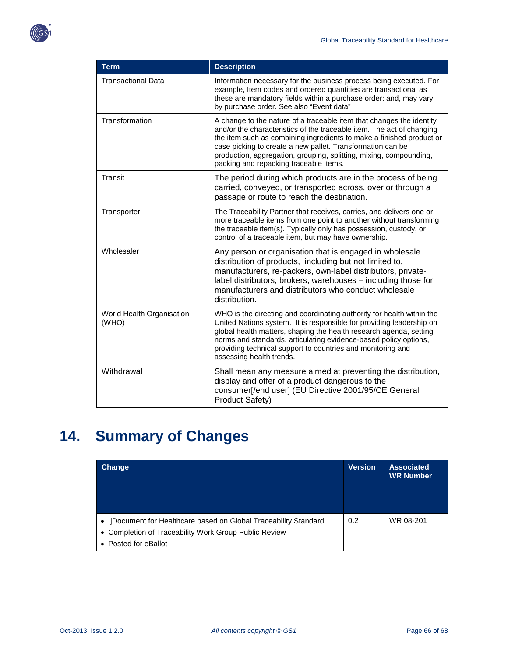

| <b>Term</b>                        | <b>Description</b>                                                                                                                                                                                                                                                                                                                                                                                  |
|------------------------------------|-----------------------------------------------------------------------------------------------------------------------------------------------------------------------------------------------------------------------------------------------------------------------------------------------------------------------------------------------------------------------------------------------------|
| <b>Transactional Data</b>          | Information necessary for the business process being executed. For<br>example, Item codes and ordered quantities are transactional as<br>these are mandatory fields within a purchase order: and, may vary<br>by purchase order. See also "Event data"                                                                                                                                              |
| Transformation                     | A change to the nature of a traceable item that changes the identity<br>and/or the characteristics of the traceable item. The act of changing<br>the item such as combining ingredients to make a finished product or<br>case picking to create a new pallet. Transformation can be<br>production, aggregation, grouping, splitting, mixing, compounding,<br>packing and repacking traceable items. |
| Transit                            | The period during which products are in the process of being<br>carried, conveyed, or transported across, over or through a<br>passage or route to reach the destination.                                                                                                                                                                                                                           |
| Transporter                        | The Traceability Partner that receives, carries, and delivers one or<br>more traceable items from one point to another without transforming<br>the traceable item(s). Typically only has possession, custody, or<br>control of a traceable item, but may have ownership.                                                                                                                            |
| Wholesaler                         | Any person or organisation that is engaged in wholesale<br>distribution of products, including but not limited to,<br>manufacturers, re-packers, own-label distributors, private-<br>label distributors, brokers, warehouses - including those for<br>manufacturers and distributors who conduct wholesale<br>distribution.                                                                         |
| World Health Organisation<br>(WHO) | WHO is the directing and coordinating authority for health within the<br>United Nations system. It is responsible for providing leadership on<br>global health matters, shaping the health research agenda, setting<br>norms and standards, articulating evidence-based policy options,<br>providing technical support to countries and monitoring and<br>assessing health trends.                  |
| Withdrawal                         | Shall mean any measure aimed at preventing the distribution,<br>display and offer of a product dangerous to the<br>consumer[/end user] (EU Directive 2001/95/CE General<br>Product Safety)                                                                                                                                                                                                          |

# <span id="page-65-0"></span>**14. Summary of Changes**

| <b>Change</b>                                                                                                                                   | <b>Version</b> | <b>Associated</b><br><b>WR Number</b> |
|-------------------------------------------------------------------------------------------------------------------------------------------------|----------------|---------------------------------------|
| jDocument for Healthcare based on Global Traceability Standard<br>• Completion of Traceability Work Group Public Review<br>• Posted for eBallot | 0.2            | WR 08-201                             |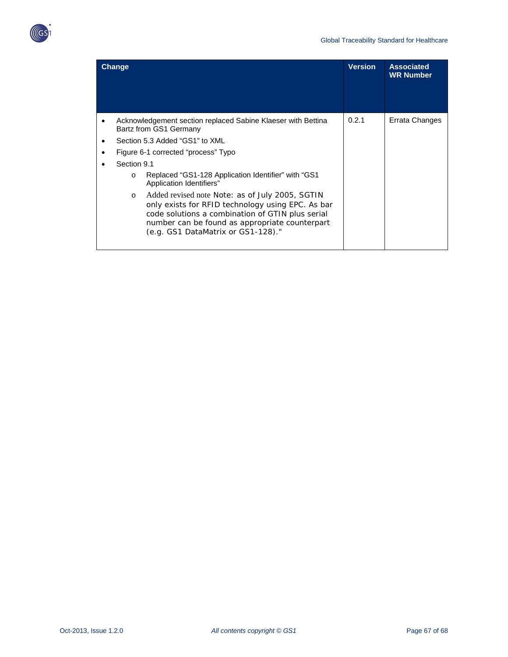

| <b>Change</b>                                                                          |                                                                                                                                                                                                                                                  | <b>Version</b> | <b>Associated</b><br><b>WR Number</b> |
|----------------------------------------------------------------------------------------|--------------------------------------------------------------------------------------------------------------------------------------------------------------------------------------------------------------------------------------------------|----------------|---------------------------------------|
| Acknowledgement section replaced Sabine Klaeser with Bettina<br>Bartz from GS1 Germany |                                                                                                                                                                                                                                                  | 0.2.1          | Errata Changes                        |
| Section 5.3 Added "GS1" to XML                                                         |                                                                                                                                                                                                                                                  |                |                                       |
| Figure 6-1 corrected "process" Typo                                                    |                                                                                                                                                                                                                                                  |                |                                       |
| Section 9.1                                                                            |                                                                                                                                                                                                                                                  |                |                                       |
| $\circ$                                                                                | Replaced "GS1-128 Application Identifier" with "GS1<br>Application Identifiers"                                                                                                                                                                  |                |                                       |
| $\circ$                                                                                | Added revised note Note: as of July 2005, SGTIN<br>only exists for RFID technology using EPC. As bar<br>code solutions a combination of GTIN plus serial<br>number can be found as appropriate counterpart<br>(e.g. GS1 DataMatrix or GS1-128)." |                |                                       |